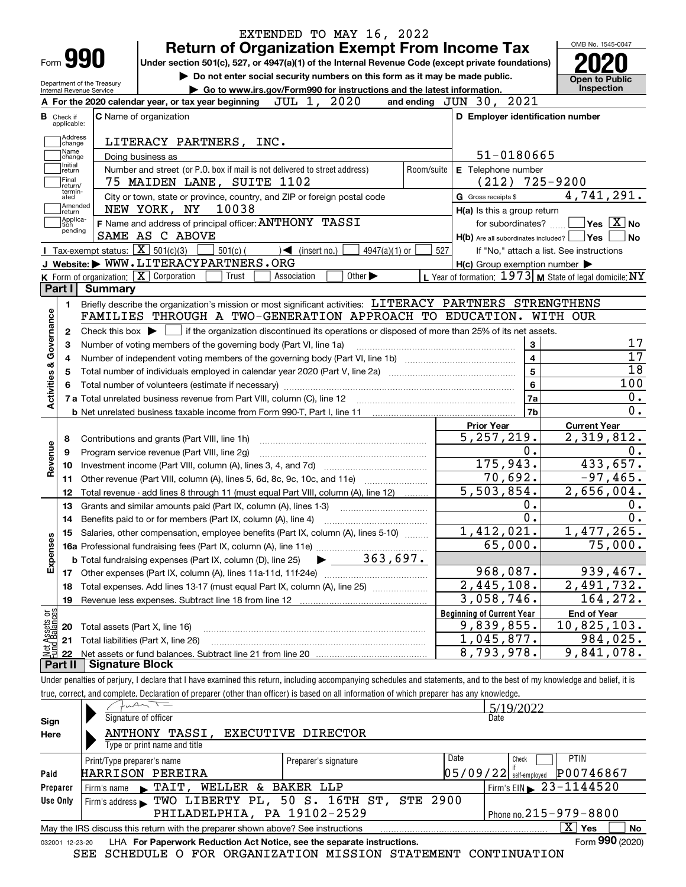|                                                        |                                                                                                   | EXTENDED TO MAY 16, 2022                                                                                                                                                   |            |                                                           | OMB No. 1545-0047                               |  |  |
|--------------------------------------------------------|---------------------------------------------------------------------------------------------------|----------------------------------------------------------------------------------------------------------------------------------------------------------------------------|------------|-----------------------------------------------------------|-------------------------------------------------|--|--|
| Form 990                                               |                                                                                                   | <b>Return of Organization Exempt From Income Tax</b><br>Under section 501(c), 527, or 4947(a)(1) of the Internal Revenue Code (except private foundations)                 |            |                                                           |                                                 |  |  |
|                                                        |                                                                                                   | Do not enter social security numbers on this form as it may be made public.                                                                                                |            |                                                           |                                                 |  |  |
| Department of the Treasury<br>Internal Revenue Service |                                                                                                   | Go to www.irs.gov/Form990 for instructions and the latest information.                                                                                                     |            |                                                           | <b>Open to Public</b><br>Inspection             |  |  |
|                                                        |                                                                                                   | JUL 1, 2020<br>A For the 2020 calendar year, or tax year beginning                                                                                                         |            | and ending JUN 30, 2021                                   |                                                 |  |  |
| <b>B</b> Check if                                      |                                                                                                   | <b>C</b> Name of organization                                                                                                                                              |            | D Employer identification number                          |                                                 |  |  |
| applicable:                                            |                                                                                                   |                                                                                                                                                                            |            |                                                           |                                                 |  |  |
| Address<br>change<br>Name                              |                                                                                                   | LITERACY PARTNERS, INC.                                                                                                                                                    |            |                                                           |                                                 |  |  |
| change<br>Initial                                      |                                                                                                   | Doing business as                                                                                                                                                          |            | 51-0180665                                                |                                                 |  |  |
| return<br>Final                                        |                                                                                                   | Number and street (or P.O. box if mail is not delivered to street address)                                                                                                 | Room/suite | E Telephone number                                        |                                                 |  |  |
| return/<br>termin-                                     |                                                                                                   | 75 MAIDEN LANE, SUITE 1102                                                                                                                                                 |            | (212)                                                     | 725-9200                                        |  |  |
| ated<br>Amended                                        |                                                                                                   | City or town, state or province, country, and ZIP or foreign postal code<br>NEW YORK, NY<br>10038                                                                          |            | G Gross receipts \$                                       | 4,741,291.                                      |  |  |
| return<br> Applica-                                    |                                                                                                   | F Name and address of principal officer: ANTHONY TASSI                                                                                                                     |            | H(a) Is this a group return                               | $\overline{\ }$ Yes $\overline{\phantom{X}}$ No |  |  |
| tion<br>pending                                        |                                                                                                   | SAME AS C ABOVE                                                                                                                                                            |            | for subordinates?                                         |                                                 |  |  |
|                                                        | <b>Tax-exempt status:</b> $\boxed{\mathbf{X}}$ 501(c)(3)                                          | $501(c)$ (<br>$\sqrt{\frac{1}{1}}$ (insert no.)<br>$4947(a)(1)$ or                                                                                                         | 527        | $H(b)$ Are all subordinates included? $\Box$ Yes          | If "No," attach a list. See instructions        |  |  |
|                                                        |                                                                                                   | J Website: WWW.LITERACYPARTNERS.ORG                                                                                                                                        |            | $H(c)$ Group exemption number $\blacktriangleright$       |                                                 |  |  |
|                                                        |                                                                                                   | K Form of organization: X Corporation<br>Trust<br>Other $\blacktriangleright$<br>Association                                                                               |            | L Year of formation: $1973$ M State of legal domicile: NY |                                                 |  |  |
| Part I                                                 | Summary                                                                                           |                                                                                                                                                                            |            |                                                           |                                                 |  |  |
| 1.                                                     |                                                                                                   | Briefly describe the organization's mission or most significant activities: LITERACY PARTNERS STRENGTHENS                                                                  |            |                                                           |                                                 |  |  |
|                                                        |                                                                                                   | FAMILIES THROUGH A TWO-GENERATION APPROACH TO EDUCATION.                                                                                                                   |            |                                                           | WITH OUR                                        |  |  |
| $\mathbf{2}$                                           |                                                                                                   | Check this box $\blacktriangleright$ $\blacksquare$ if the organization discontinued its operations or disposed of more than 25% of its net assets.                        |            |                                                           |                                                 |  |  |
| Governance                                             |                                                                                                   |                                                                                                                                                                            |            | 3                                                         |                                                 |  |  |
|                                                        | Number of voting members of the governing body (Part VI, line 1a)<br>з<br>$\overline{\mathbf{4}}$ |                                                                                                                                                                            |            |                                                           |                                                 |  |  |
| 4                                                      |                                                                                                   |                                                                                                                                                                            |            | $\overline{\mathbf{5}}$                                   |                                                 |  |  |
| <b>Activities &amp;</b><br>5                           |                                                                                                   |                                                                                                                                                                            |            |                                                           |                                                 |  |  |
| 6                                                      |                                                                                                   |                                                                                                                                                                            |            | $\bf{6}$<br>7a                                            |                                                 |  |  |
|                                                        |                                                                                                   | 7 a Total unrelated business revenue from Part VIII, column (C), line 12 [11] [12] [11] [12] [11] [11] [12] [1                                                             |            | 7b                                                        |                                                 |  |  |
|                                                        |                                                                                                   |                                                                                                                                                                            |            |                                                           |                                                 |  |  |
|                                                        |                                                                                                   |                                                                                                                                                                            |            | <b>Prior Year</b><br>5, 257, 219.                         | <b>Current Year</b><br>2,319,812.               |  |  |
| 8                                                      |                                                                                                   | Contributions and grants (Part VIII, line 1h)                                                                                                                              |            | 0.                                                        |                                                 |  |  |
| evenue<br>9                                            |                                                                                                   | Program service revenue (Part VIII, line 2g)                                                                                                                               |            | 175,943.                                                  | 433, 657.                                       |  |  |
| 10<br>œ                                                |                                                                                                   |                                                                                                                                                                            |            | 70,692.                                                   | $-97,465.$                                      |  |  |
| 11                                                     |                                                                                                   | Other revenue (Part VIII, column (A), lines 5, 6d, 8c, 9c, 10c, and 11e)                                                                                                   |            | 5,503,854.                                                | 2,656,004.                                      |  |  |
| 12                                                     |                                                                                                   | Total revenue - add lines 8 through 11 (must equal Part VIII, column (A), line 12)                                                                                         |            | 0.                                                        |                                                 |  |  |
| 13                                                     |                                                                                                   | Grants and similar amounts paid (Part IX, column (A), lines 1-3)                                                                                                           |            | $\overline{0}$ .                                          |                                                 |  |  |
| 14                                                     | Benefits paid to or for members (Part IX, column (A), line 4)                                     |                                                                                                                                                                            |            |                                                           |                                                 |  |  |
| Expenses                                               |                                                                                                   | 15 Salaries, other compensation, employee benefits (Part IX, column (A), lines 5-10)                                                                                       |            | 1,412,021.<br>65,000.                                     | 1,477,265.<br>$\overline{75}$ ,000.             |  |  |
|                                                        |                                                                                                   |                                                                                                                                                                            |            |                                                           |                                                 |  |  |
|                                                        |                                                                                                   |                                                                                                                                                                            |            |                                                           |                                                 |  |  |
|                                                        |                                                                                                   |                                                                                                                                                                            |            | 968,087.<br>$\overline{2,445,108}$ .                      | 939,467.                                        |  |  |
| 18                                                     |                                                                                                   | Total expenses. Add lines 13-17 (must equal Part IX, column (A), line 25)                                                                                                  |            |                                                           | 2,491,732.                                      |  |  |
| 19                                                     |                                                                                                   |                                                                                                                                                                            |            | $\overline{3}$ , 058, 746.                                | 164,272.                                        |  |  |
| t Assets or<br>d.Balances                              |                                                                                                   |                                                                                                                                                                            |            | <b>Beginning of Current Year</b>                          | <b>End of Year</b>                              |  |  |
| 20                                                     |                                                                                                   | Total assets (Part X, line 16)                                                                                                                                             |            | 9,839,855.                                                | $\overline{10}$ , 825, 103.                     |  |  |
| 21                                                     |                                                                                                   | Total liabilities (Part X, line 26)                                                                                                                                        |            | 1,045,877.                                                | 984,025.                                        |  |  |
| 혏<br>22                                                |                                                                                                   |                                                                                                                                                                            |            | $\overline{8}$ , 793, 978.                                | 9,841,078.                                      |  |  |
| Part II                                                | <b>Signature Block</b>                                                                            |                                                                                                                                                                            |            |                                                           |                                                 |  |  |
|                                                        |                                                                                                   | Under penalties of perjury, I declare that I have examined this return, including accompanying schedules and statements, and to the best of my knowledge and belief, it is |            |                                                           |                                                 |  |  |
|                                                        |                                                                                                   | true, correct, and complete. Declaration of preparer (other than officer) is based on all information of which preparer has any knowledge.                                 |            |                                                           |                                                 |  |  |
|                                                        |                                                                                                   | $f_{\nu}A\sim T$                                                                                                                                                           |            | 5/19/2022                                                 |                                                 |  |  |

| Sign     | Signature of officer                                                                                         |                      | Date                                       |  |  |  |  |  |  |
|----------|--------------------------------------------------------------------------------------------------------------|----------------------|--------------------------------------------|--|--|--|--|--|--|
| Here     | ANTHONY TASSI, EXECUTIVE DIRECTOR                                                                            |                      |                                            |  |  |  |  |  |  |
|          | Type or print name and title                                                                                 |                      |                                            |  |  |  |  |  |  |
|          | Print/Type preparer's name                                                                                   | Preparer's signature | Date<br><b>PTIN</b><br>Check               |  |  |  |  |  |  |
| Paid     | HARRISON PEREIRA                                                                                             |                      | P00746867<br>$05/09/22$ self-employed      |  |  |  |  |  |  |
| Preparer | WELLER & BAKER LLP<br>TAIT,<br>Firm's name<br>$\blacksquare$                                                 |                      | $1$ Firm's EIN $\triangleright$ 23-1144520 |  |  |  |  |  |  |
| Use Only | Firm's address TWO LIBERTY PL, 50 S. 16TH ST, STE 2900                                                       |                      |                                            |  |  |  |  |  |  |
|          | PHILADELPHIA, PA 19102-2529<br>Phone no. $215 - 979 - 8800$                                                  |                      |                                            |  |  |  |  |  |  |
|          | ΧI<br>No<br>May the IRS discuss this return with the preparer shown above? See instructions<br>Yes           |                      |                                            |  |  |  |  |  |  |
|          | Form 990 (2020)<br>LHA For Paperwork Reduction Act Notice, see the separate instructions.<br>032001 12-23-20 |                      |                                            |  |  |  |  |  |  |

SEE SCHEDULE O FOR ORGANIZATION MISSION STATEMENT CONTINUATION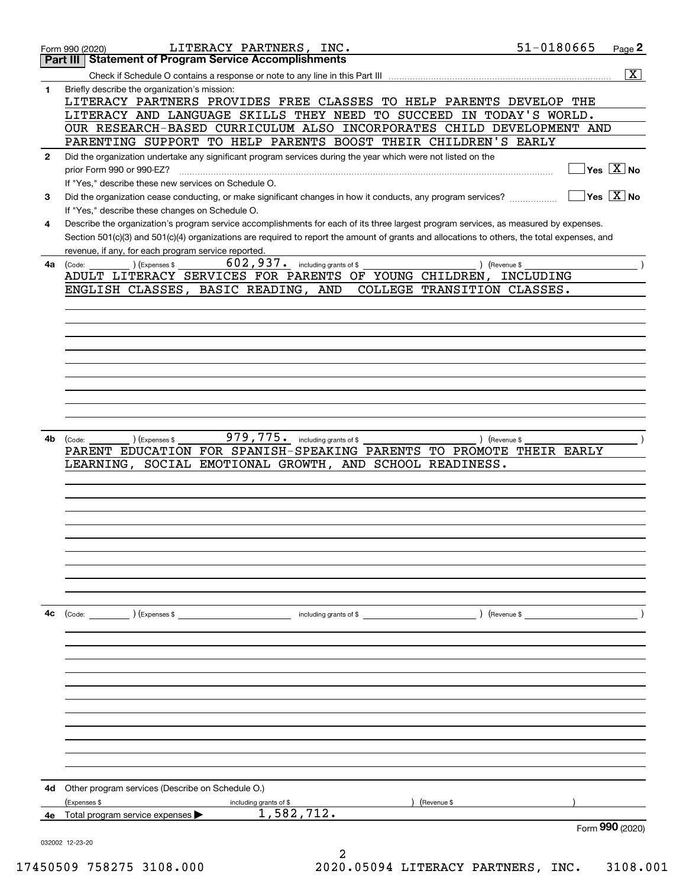|              | LITERACY PARTNERS, INC.<br>Form 990 (2020)                                                                                                                           | 51-0180665        | Page 2                                 |
|--------------|----------------------------------------------------------------------------------------------------------------------------------------------------------------------|-------------------|----------------------------------------|
|              | <b>Statement of Program Service Accomplishments</b><br>Part III                                                                                                      |                   |                                        |
|              | Check if Schedule O contains a response or note to any line in this Part III                                                                                         |                   | $\overline{\text{X}}$                  |
| 1            | Briefly describe the organization's mission:<br>LITERACY PARTNERS PROVIDES FREE CLASSES TO HELP PARENTS DEVELOP THE                                                  |                   |                                        |
|              | LITERACY AND LANGUAGE SKILLS THEY NEED TO SUCCEED                                                                                                                    | IN TODAY'S WORLD. |                                        |
|              | OUR RESEARCH-BASED CURRICULUM ALSO INCORPORATES CHILD DEVELOPMENT AND                                                                                                |                   |                                        |
|              | PARENTING SUPPORT TO HELP PARENTS BOOST THEIR CHILDREN'S EARLY                                                                                                       |                   |                                        |
| $\mathbf{2}$ | Did the organization undertake any significant program services during the year which were not listed on the                                                         |                   |                                        |
|              | prior Form 990 or 990-EZ?                                                                                                                                            |                   | $Yes \quad X$ No                       |
| 3            | If "Yes," describe these new services on Schedule O.<br>Did the organization cease conducting, or make significant changes in how it conducts, any program services? |                   | $\sqrt{}$ Yes $\sqrt{}$ X $\sqrt{}$ No |
|              | If "Yes," describe these changes on Schedule O.                                                                                                                      |                   |                                        |
| 4            | Describe the organization's program service accomplishments for each of its three largest program services, as measured by expenses.                                 |                   |                                        |
|              | Section 501(c)(3) and 501(c)(4) organizations are required to report the amount of grants and allocations to others, the total expenses, and                         |                   |                                        |
|              | revenue, if any, for each program service reported.                                                                                                                  |                   |                                        |
| 4a           | $602,937$ . including grants of \$<br>(Expenses \$<br>) (Revenue \$<br>(Code:<br>ADULT LITERACY SERVICES FOR PARENTS OF YOUNG CHILDREN,                              | INCLUDING         |                                        |
|              | ENGLISH CLASSES, BASIC READING, AND<br>COLLEGE TRANSITION CLASSES.                                                                                                   |                   |                                        |
|              |                                                                                                                                                                      |                   |                                        |
|              |                                                                                                                                                                      |                   |                                        |
|              |                                                                                                                                                                      |                   |                                        |
|              |                                                                                                                                                                      |                   |                                        |
|              |                                                                                                                                                                      |                   |                                        |
|              |                                                                                                                                                                      |                   |                                        |
|              |                                                                                                                                                                      |                   |                                        |
|              |                                                                                                                                                                      |                   |                                        |
|              |                                                                                                                                                                      |                   |                                        |
| 4b           | 979,775. including grants of \$<br>) (Expenses \$<br>) (Revenue \$<br>(Code:                                                                                         |                   |                                        |
|              | FOR SPANISH-SPEAKING PARENTS TO PROMOTE THEIR EARLY<br>PARENT EDUCATION<br>EMOTIONAL GROWTH,<br>AND SCHOOL READINESS.<br>LEARNING, SOCIAL                            |                   |                                        |
|              |                                                                                                                                                                      |                   |                                        |
|              |                                                                                                                                                                      |                   |                                        |
|              |                                                                                                                                                                      |                   |                                        |
|              |                                                                                                                                                                      |                   |                                        |
|              |                                                                                                                                                                      |                   |                                        |
|              |                                                                                                                                                                      |                   |                                        |
|              |                                                                                                                                                                      |                   |                                        |
|              |                                                                                                                                                                      |                   |                                        |
|              |                                                                                                                                                                      |                   |                                        |
| 4c           | including grants of \$<br>$\left(\text{Code:} \right)$ $\left(\text{Expenses $}\right)$                                                                              | ) (Revenue \$     |                                        |
|              |                                                                                                                                                                      |                   |                                        |
|              |                                                                                                                                                                      |                   |                                        |
|              |                                                                                                                                                                      |                   |                                        |
|              |                                                                                                                                                                      |                   |                                        |
|              |                                                                                                                                                                      |                   |                                        |
|              |                                                                                                                                                                      |                   |                                        |
|              |                                                                                                                                                                      |                   |                                        |
|              |                                                                                                                                                                      |                   |                                        |
|              |                                                                                                                                                                      |                   |                                        |
|              |                                                                                                                                                                      |                   |                                        |
| 4d           | Other program services (Describe on Schedule O.)                                                                                                                     |                   |                                        |
|              | (Expenses \$<br>(Revenue \$<br>including grants of \$                                                                                                                |                   |                                        |
| 4е           | 1,582,712.<br>Total program service expenses $\blacktriangleright$                                                                                                   |                   | Form 990 (2020)                        |
|              | 032002 12-23-20                                                                                                                                                      |                   |                                        |
|              |                                                                                                                                                                      |                   |                                        |

17450509 758275 3108.000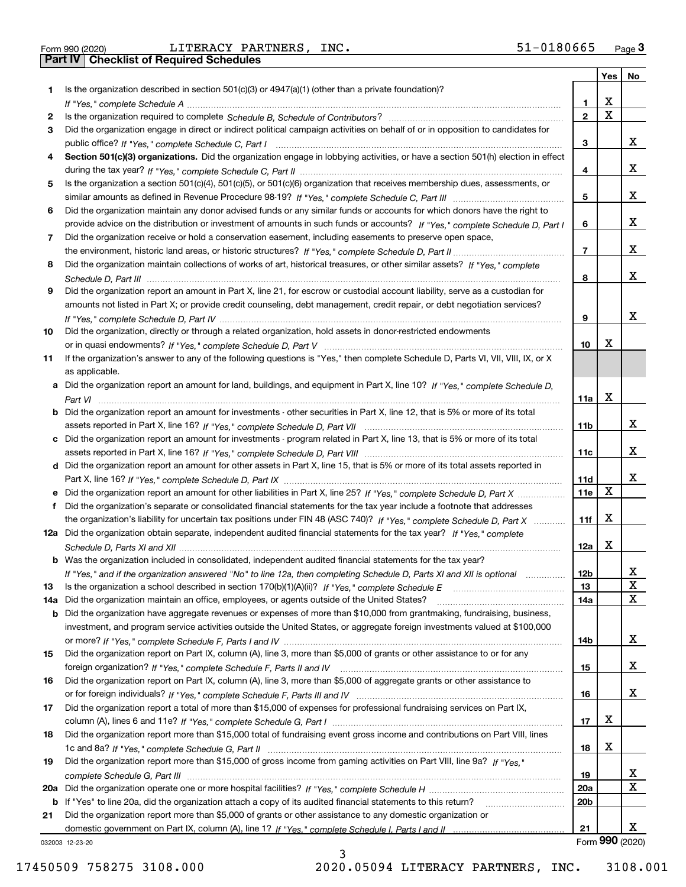Form 990 (2020) LITERACY PARTNERS, INC.<br>Part IV | Checklist of Required Schedules

|     |                                                                                                                                       |                 | Yes                     | No              |
|-----|---------------------------------------------------------------------------------------------------------------------------------------|-----------------|-------------------------|-----------------|
| 1.  | Is the organization described in section $501(c)(3)$ or $4947(a)(1)$ (other than a private foundation)?                               |                 |                         |                 |
|     |                                                                                                                                       | 1               | X                       |                 |
| 2   |                                                                                                                                       | $\overline{2}$  | $\overline{\mathbf{x}}$ |                 |
| 3   | Did the organization engage in direct or indirect political campaign activities on behalf of or in opposition to candidates for       |                 |                         |                 |
|     |                                                                                                                                       | 3               |                         | x               |
| 4   | Section 501(c)(3) organizations. Did the organization engage in lobbying activities, or have a section 501(h) election in effect      |                 |                         |                 |
|     |                                                                                                                                       | 4               |                         | x               |
| 5   | Is the organization a section 501(c)(4), 501(c)(5), or 501(c)(6) organization that receives membership dues, assessments, or          |                 |                         |                 |
|     |                                                                                                                                       | 5               |                         | x               |
| 6   | Did the organization maintain any donor advised funds or any similar funds or accounts for which donors have the right to             |                 |                         |                 |
|     | provide advice on the distribution or investment of amounts in such funds or accounts? If "Yes," complete Schedule D, Part I          | 6               |                         | x               |
| 7   | Did the organization receive or hold a conservation easement, including easements to preserve open space,                             |                 |                         |                 |
|     |                                                                                                                                       | $\overline{7}$  |                         | x               |
| 8   | Did the organization maintain collections of works of art, historical treasures, or other similar assets? If "Yes," complete          |                 |                         |                 |
|     |                                                                                                                                       | 8               |                         | x               |
| 9   | Did the organization report an amount in Part X, line 21, for escrow or custodial account liability, serve as a custodian for         |                 |                         |                 |
|     | amounts not listed in Part X; or provide credit counseling, debt management, credit repair, or debt negotiation services?             |                 |                         |                 |
|     |                                                                                                                                       | 9               |                         | x               |
| 10  | Did the organization, directly or through a related organization, hold assets in donor-restricted endowments                          |                 | x                       |                 |
|     |                                                                                                                                       | 10              |                         |                 |
| 11  | If the organization's answer to any of the following questions is "Yes," then complete Schedule D, Parts VI, VII, VIII, IX, or X      |                 |                         |                 |
|     | as applicable.                                                                                                                        |                 |                         |                 |
|     | a Did the organization report an amount for land, buildings, and equipment in Part X, line 10? If "Yes," complete Schedule D.         |                 | X                       |                 |
|     | <b>b</b> Did the organization report an amount for investments - other securities in Part X, line 12, that is 5% or more of its total | 11a             |                         |                 |
|     |                                                                                                                                       | 11b             |                         | x               |
|     | c Did the organization report an amount for investments - program related in Part X, line 13, that is 5% or more of its total         |                 |                         |                 |
|     |                                                                                                                                       | 11c             |                         | x               |
|     | d Did the organization report an amount for other assets in Part X, line 15, that is 5% or more of its total assets reported in       |                 |                         |                 |
|     |                                                                                                                                       | 11d             |                         | x               |
|     | e Did the organization report an amount for other liabilities in Part X, line 25? If "Yes," complete Schedule D, Part X               | 11e             | X                       |                 |
| f   | Did the organization's separate or consolidated financial statements for the tax year include a footnote that addresses               |                 |                         |                 |
|     | the organization's liability for uncertain tax positions under FIN 48 (ASC 740)? If "Yes," complete Schedule D, Part X                | 11f             | X                       |                 |
|     | 12a Did the organization obtain separate, independent audited financial statements for the tax year? If "Yes," complete               |                 |                         |                 |
|     |                                                                                                                                       | 12a             | х                       |                 |
|     | <b>b</b> Was the organization included in consolidated, independent audited financial statements for the tax year?                    |                 |                         |                 |
|     | If "Yes," and if the organization answered "No" to line 12a, then completing Schedule D, Parts XI and XII is optional                 | 12b             |                         | 4               |
| 13  |                                                                                                                                       | 13              |                         | X               |
| 14a | Did the organization maintain an office, employees, or agents outside of the United States?                                           | 14a             |                         | $\mathbf x$     |
|     | <b>b</b> Did the organization have aggregate revenues or expenses of more than \$10,000 from grantmaking, fundraising, business,      |                 |                         |                 |
|     | investment, and program service activities outside the United States, or aggregate foreign investments valued at \$100,000            |                 |                         |                 |
|     |                                                                                                                                       | 14b             |                         | X               |
| 15  | Did the organization report on Part IX, column (A), line 3, more than \$5,000 of grants or other assistance to or for any             |                 |                         |                 |
|     |                                                                                                                                       | 15              |                         | x               |
| 16  | Did the organization report on Part IX, column (A), line 3, more than \$5,000 of aggregate grants or other assistance to              |                 |                         |                 |
|     |                                                                                                                                       | 16              |                         | x               |
| 17  | Did the organization report a total of more than \$15,000 of expenses for professional fundraising services on Part IX,               |                 |                         |                 |
|     |                                                                                                                                       | 17              | х                       |                 |
| 18  | Did the organization report more than \$15,000 total of fundraising event gross income and contributions on Part VIII, lines          |                 |                         |                 |
|     |                                                                                                                                       | 18              | х                       |                 |
| 19  | Did the organization report more than \$15,000 of gross income from gaming activities on Part VIII, line 9a? If "Yes."                |                 |                         |                 |
|     |                                                                                                                                       | 19              |                         | х               |
|     |                                                                                                                                       | <b>20a</b>      |                         | $\mathbf X$     |
|     | <b>b</b> If "Yes" to line 20a, did the organization attach a copy of its audited financial statements to this return?                 | 20 <sub>b</sub> |                         |                 |
| 21  | Did the organization report more than \$5,000 of grants or other assistance to any domestic organization or                           |                 |                         |                 |
|     |                                                                                                                                       | 21              |                         | x               |
|     | 032003 12-23-20                                                                                                                       |                 |                         | Form 990 (2020) |

3

032003 12-23-20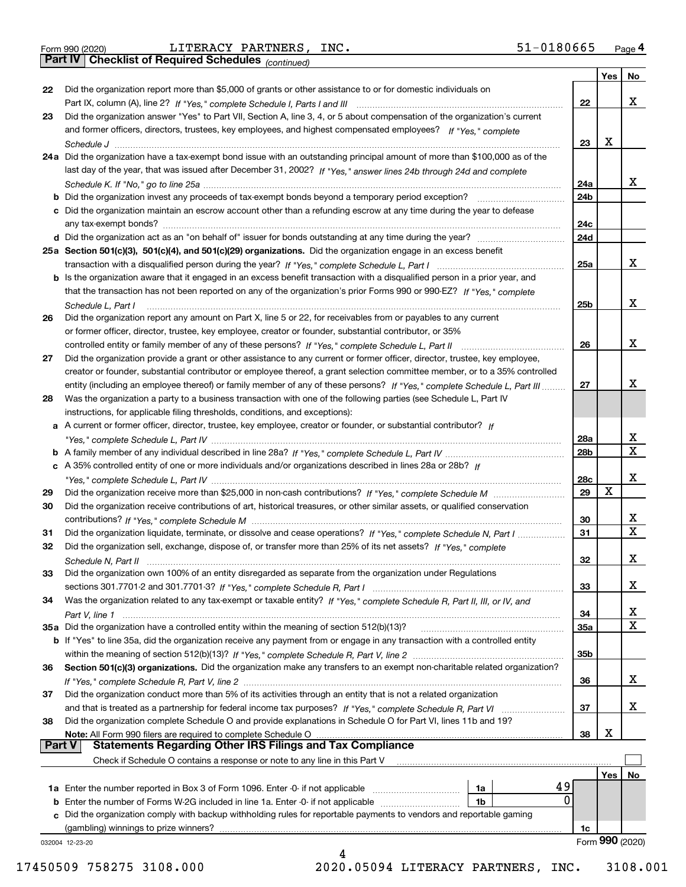|               |                                                                                                                              |     | Yes | No                      |
|---------------|------------------------------------------------------------------------------------------------------------------------------|-----|-----|-------------------------|
| 22            | Did the organization report more than \$5,000 of grants or other assistance to or for domestic individuals on                |     |     |                         |
|               |                                                                                                                              | 22  |     | x                       |
| 23            | Did the organization answer "Yes" to Part VII, Section A, line 3, 4, or 5 about compensation of the organization's current   |     |     |                         |
|               | and former officers, directors, trustees, key employees, and highest compensated employees? If "Yes," complete               |     |     |                         |
|               |                                                                                                                              | 23  | х   |                         |
|               | 24a Did the organization have a tax-exempt bond issue with an outstanding principal amount of more than \$100,000 as of the  |     |     |                         |
|               | last day of the year, that was issued after December 31, 2002? If "Yes," answer lines 24b through 24d and complete           |     |     |                         |
|               |                                                                                                                              | 24a |     | X.                      |
|               | b Did the organization invest any proceeds of tax-exempt bonds beyond a temporary period exception?                          | 24b |     |                         |
|               | c Did the organization maintain an escrow account other than a refunding escrow at any time during the year to defease       |     |     |                         |
|               | any tax-exempt bonds?                                                                                                        | 24c |     |                         |
|               |                                                                                                                              | 24d |     |                         |
|               | 25a Section 501(c)(3), 501(c)(4), and 501(c)(29) organizations. Did the organization engage in an excess benefit             |     |     |                         |
|               |                                                                                                                              | 25a |     | X.                      |
|               | b Is the organization aware that it engaged in an excess benefit transaction with a disqualified person in a prior year, and |     |     |                         |
|               | that the transaction has not been reported on any of the organization's prior Forms 990 or 990-EZ? If "Yes." complete        |     |     |                         |
|               | Schedule L, Part I                                                                                                           | 25b |     | X.                      |
| 26            | Did the organization report any amount on Part X, line 5 or 22, for receivables from or payables to any current              |     |     |                         |
|               | or former officer, director, trustee, key employee, creator or founder, substantial contributor, or 35%                      |     |     |                         |
|               |                                                                                                                              | 26  |     | x                       |
| 27            | Did the organization provide a grant or other assistance to any current or former officer, director, trustee, key employee,  |     |     |                         |
|               | creator or founder, substantial contributor or employee thereof, a grant selection committee member, or to a 35% controlled  |     |     |                         |
|               | entity (including an employee thereof) or family member of any of these persons? If "Yes," complete Schedule L, Part III     | 27  |     | x                       |
| 28            | Was the organization a party to a business transaction with one of the following parties (see Schedule L, Part IV            |     |     |                         |
|               | instructions, for applicable filing thresholds, conditions, and exceptions):                                                 |     |     |                         |
|               | a A current or former officer, director, trustee, key employee, creator or founder, or substantial contributor? If           |     |     |                         |
|               |                                                                                                                              | 28a |     | x                       |
|               |                                                                                                                              | 28b |     | X                       |
|               | c A 35% controlled entity of one or more individuals and/or organizations described in lines 28a or 28b? If                  |     |     |                         |
|               |                                                                                                                              | 28c |     | x                       |
| 29            |                                                                                                                              | 29  | X   |                         |
| 30            | Did the organization receive contributions of art, historical treasures, or other similar assets, or qualified conservation  |     |     |                         |
|               |                                                                                                                              | 30  |     | X.                      |
| 31            | Did the organization liquidate, terminate, or dissolve and cease operations? If "Yes," complete Schedule N, Part I           | 31  |     | $\overline{\mathbf{x}}$ |
| 32            | Did the organization sell, exchange, dispose of, or transfer more than 25% of its net assets? If "Yes," complete             |     |     |                         |
|               | Schedule N, Part II                                                                                                          | 32  |     | x                       |
| 33            | Did the organization own 100% of an entity disregarded as separate from the organization under Regulations                   |     |     |                         |
|               |                                                                                                                              | 33  |     | X                       |
| 34            | Was the organization related to any tax-exempt or taxable entity? If "Yes," complete Schedule R, Part II, III, or IV, and    |     |     |                         |
|               |                                                                                                                              | 34  |     | X                       |
|               | 35a Did the organization have a controlled entity within the meaning of section 512(b)(13)?                                  | 35a |     | X                       |
|               | b If "Yes" to line 35a, did the organization receive any payment from or engage in any transaction with a controlled entity  |     |     |                         |
|               |                                                                                                                              | 35b |     |                         |
| 36            | Section 501(c)(3) organizations. Did the organization make any transfers to an exempt non-charitable related organization?   |     |     |                         |
|               |                                                                                                                              | 36  |     | x                       |
| 37            | Did the organization conduct more than 5% of its activities through an entity that is not a related organization             |     |     |                         |
|               | and that is treated as a partnership for federal income tax purposes? If "Yes," complete Schedule R, Part VI                 | 37  |     | x                       |
| 38            | Did the organization complete Schedule O and provide explanations in Schedule O for Part VI, lines 11b and 19?               |     |     |                         |
|               | Note: All Form 990 filers are required to complete Schedule O                                                                | 38  | х   |                         |
| <b>Part V</b> | <b>Statements Regarding Other IRS Filings and Tax Compliance</b>                                                             |     |     |                         |
|               | Check if Schedule O contains a response or note to any line in this Part V                                                   |     |     |                         |
|               |                                                                                                                              |     | Yes | No                      |
|               | 49<br><b>1a</b> Enter the number reported in Box 3 of Form 1096. Enter -0- if not applicable <i>manumumumum</i><br>1a        |     |     |                         |
|               | 0<br><b>b</b> Enter the number of Forms W-2G included in line 1a. Enter -0- if not applicable <i>manumumumum</i><br>1b       |     |     |                         |
|               | c Did the organization comply with backup withholding rules for reportable payments to vendors and reportable gaming         |     |     |                         |
|               | (gambling) winnings to prize winners?                                                                                        | 1c  |     |                         |
|               | 032004 12-23-20                                                                                                              |     |     | Form 990 (2020)         |
|               | 4                                                                                                                            |     |     |                         |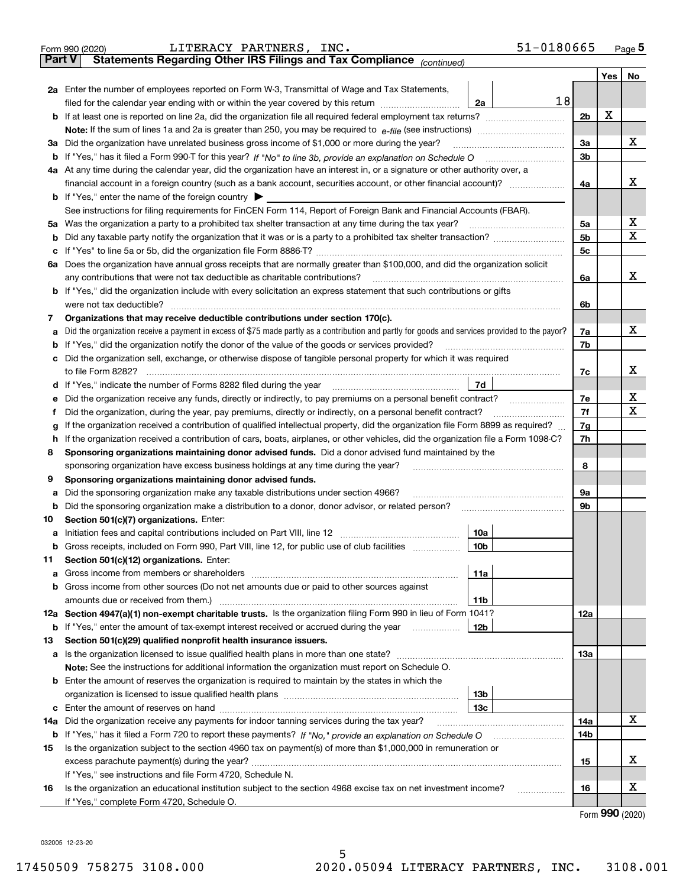| Part V<br>Yes  <br>No<br>2a Enter the number of employees reported on Form W-3, Transmittal of Wage and Tax Statements,<br>18<br>filed for the calendar year ending with or within the year covered by this return [111] [11] filed for the calendar year ending with or within the year covered by this return<br>2a<br>X<br>2 <sub>b</sub><br>Note: If the sum of lines 1a and 2a is greater than 250, you may be required to $e$ -file (see instructions) <i></i><br>х<br>3a Did the organization have unrelated business gross income of \$1,000 or more during the year?<br>За<br>3 <sub>b</sub><br>4a At any time during the calendar year, did the organization have an interest in, or a signature or other authority over, a<br>х<br>4a<br><b>b</b> If "Yes," enter the name of the foreign country $\blacktriangleright$<br>See instructions for filing requirements for FinCEN Form 114, Report of Foreign Bank and Financial Accounts (FBAR).<br>х<br>5a Was the organization a party to a prohibited tax shelter transaction at any time during the tax year?<br>5a<br>х<br>5 <sub>b</sub><br>5 <sub>c</sub><br>6a Does the organization have annual gross receipts that are normally greater than \$100,000, and did the organization solicit<br>х<br>any contributions that were not tax deductible as charitable contributions?<br>6a<br><b>b</b> If "Yes," did the organization include with every solicitation an express statement that such contributions or gifts<br>were not tax deductible?<br>6b<br>Organizations that may receive deductible contributions under section 170(c).<br>7<br>х<br>a Did the organization receive a payment in excess of \$75 made partly as a contribution and partly for goods and services provided to the payor?<br>7a<br><b>b</b> If "Yes," did the organization notify the donor of the value of the goods or services provided?<br>7b<br>c Did the organization sell, exchange, or otherwise dispose of tangible personal property for which it was required<br>х<br>7c<br>7d<br>d If "Yes," indicate the number of Forms 8282 filed during the year manufactured in the second of the New York<br>х<br>7e<br>e Did the organization receive any funds, directly or indirectly, to pay premiums on a personal benefit contract?<br>X<br>7f<br>Did the organization, during the year, pay premiums, directly or indirectly, on a personal benefit contract?<br>Ť.<br>If the organization received a contribution of qualified intellectual property, did the organization file Form 8899 as required?<br>7g<br>g<br>7h<br>h If the organization received a contribution of cars, boats, airplanes, or other vehicles, did the organization file a Form 1098-C?<br>Sponsoring organizations maintaining donor advised funds. Did a donor advised fund maintained by the<br>8<br>8<br>sponsoring organization have excess business holdings at any time during the year?<br>Sponsoring organizations maintaining donor advised funds.<br>9<br>a Did the sponsoring organization make any taxable distributions under section 4966?<br>9a<br>9b<br>Section 501(c)(7) organizations. Enter:<br>10<br>10a<br>Gross receipts, included on Form 990, Part VIII, line 12, for public use of club facilities<br>10b<br>b<br>Section 501(c)(12) organizations. Enter:<br>11<br>11a<br>b Gross income from other sources (Do not net amounts due or paid to other sources against<br>amounts due or received from them.)<br>11b<br>12a Section 4947(a)(1) non-exempt charitable trusts. Is the organization filing Form 990 in lieu of Form 1041?<br>12a<br>If "Yes," enter the amount of tax-exempt interest received or accrued during the year<br>12b<br>b<br>Section 501(c)(29) qualified nonprofit health insurance issuers.<br>13<br>a Is the organization licensed to issue qualified health plans in more than one state?<br>13a<br>Note: See the instructions for additional information the organization must report on Schedule O.<br><b>b</b> Enter the amount of reserves the organization is required to maintain by the states in which the<br>13 <sub>b</sub><br>13c<br>х<br>Did the organization receive any payments for indoor tanning services during the tax year?<br>14a<br>14a<br>14b<br>Is the organization subject to the section 4960 tax on payment(s) of more than \$1,000,000 in remuneration or<br>15<br>х<br>15<br>If "Yes," see instructions and file Form 4720, Schedule N.<br>х<br>Is the organization an educational institution subject to the section 4968 excise tax on net investment income?<br>16<br>16<br>.<br>If "Yes," complete Form 4720, Schedule O.<br>$000 \; \text{const}$ | 51-0180665<br>LITERACY PARTNERS, INC.<br>Form 990 (2020)              |  |  | Page $5$ |  |  |  |
|----------------------------------------------------------------------------------------------------------------------------------------------------------------------------------------------------------------------------------------------------------------------------------------------------------------------------------------------------------------------------------------------------------------------------------------------------------------------------------------------------------------------------------------------------------------------------------------------------------------------------------------------------------------------------------------------------------------------------------------------------------------------------------------------------------------------------------------------------------------------------------------------------------------------------------------------------------------------------------------------------------------------------------------------------------------------------------------------------------------------------------------------------------------------------------------------------------------------------------------------------------------------------------------------------------------------------------------------------------------------------------------------------------------------------------------------------------------------------------------------------------------------------------------------------------------------------------------------------------------------------------------------------------------------------------------------------------------------------------------------------------------------------------------------------------------------------------------------------------------------------------------------------------------------------------------------------------------------------------------------------------------------------------------------------------------------------------------------------------------------------------------------------------------------------------------------------------------------------------------------------------------------------------------------------------------------------------------------------------------------------------------------------------------------------------------------------------------------------------------------------------------------------------------------------------------------------------------------------------------------------------------------------------------------------------------------------------------------------------------------------------------------------------------------------------------------------------------------------------------------------------------------------------------------------------------------------------------------------------------------------------------------------------------------------------------------------------------------------------------------------------------------------------------------------------------------------------------------------------------------------------------------------------------------------------------------------------------------------------------------------------------------------------------------------------------------------------------------------------------------------------------------------------------------------------------------------------------------------------------------------------------------------------------------------------------------------------------------------------------------------------------------------------------------------------------------------------------------------------------------------------------------------------------------------------------------------------------------------------------------------------------------------------------------------------------------------------------------------------------------------------------------------------------------------------------------------------------------------------------------------------------------------------------------------------------------------------------------------------------------------------------------------------------------------------------------------------------------------------------------------------------------------------------------------------------------------------------------------------------------------------------------------------------------------|-----------------------------------------------------------------------|--|--|----------|--|--|--|
|                                                                                                                                                                                                                                                                                                                                                                                                                                                                                                                                                                                                                                                                                                                                                                                                                                                                                                                                                                                                                                                                                                                                                                                                                                                                                                                                                                                                                                                                                                                                                                                                                                                                                                                                                                                                                                                                                                                                                                                                                                                                                                                                                                                                                                                                                                                                                                                                                                                                                                                                                                                                                                                                                                                                                                                                                                                                                                                                                                                                                                                                                                                                                                                                                                                                                                                                                                                                                                                                                                                                                                                                                                                                                                                                                                                                                                                                                                                                                                                                                                                                                                                                                                                                                                                                                                                                                                                                                                                                                                                                                                                                                                                                            | Statements Regarding Other IRS Filings and Tax Compliance (continued) |  |  |          |  |  |  |
|                                                                                                                                                                                                                                                                                                                                                                                                                                                                                                                                                                                                                                                                                                                                                                                                                                                                                                                                                                                                                                                                                                                                                                                                                                                                                                                                                                                                                                                                                                                                                                                                                                                                                                                                                                                                                                                                                                                                                                                                                                                                                                                                                                                                                                                                                                                                                                                                                                                                                                                                                                                                                                                                                                                                                                                                                                                                                                                                                                                                                                                                                                                                                                                                                                                                                                                                                                                                                                                                                                                                                                                                                                                                                                                                                                                                                                                                                                                                                                                                                                                                                                                                                                                                                                                                                                                                                                                                                                                                                                                                                                                                                                                                            |                                                                       |  |  |          |  |  |  |
|                                                                                                                                                                                                                                                                                                                                                                                                                                                                                                                                                                                                                                                                                                                                                                                                                                                                                                                                                                                                                                                                                                                                                                                                                                                                                                                                                                                                                                                                                                                                                                                                                                                                                                                                                                                                                                                                                                                                                                                                                                                                                                                                                                                                                                                                                                                                                                                                                                                                                                                                                                                                                                                                                                                                                                                                                                                                                                                                                                                                                                                                                                                                                                                                                                                                                                                                                                                                                                                                                                                                                                                                                                                                                                                                                                                                                                                                                                                                                                                                                                                                                                                                                                                                                                                                                                                                                                                                                                                                                                                                                                                                                                                                            |                                                                       |  |  |          |  |  |  |
|                                                                                                                                                                                                                                                                                                                                                                                                                                                                                                                                                                                                                                                                                                                                                                                                                                                                                                                                                                                                                                                                                                                                                                                                                                                                                                                                                                                                                                                                                                                                                                                                                                                                                                                                                                                                                                                                                                                                                                                                                                                                                                                                                                                                                                                                                                                                                                                                                                                                                                                                                                                                                                                                                                                                                                                                                                                                                                                                                                                                                                                                                                                                                                                                                                                                                                                                                                                                                                                                                                                                                                                                                                                                                                                                                                                                                                                                                                                                                                                                                                                                                                                                                                                                                                                                                                                                                                                                                                                                                                                                                                                                                                                                            |                                                                       |  |  |          |  |  |  |
|                                                                                                                                                                                                                                                                                                                                                                                                                                                                                                                                                                                                                                                                                                                                                                                                                                                                                                                                                                                                                                                                                                                                                                                                                                                                                                                                                                                                                                                                                                                                                                                                                                                                                                                                                                                                                                                                                                                                                                                                                                                                                                                                                                                                                                                                                                                                                                                                                                                                                                                                                                                                                                                                                                                                                                                                                                                                                                                                                                                                                                                                                                                                                                                                                                                                                                                                                                                                                                                                                                                                                                                                                                                                                                                                                                                                                                                                                                                                                                                                                                                                                                                                                                                                                                                                                                                                                                                                                                                                                                                                                                                                                                                                            |                                                                       |  |  |          |  |  |  |
|                                                                                                                                                                                                                                                                                                                                                                                                                                                                                                                                                                                                                                                                                                                                                                                                                                                                                                                                                                                                                                                                                                                                                                                                                                                                                                                                                                                                                                                                                                                                                                                                                                                                                                                                                                                                                                                                                                                                                                                                                                                                                                                                                                                                                                                                                                                                                                                                                                                                                                                                                                                                                                                                                                                                                                                                                                                                                                                                                                                                                                                                                                                                                                                                                                                                                                                                                                                                                                                                                                                                                                                                                                                                                                                                                                                                                                                                                                                                                                                                                                                                                                                                                                                                                                                                                                                                                                                                                                                                                                                                                                                                                                                                            |                                                                       |  |  |          |  |  |  |
|                                                                                                                                                                                                                                                                                                                                                                                                                                                                                                                                                                                                                                                                                                                                                                                                                                                                                                                                                                                                                                                                                                                                                                                                                                                                                                                                                                                                                                                                                                                                                                                                                                                                                                                                                                                                                                                                                                                                                                                                                                                                                                                                                                                                                                                                                                                                                                                                                                                                                                                                                                                                                                                                                                                                                                                                                                                                                                                                                                                                                                                                                                                                                                                                                                                                                                                                                                                                                                                                                                                                                                                                                                                                                                                                                                                                                                                                                                                                                                                                                                                                                                                                                                                                                                                                                                                                                                                                                                                                                                                                                                                                                                                                            |                                                                       |  |  |          |  |  |  |
|                                                                                                                                                                                                                                                                                                                                                                                                                                                                                                                                                                                                                                                                                                                                                                                                                                                                                                                                                                                                                                                                                                                                                                                                                                                                                                                                                                                                                                                                                                                                                                                                                                                                                                                                                                                                                                                                                                                                                                                                                                                                                                                                                                                                                                                                                                                                                                                                                                                                                                                                                                                                                                                                                                                                                                                                                                                                                                                                                                                                                                                                                                                                                                                                                                                                                                                                                                                                                                                                                                                                                                                                                                                                                                                                                                                                                                                                                                                                                                                                                                                                                                                                                                                                                                                                                                                                                                                                                                                                                                                                                                                                                                                                            |                                                                       |  |  |          |  |  |  |
|                                                                                                                                                                                                                                                                                                                                                                                                                                                                                                                                                                                                                                                                                                                                                                                                                                                                                                                                                                                                                                                                                                                                                                                                                                                                                                                                                                                                                                                                                                                                                                                                                                                                                                                                                                                                                                                                                                                                                                                                                                                                                                                                                                                                                                                                                                                                                                                                                                                                                                                                                                                                                                                                                                                                                                                                                                                                                                                                                                                                                                                                                                                                                                                                                                                                                                                                                                                                                                                                                                                                                                                                                                                                                                                                                                                                                                                                                                                                                                                                                                                                                                                                                                                                                                                                                                                                                                                                                                                                                                                                                                                                                                                                            |                                                                       |  |  |          |  |  |  |
|                                                                                                                                                                                                                                                                                                                                                                                                                                                                                                                                                                                                                                                                                                                                                                                                                                                                                                                                                                                                                                                                                                                                                                                                                                                                                                                                                                                                                                                                                                                                                                                                                                                                                                                                                                                                                                                                                                                                                                                                                                                                                                                                                                                                                                                                                                                                                                                                                                                                                                                                                                                                                                                                                                                                                                                                                                                                                                                                                                                                                                                                                                                                                                                                                                                                                                                                                                                                                                                                                                                                                                                                                                                                                                                                                                                                                                                                                                                                                                                                                                                                                                                                                                                                                                                                                                                                                                                                                                                                                                                                                                                                                                                                            |                                                                       |  |  |          |  |  |  |
|                                                                                                                                                                                                                                                                                                                                                                                                                                                                                                                                                                                                                                                                                                                                                                                                                                                                                                                                                                                                                                                                                                                                                                                                                                                                                                                                                                                                                                                                                                                                                                                                                                                                                                                                                                                                                                                                                                                                                                                                                                                                                                                                                                                                                                                                                                                                                                                                                                                                                                                                                                                                                                                                                                                                                                                                                                                                                                                                                                                                                                                                                                                                                                                                                                                                                                                                                                                                                                                                                                                                                                                                                                                                                                                                                                                                                                                                                                                                                                                                                                                                                                                                                                                                                                                                                                                                                                                                                                                                                                                                                                                                                                                                            |                                                                       |  |  |          |  |  |  |
|                                                                                                                                                                                                                                                                                                                                                                                                                                                                                                                                                                                                                                                                                                                                                                                                                                                                                                                                                                                                                                                                                                                                                                                                                                                                                                                                                                                                                                                                                                                                                                                                                                                                                                                                                                                                                                                                                                                                                                                                                                                                                                                                                                                                                                                                                                                                                                                                                                                                                                                                                                                                                                                                                                                                                                                                                                                                                                                                                                                                                                                                                                                                                                                                                                                                                                                                                                                                                                                                                                                                                                                                                                                                                                                                                                                                                                                                                                                                                                                                                                                                                                                                                                                                                                                                                                                                                                                                                                                                                                                                                                                                                                                                            |                                                                       |  |  |          |  |  |  |
|                                                                                                                                                                                                                                                                                                                                                                                                                                                                                                                                                                                                                                                                                                                                                                                                                                                                                                                                                                                                                                                                                                                                                                                                                                                                                                                                                                                                                                                                                                                                                                                                                                                                                                                                                                                                                                                                                                                                                                                                                                                                                                                                                                                                                                                                                                                                                                                                                                                                                                                                                                                                                                                                                                                                                                                                                                                                                                                                                                                                                                                                                                                                                                                                                                                                                                                                                                                                                                                                                                                                                                                                                                                                                                                                                                                                                                                                                                                                                                                                                                                                                                                                                                                                                                                                                                                                                                                                                                                                                                                                                                                                                                                                            |                                                                       |  |  |          |  |  |  |
|                                                                                                                                                                                                                                                                                                                                                                                                                                                                                                                                                                                                                                                                                                                                                                                                                                                                                                                                                                                                                                                                                                                                                                                                                                                                                                                                                                                                                                                                                                                                                                                                                                                                                                                                                                                                                                                                                                                                                                                                                                                                                                                                                                                                                                                                                                                                                                                                                                                                                                                                                                                                                                                                                                                                                                                                                                                                                                                                                                                                                                                                                                                                                                                                                                                                                                                                                                                                                                                                                                                                                                                                                                                                                                                                                                                                                                                                                                                                                                                                                                                                                                                                                                                                                                                                                                                                                                                                                                                                                                                                                                                                                                                                            |                                                                       |  |  |          |  |  |  |
|                                                                                                                                                                                                                                                                                                                                                                                                                                                                                                                                                                                                                                                                                                                                                                                                                                                                                                                                                                                                                                                                                                                                                                                                                                                                                                                                                                                                                                                                                                                                                                                                                                                                                                                                                                                                                                                                                                                                                                                                                                                                                                                                                                                                                                                                                                                                                                                                                                                                                                                                                                                                                                                                                                                                                                                                                                                                                                                                                                                                                                                                                                                                                                                                                                                                                                                                                                                                                                                                                                                                                                                                                                                                                                                                                                                                                                                                                                                                                                                                                                                                                                                                                                                                                                                                                                                                                                                                                                                                                                                                                                                                                                                                            |                                                                       |  |  |          |  |  |  |
|                                                                                                                                                                                                                                                                                                                                                                                                                                                                                                                                                                                                                                                                                                                                                                                                                                                                                                                                                                                                                                                                                                                                                                                                                                                                                                                                                                                                                                                                                                                                                                                                                                                                                                                                                                                                                                                                                                                                                                                                                                                                                                                                                                                                                                                                                                                                                                                                                                                                                                                                                                                                                                                                                                                                                                                                                                                                                                                                                                                                                                                                                                                                                                                                                                                                                                                                                                                                                                                                                                                                                                                                                                                                                                                                                                                                                                                                                                                                                                                                                                                                                                                                                                                                                                                                                                                                                                                                                                                                                                                                                                                                                                                                            |                                                                       |  |  |          |  |  |  |
|                                                                                                                                                                                                                                                                                                                                                                                                                                                                                                                                                                                                                                                                                                                                                                                                                                                                                                                                                                                                                                                                                                                                                                                                                                                                                                                                                                                                                                                                                                                                                                                                                                                                                                                                                                                                                                                                                                                                                                                                                                                                                                                                                                                                                                                                                                                                                                                                                                                                                                                                                                                                                                                                                                                                                                                                                                                                                                                                                                                                                                                                                                                                                                                                                                                                                                                                                                                                                                                                                                                                                                                                                                                                                                                                                                                                                                                                                                                                                                                                                                                                                                                                                                                                                                                                                                                                                                                                                                                                                                                                                                                                                                                                            |                                                                       |  |  |          |  |  |  |
|                                                                                                                                                                                                                                                                                                                                                                                                                                                                                                                                                                                                                                                                                                                                                                                                                                                                                                                                                                                                                                                                                                                                                                                                                                                                                                                                                                                                                                                                                                                                                                                                                                                                                                                                                                                                                                                                                                                                                                                                                                                                                                                                                                                                                                                                                                                                                                                                                                                                                                                                                                                                                                                                                                                                                                                                                                                                                                                                                                                                                                                                                                                                                                                                                                                                                                                                                                                                                                                                                                                                                                                                                                                                                                                                                                                                                                                                                                                                                                                                                                                                                                                                                                                                                                                                                                                                                                                                                                                                                                                                                                                                                                                                            |                                                                       |  |  |          |  |  |  |
|                                                                                                                                                                                                                                                                                                                                                                                                                                                                                                                                                                                                                                                                                                                                                                                                                                                                                                                                                                                                                                                                                                                                                                                                                                                                                                                                                                                                                                                                                                                                                                                                                                                                                                                                                                                                                                                                                                                                                                                                                                                                                                                                                                                                                                                                                                                                                                                                                                                                                                                                                                                                                                                                                                                                                                                                                                                                                                                                                                                                                                                                                                                                                                                                                                                                                                                                                                                                                                                                                                                                                                                                                                                                                                                                                                                                                                                                                                                                                                                                                                                                                                                                                                                                                                                                                                                                                                                                                                                                                                                                                                                                                                                                            |                                                                       |  |  |          |  |  |  |
|                                                                                                                                                                                                                                                                                                                                                                                                                                                                                                                                                                                                                                                                                                                                                                                                                                                                                                                                                                                                                                                                                                                                                                                                                                                                                                                                                                                                                                                                                                                                                                                                                                                                                                                                                                                                                                                                                                                                                                                                                                                                                                                                                                                                                                                                                                                                                                                                                                                                                                                                                                                                                                                                                                                                                                                                                                                                                                                                                                                                                                                                                                                                                                                                                                                                                                                                                                                                                                                                                                                                                                                                                                                                                                                                                                                                                                                                                                                                                                                                                                                                                                                                                                                                                                                                                                                                                                                                                                                                                                                                                                                                                                                                            |                                                                       |  |  |          |  |  |  |
|                                                                                                                                                                                                                                                                                                                                                                                                                                                                                                                                                                                                                                                                                                                                                                                                                                                                                                                                                                                                                                                                                                                                                                                                                                                                                                                                                                                                                                                                                                                                                                                                                                                                                                                                                                                                                                                                                                                                                                                                                                                                                                                                                                                                                                                                                                                                                                                                                                                                                                                                                                                                                                                                                                                                                                                                                                                                                                                                                                                                                                                                                                                                                                                                                                                                                                                                                                                                                                                                                                                                                                                                                                                                                                                                                                                                                                                                                                                                                                                                                                                                                                                                                                                                                                                                                                                                                                                                                                                                                                                                                                                                                                                                            |                                                                       |  |  |          |  |  |  |
|                                                                                                                                                                                                                                                                                                                                                                                                                                                                                                                                                                                                                                                                                                                                                                                                                                                                                                                                                                                                                                                                                                                                                                                                                                                                                                                                                                                                                                                                                                                                                                                                                                                                                                                                                                                                                                                                                                                                                                                                                                                                                                                                                                                                                                                                                                                                                                                                                                                                                                                                                                                                                                                                                                                                                                                                                                                                                                                                                                                                                                                                                                                                                                                                                                                                                                                                                                                                                                                                                                                                                                                                                                                                                                                                                                                                                                                                                                                                                                                                                                                                                                                                                                                                                                                                                                                                                                                                                                                                                                                                                                                                                                                                            |                                                                       |  |  |          |  |  |  |
|                                                                                                                                                                                                                                                                                                                                                                                                                                                                                                                                                                                                                                                                                                                                                                                                                                                                                                                                                                                                                                                                                                                                                                                                                                                                                                                                                                                                                                                                                                                                                                                                                                                                                                                                                                                                                                                                                                                                                                                                                                                                                                                                                                                                                                                                                                                                                                                                                                                                                                                                                                                                                                                                                                                                                                                                                                                                                                                                                                                                                                                                                                                                                                                                                                                                                                                                                                                                                                                                                                                                                                                                                                                                                                                                                                                                                                                                                                                                                                                                                                                                                                                                                                                                                                                                                                                                                                                                                                                                                                                                                                                                                                                                            |                                                                       |  |  |          |  |  |  |
|                                                                                                                                                                                                                                                                                                                                                                                                                                                                                                                                                                                                                                                                                                                                                                                                                                                                                                                                                                                                                                                                                                                                                                                                                                                                                                                                                                                                                                                                                                                                                                                                                                                                                                                                                                                                                                                                                                                                                                                                                                                                                                                                                                                                                                                                                                                                                                                                                                                                                                                                                                                                                                                                                                                                                                                                                                                                                                                                                                                                                                                                                                                                                                                                                                                                                                                                                                                                                                                                                                                                                                                                                                                                                                                                                                                                                                                                                                                                                                                                                                                                                                                                                                                                                                                                                                                                                                                                                                                                                                                                                                                                                                                                            |                                                                       |  |  |          |  |  |  |
|                                                                                                                                                                                                                                                                                                                                                                                                                                                                                                                                                                                                                                                                                                                                                                                                                                                                                                                                                                                                                                                                                                                                                                                                                                                                                                                                                                                                                                                                                                                                                                                                                                                                                                                                                                                                                                                                                                                                                                                                                                                                                                                                                                                                                                                                                                                                                                                                                                                                                                                                                                                                                                                                                                                                                                                                                                                                                                                                                                                                                                                                                                                                                                                                                                                                                                                                                                                                                                                                                                                                                                                                                                                                                                                                                                                                                                                                                                                                                                                                                                                                                                                                                                                                                                                                                                                                                                                                                                                                                                                                                                                                                                                                            |                                                                       |  |  |          |  |  |  |
|                                                                                                                                                                                                                                                                                                                                                                                                                                                                                                                                                                                                                                                                                                                                                                                                                                                                                                                                                                                                                                                                                                                                                                                                                                                                                                                                                                                                                                                                                                                                                                                                                                                                                                                                                                                                                                                                                                                                                                                                                                                                                                                                                                                                                                                                                                                                                                                                                                                                                                                                                                                                                                                                                                                                                                                                                                                                                                                                                                                                                                                                                                                                                                                                                                                                                                                                                                                                                                                                                                                                                                                                                                                                                                                                                                                                                                                                                                                                                                                                                                                                                                                                                                                                                                                                                                                                                                                                                                                                                                                                                                                                                                                                            |                                                                       |  |  |          |  |  |  |
|                                                                                                                                                                                                                                                                                                                                                                                                                                                                                                                                                                                                                                                                                                                                                                                                                                                                                                                                                                                                                                                                                                                                                                                                                                                                                                                                                                                                                                                                                                                                                                                                                                                                                                                                                                                                                                                                                                                                                                                                                                                                                                                                                                                                                                                                                                                                                                                                                                                                                                                                                                                                                                                                                                                                                                                                                                                                                                                                                                                                                                                                                                                                                                                                                                                                                                                                                                                                                                                                                                                                                                                                                                                                                                                                                                                                                                                                                                                                                                                                                                                                                                                                                                                                                                                                                                                                                                                                                                                                                                                                                                                                                                                                            |                                                                       |  |  |          |  |  |  |
|                                                                                                                                                                                                                                                                                                                                                                                                                                                                                                                                                                                                                                                                                                                                                                                                                                                                                                                                                                                                                                                                                                                                                                                                                                                                                                                                                                                                                                                                                                                                                                                                                                                                                                                                                                                                                                                                                                                                                                                                                                                                                                                                                                                                                                                                                                                                                                                                                                                                                                                                                                                                                                                                                                                                                                                                                                                                                                                                                                                                                                                                                                                                                                                                                                                                                                                                                                                                                                                                                                                                                                                                                                                                                                                                                                                                                                                                                                                                                                                                                                                                                                                                                                                                                                                                                                                                                                                                                                                                                                                                                                                                                                                                            |                                                                       |  |  |          |  |  |  |
|                                                                                                                                                                                                                                                                                                                                                                                                                                                                                                                                                                                                                                                                                                                                                                                                                                                                                                                                                                                                                                                                                                                                                                                                                                                                                                                                                                                                                                                                                                                                                                                                                                                                                                                                                                                                                                                                                                                                                                                                                                                                                                                                                                                                                                                                                                                                                                                                                                                                                                                                                                                                                                                                                                                                                                                                                                                                                                                                                                                                                                                                                                                                                                                                                                                                                                                                                                                                                                                                                                                                                                                                                                                                                                                                                                                                                                                                                                                                                                                                                                                                                                                                                                                                                                                                                                                                                                                                                                                                                                                                                                                                                                                                            |                                                                       |  |  |          |  |  |  |
|                                                                                                                                                                                                                                                                                                                                                                                                                                                                                                                                                                                                                                                                                                                                                                                                                                                                                                                                                                                                                                                                                                                                                                                                                                                                                                                                                                                                                                                                                                                                                                                                                                                                                                                                                                                                                                                                                                                                                                                                                                                                                                                                                                                                                                                                                                                                                                                                                                                                                                                                                                                                                                                                                                                                                                                                                                                                                                                                                                                                                                                                                                                                                                                                                                                                                                                                                                                                                                                                                                                                                                                                                                                                                                                                                                                                                                                                                                                                                                                                                                                                                                                                                                                                                                                                                                                                                                                                                                                                                                                                                                                                                                                                            |                                                                       |  |  |          |  |  |  |
|                                                                                                                                                                                                                                                                                                                                                                                                                                                                                                                                                                                                                                                                                                                                                                                                                                                                                                                                                                                                                                                                                                                                                                                                                                                                                                                                                                                                                                                                                                                                                                                                                                                                                                                                                                                                                                                                                                                                                                                                                                                                                                                                                                                                                                                                                                                                                                                                                                                                                                                                                                                                                                                                                                                                                                                                                                                                                                                                                                                                                                                                                                                                                                                                                                                                                                                                                                                                                                                                                                                                                                                                                                                                                                                                                                                                                                                                                                                                                                                                                                                                                                                                                                                                                                                                                                                                                                                                                                                                                                                                                                                                                                                                            |                                                                       |  |  |          |  |  |  |
|                                                                                                                                                                                                                                                                                                                                                                                                                                                                                                                                                                                                                                                                                                                                                                                                                                                                                                                                                                                                                                                                                                                                                                                                                                                                                                                                                                                                                                                                                                                                                                                                                                                                                                                                                                                                                                                                                                                                                                                                                                                                                                                                                                                                                                                                                                                                                                                                                                                                                                                                                                                                                                                                                                                                                                                                                                                                                                                                                                                                                                                                                                                                                                                                                                                                                                                                                                                                                                                                                                                                                                                                                                                                                                                                                                                                                                                                                                                                                                                                                                                                                                                                                                                                                                                                                                                                                                                                                                                                                                                                                                                                                                                                            |                                                                       |  |  |          |  |  |  |
|                                                                                                                                                                                                                                                                                                                                                                                                                                                                                                                                                                                                                                                                                                                                                                                                                                                                                                                                                                                                                                                                                                                                                                                                                                                                                                                                                                                                                                                                                                                                                                                                                                                                                                                                                                                                                                                                                                                                                                                                                                                                                                                                                                                                                                                                                                                                                                                                                                                                                                                                                                                                                                                                                                                                                                                                                                                                                                                                                                                                                                                                                                                                                                                                                                                                                                                                                                                                                                                                                                                                                                                                                                                                                                                                                                                                                                                                                                                                                                                                                                                                                                                                                                                                                                                                                                                                                                                                                                                                                                                                                                                                                                                                            |                                                                       |  |  |          |  |  |  |
|                                                                                                                                                                                                                                                                                                                                                                                                                                                                                                                                                                                                                                                                                                                                                                                                                                                                                                                                                                                                                                                                                                                                                                                                                                                                                                                                                                                                                                                                                                                                                                                                                                                                                                                                                                                                                                                                                                                                                                                                                                                                                                                                                                                                                                                                                                                                                                                                                                                                                                                                                                                                                                                                                                                                                                                                                                                                                                                                                                                                                                                                                                                                                                                                                                                                                                                                                                                                                                                                                                                                                                                                                                                                                                                                                                                                                                                                                                                                                                                                                                                                                                                                                                                                                                                                                                                                                                                                                                                                                                                                                                                                                                                                            |                                                                       |  |  |          |  |  |  |
|                                                                                                                                                                                                                                                                                                                                                                                                                                                                                                                                                                                                                                                                                                                                                                                                                                                                                                                                                                                                                                                                                                                                                                                                                                                                                                                                                                                                                                                                                                                                                                                                                                                                                                                                                                                                                                                                                                                                                                                                                                                                                                                                                                                                                                                                                                                                                                                                                                                                                                                                                                                                                                                                                                                                                                                                                                                                                                                                                                                                                                                                                                                                                                                                                                                                                                                                                                                                                                                                                                                                                                                                                                                                                                                                                                                                                                                                                                                                                                                                                                                                                                                                                                                                                                                                                                                                                                                                                                                                                                                                                                                                                                                                            |                                                                       |  |  |          |  |  |  |
|                                                                                                                                                                                                                                                                                                                                                                                                                                                                                                                                                                                                                                                                                                                                                                                                                                                                                                                                                                                                                                                                                                                                                                                                                                                                                                                                                                                                                                                                                                                                                                                                                                                                                                                                                                                                                                                                                                                                                                                                                                                                                                                                                                                                                                                                                                                                                                                                                                                                                                                                                                                                                                                                                                                                                                                                                                                                                                                                                                                                                                                                                                                                                                                                                                                                                                                                                                                                                                                                                                                                                                                                                                                                                                                                                                                                                                                                                                                                                                                                                                                                                                                                                                                                                                                                                                                                                                                                                                                                                                                                                                                                                                                                            |                                                                       |  |  |          |  |  |  |
|                                                                                                                                                                                                                                                                                                                                                                                                                                                                                                                                                                                                                                                                                                                                                                                                                                                                                                                                                                                                                                                                                                                                                                                                                                                                                                                                                                                                                                                                                                                                                                                                                                                                                                                                                                                                                                                                                                                                                                                                                                                                                                                                                                                                                                                                                                                                                                                                                                                                                                                                                                                                                                                                                                                                                                                                                                                                                                                                                                                                                                                                                                                                                                                                                                                                                                                                                                                                                                                                                                                                                                                                                                                                                                                                                                                                                                                                                                                                                                                                                                                                                                                                                                                                                                                                                                                                                                                                                                                                                                                                                                                                                                                                            |                                                                       |  |  |          |  |  |  |
|                                                                                                                                                                                                                                                                                                                                                                                                                                                                                                                                                                                                                                                                                                                                                                                                                                                                                                                                                                                                                                                                                                                                                                                                                                                                                                                                                                                                                                                                                                                                                                                                                                                                                                                                                                                                                                                                                                                                                                                                                                                                                                                                                                                                                                                                                                                                                                                                                                                                                                                                                                                                                                                                                                                                                                                                                                                                                                                                                                                                                                                                                                                                                                                                                                                                                                                                                                                                                                                                                                                                                                                                                                                                                                                                                                                                                                                                                                                                                                                                                                                                                                                                                                                                                                                                                                                                                                                                                                                                                                                                                                                                                                                                            |                                                                       |  |  |          |  |  |  |
|                                                                                                                                                                                                                                                                                                                                                                                                                                                                                                                                                                                                                                                                                                                                                                                                                                                                                                                                                                                                                                                                                                                                                                                                                                                                                                                                                                                                                                                                                                                                                                                                                                                                                                                                                                                                                                                                                                                                                                                                                                                                                                                                                                                                                                                                                                                                                                                                                                                                                                                                                                                                                                                                                                                                                                                                                                                                                                                                                                                                                                                                                                                                                                                                                                                                                                                                                                                                                                                                                                                                                                                                                                                                                                                                                                                                                                                                                                                                                                                                                                                                                                                                                                                                                                                                                                                                                                                                                                                                                                                                                                                                                                                                            |                                                                       |  |  |          |  |  |  |
|                                                                                                                                                                                                                                                                                                                                                                                                                                                                                                                                                                                                                                                                                                                                                                                                                                                                                                                                                                                                                                                                                                                                                                                                                                                                                                                                                                                                                                                                                                                                                                                                                                                                                                                                                                                                                                                                                                                                                                                                                                                                                                                                                                                                                                                                                                                                                                                                                                                                                                                                                                                                                                                                                                                                                                                                                                                                                                                                                                                                                                                                                                                                                                                                                                                                                                                                                                                                                                                                                                                                                                                                                                                                                                                                                                                                                                                                                                                                                                                                                                                                                                                                                                                                                                                                                                                                                                                                                                                                                                                                                                                                                                                                            |                                                                       |  |  |          |  |  |  |
|                                                                                                                                                                                                                                                                                                                                                                                                                                                                                                                                                                                                                                                                                                                                                                                                                                                                                                                                                                                                                                                                                                                                                                                                                                                                                                                                                                                                                                                                                                                                                                                                                                                                                                                                                                                                                                                                                                                                                                                                                                                                                                                                                                                                                                                                                                                                                                                                                                                                                                                                                                                                                                                                                                                                                                                                                                                                                                                                                                                                                                                                                                                                                                                                                                                                                                                                                                                                                                                                                                                                                                                                                                                                                                                                                                                                                                                                                                                                                                                                                                                                                                                                                                                                                                                                                                                                                                                                                                                                                                                                                                                                                                                                            |                                                                       |  |  |          |  |  |  |
|                                                                                                                                                                                                                                                                                                                                                                                                                                                                                                                                                                                                                                                                                                                                                                                                                                                                                                                                                                                                                                                                                                                                                                                                                                                                                                                                                                                                                                                                                                                                                                                                                                                                                                                                                                                                                                                                                                                                                                                                                                                                                                                                                                                                                                                                                                                                                                                                                                                                                                                                                                                                                                                                                                                                                                                                                                                                                                                                                                                                                                                                                                                                                                                                                                                                                                                                                                                                                                                                                                                                                                                                                                                                                                                                                                                                                                                                                                                                                                                                                                                                                                                                                                                                                                                                                                                                                                                                                                                                                                                                                                                                                                                                            |                                                                       |  |  |          |  |  |  |
|                                                                                                                                                                                                                                                                                                                                                                                                                                                                                                                                                                                                                                                                                                                                                                                                                                                                                                                                                                                                                                                                                                                                                                                                                                                                                                                                                                                                                                                                                                                                                                                                                                                                                                                                                                                                                                                                                                                                                                                                                                                                                                                                                                                                                                                                                                                                                                                                                                                                                                                                                                                                                                                                                                                                                                                                                                                                                                                                                                                                                                                                                                                                                                                                                                                                                                                                                                                                                                                                                                                                                                                                                                                                                                                                                                                                                                                                                                                                                                                                                                                                                                                                                                                                                                                                                                                                                                                                                                                                                                                                                                                                                                                                            |                                                                       |  |  |          |  |  |  |
|                                                                                                                                                                                                                                                                                                                                                                                                                                                                                                                                                                                                                                                                                                                                                                                                                                                                                                                                                                                                                                                                                                                                                                                                                                                                                                                                                                                                                                                                                                                                                                                                                                                                                                                                                                                                                                                                                                                                                                                                                                                                                                                                                                                                                                                                                                                                                                                                                                                                                                                                                                                                                                                                                                                                                                                                                                                                                                                                                                                                                                                                                                                                                                                                                                                                                                                                                                                                                                                                                                                                                                                                                                                                                                                                                                                                                                                                                                                                                                                                                                                                                                                                                                                                                                                                                                                                                                                                                                                                                                                                                                                                                                                                            |                                                                       |  |  |          |  |  |  |
|                                                                                                                                                                                                                                                                                                                                                                                                                                                                                                                                                                                                                                                                                                                                                                                                                                                                                                                                                                                                                                                                                                                                                                                                                                                                                                                                                                                                                                                                                                                                                                                                                                                                                                                                                                                                                                                                                                                                                                                                                                                                                                                                                                                                                                                                                                                                                                                                                                                                                                                                                                                                                                                                                                                                                                                                                                                                                                                                                                                                                                                                                                                                                                                                                                                                                                                                                                                                                                                                                                                                                                                                                                                                                                                                                                                                                                                                                                                                                                                                                                                                                                                                                                                                                                                                                                                                                                                                                                                                                                                                                                                                                                                                            |                                                                       |  |  |          |  |  |  |
|                                                                                                                                                                                                                                                                                                                                                                                                                                                                                                                                                                                                                                                                                                                                                                                                                                                                                                                                                                                                                                                                                                                                                                                                                                                                                                                                                                                                                                                                                                                                                                                                                                                                                                                                                                                                                                                                                                                                                                                                                                                                                                                                                                                                                                                                                                                                                                                                                                                                                                                                                                                                                                                                                                                                                                                                                                                                                                                                                                                                                                                                                                                                                                                                                                                                                                                                                                                                                                                                                                                                                                                                                                                                                                                                                                                                                                                                                                                                                                                                                                                                                                                                                                                                                                                                                                                                                                                                                                                                                                                                                                                                                                                                            |                                                                       |  |  |          |  |  |  |
|                                                                                                                                                                                                                                                                                                                                                                                                                                                                                                                                                                                                                                                                                                                                                                                                                                                                                                                                                                                                                                                                                                                                                                                                                                                                                                                                                                                                                                                                                                                                                                                                                                                                                                                                                                                                                                                                                                                                                                                                                                                                                                                                                                                                                                                                                                                                                                                                                                                                                                                                                                                                                                                                                                                                                                                                                                                                                                                                                                                                                                                                                                                                                                                                                                                                                                                                                                                                                                                                                                                                                                                                                                                                                                                                                                                                                                                                                                                                                                                                                                                                                                                                                                                                                                                                                                                                                                                                                                                                                                                                                                                                                                                                            |                                                                       |  |  |          |  |  |  |
|                                                                                                                                                                                                                                                                                                                                                                                                                                                                                                                                                                                                                                                                                                                                                                                                                                                                                                                                                                                                                                                                                                                                                                                                                                                                                                                                                                                                                                                                                                                                                                                                                                                                                                                                                                                                                                                                                                                                                                                                                                                                                                                                                                                                                                                                                                                                                                                                                                                                                                                                                                                                                                                                                                                                                                                                                                                                                                                                                                                                                                                                                                                                                                                                                                                                                                                                                                                                                                                                                                                                                                                                                                                                                                                                                                                                                                                                                                                                                                                                                                                                                                                                                                                                                                                                                                                                                                                                                                                                                                                                                                                                                                                                            |                                                                       |  |  |          |  |  |  |
|                                                                                                                                                                                                                                                                                                                                                                                                                                                                                                                                                                                                                                                                                                                                                                                                                                                                                                                                                                                                                                                                                                                                                                                                                                                                                                                                                                                                                                                                                                                                                                                                                                                                                                                                                                                                                                                                                                                                                                                                                                                                                                                                                                                                                                                                                                                                                                                                                                                                                                                                                                                                                                                                                                                                                                                                                                                                                                                                                                                                                                                                                                                                                                                                                                                                                                                                                                                                                                                                                                                                                                                                                                                                                                                                                                                                                                                                                                                                                                                                                                                                                                                                                                                                                                                                                                                                                                                                                                                                                                                                                                                                                                                                            |                                                                       |  |  |          |  |  |  |
|                                                                                                                                                                                                                                                                                                                                                                                                                                                                                                                                                                                                                                                                                                                                                                                                                                                                                                                                                                                                                                                                                                                                                                                                                                                                                                                                                                                                                                                                                                                                                                                                                                                                                                                                                                                                                                                                                                                                                                                                                                                                                                                                                                                                                                                                                                                                                                                                                                                                                                                                                                                                                                                                                                                                                                                                                                                                                                                                                                                                                                                                                                                                                                                                                                                                                                                                                                                                                                                                                                                                                                                                                                                                                                                                                                                                                                                                                                                                                                                                                                                                                                                                                                                                                                                                                                                                                                                                                                                                                                                                                                                                                                                                            |                                                                       |  |  |          |  |  |  |
|                                                                                                                                                                                                                                                                                                                                                                                                                                                                                                                                                                                                                                                                                                                                                                                                                                                                                                                                                                                                                                                                                                                                                                                                                                                                                                                                                                                                                                                                                                                                                                                                                                                                                                                                                                                                                                                                                                                                                                                                                                                                                                                                                                                                                                                                                                                                                                                                                                                                                                                                                                                                                                                                                                                                                                                                                                                                                                                                                                                                                                                                                                                                                                                                                                                                                                                                                                                                                                                                                                                                                                                                                                                                                                                                                                                                                                                                                                                                                                                                                                                                                                                                                                                                                                                                                                                                                                                                                                                                                                                                                                                                                                                                            |                                                                       |  |  |          |  |  |  |
|                                                                                                                                                                                                                                                                                                                                                                                                                                                                                                                                                                                                                                                                                                                                                                                                                                                                                                                                                                                                                                                                                                                                                                                                                                                                                                                                                                                                                                                                                                                                                                                                                                                                                                                                                                                                                                                                                                                                                                                                                                                                                                                                                                                                                                                                                                                                                                                                                                                                                                                                                                                                                                                                                                                                                                                                                                                                                                                                                                                                                                                                                                                                                                                                                                                                                                                                                                                                                                                                                                                                                                                                                                                                                                                                                                                                                                                                                                                                                                                                                                                                                                                                                                                                                                                                                                                                                                                                                                                                                                                                                                                                                                                                            |                                                                       |  |  |          |  |  |  |
|                                                                                                                                                                                                                                                                                                                                                                                                                                                                                                                                                                                                                                                                                                                                                                                                                                                                                                                                                                                                                                                                                                                                                                                                                                                                                                                                                                                                                                                                                                                                                                                                                                                                                                                                                                                                                                                                                                                                                                                                                                                                                                                                                                                                                                                                                                                                                                                                                                                                                                                                                                                                                                                                                                                                                                                                                                                                                                                                                                                                                                                                                                                                                                                                                                                                                                                                                                                                                                                                                                                                                                                                                                                                                                                                                                                                                                                                                                                                                                                                                                                                                                                                                                                                                                                                                                                                                                                                                                                                                                                                                                                                                                                                            |                                                                       |  |  |          |  |  |  |
|                                                                                                                                                                                                                                                                                                                                                                                                                                                                                                                                                                                                                                                                                                                                                                                                                                                                                                                                                                                                                                                                                                                                                                                                                                                                                                                                                                                                                                                                                                                                                                                                                                                                                                                                                                                                                                                                                                                                                                                                                                                                                                                                                                                                                                                                                                                                                                                                                                                                                                                                                                                                                                                                                                                                                                                                                                                                                                                                                                                                                                                                                                                                                                                                                                                                                                                                                                                                                                                                                                                                                                                                                                                                                                                                                                                                                                                                                                                                                                                                                                                                                                                                                                                                                                                                                                                                                                                                                                                                                                                                                                                                                                                                            |                                                                       |  |  |          |  |  |  |
|                                                                                                                                                                                                                                                                                                                                                                                                                                                                                                                                                                                                                                                                                                                                                                                                                                                                                                                                                                                                                                                                                                                                                                                                                                                                                                                                                                                                                                                                                                                                                                                                                                                                                                                                                                                                                                                                                                                                                                                                                                                                                                                                                                                                                                                                                                                                                                                                                                                                                                                                                                                                                                                                                                                                                                                                                                                                                                                                                                                                                                                                                                                                                                                                                                                                                                                                                                                                                                                                                                                                                                                                                                                                                                                                                                                                                                                                                                                                                                                                                                                                                                                                                                                                                                                                                                                                                                                                                                                                                                                                                                                                                                                                            |                                                                       |  |  |          |  |  |  |
|                                                                                                                                                                                                                                                                                                                                                                                                                                                                                                                                                                                                                                                                                                                                                                                                                                                                                                                                                                                                                                                                                                                                                                                                                                                                                                                                                                                                                                                                                                                                                                                                                                                                                                                                                                                                                                                                                                                                                                                                                                                                                                                                                                                                                                                                                                                                                                                                                                                                                                                                                                                                                                                                                                                                                                                                                                                                                                                                                                                                                                                                                                                                                                                                                                                                                                                                                                                                                                                                                                                                                                                                                                                                                                                                                                                                                                                                                                                                                                                                                                                                                                                                                                                                                                                                                                                                                                                                                                                                                                                                                                                                                                                                            |                                                                       |  |  |          |  |  |  |

Form 990 (2020)

032005 12-23-20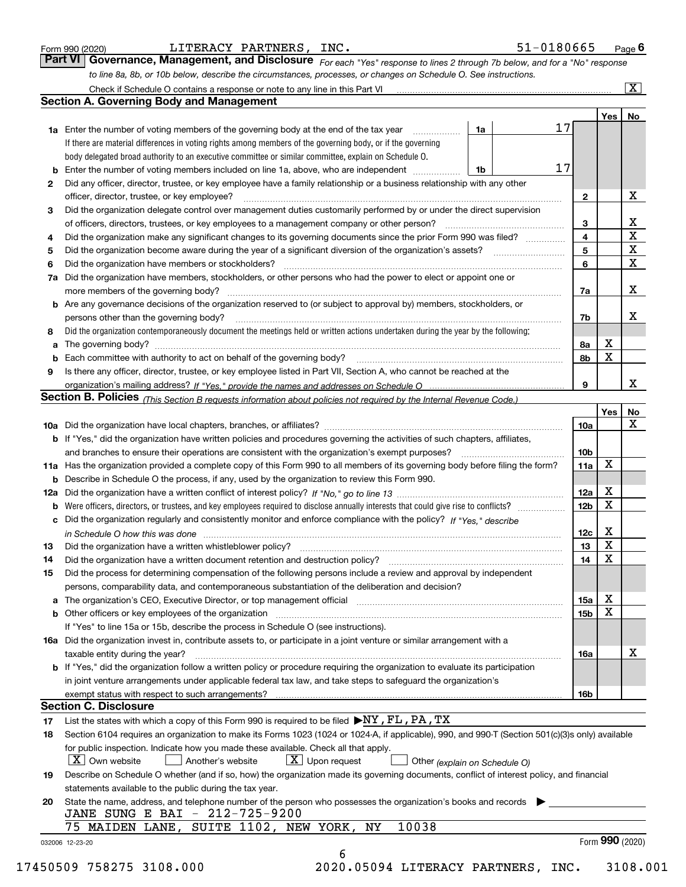| Form 990 (2020) |  |
|-----------------|--|
| Part VI Go      |  |

| <b>JITERACY</b> | PARTNERS, | INC. |
|-----------------|-----------|------|
|-----------------|-----------|------|

ı

|                                                                                                                  | <b>VI   GOVErnance, Management, and Disclosure</b> For each "Yes" response to lines 2 through 7b below, and for a "No" response |
|------------------------------------------------------------------------------------------------------------------|---------------------------------------------------------------------------------------------------------------------------------|
| to line 8a, 8b, or 10b below, describe the circumstances, processes, or changes on Schedule O. See instructions. |                                                                                                                                 |

|    | Check if Schedule O contains a response or note to any line in this Part VI [11] [12] Check if Schedule O contains a response or note to any line in this Part VI                                                              |    |  |    |                         |             | $\overline{\mathbf{x}}$ |
|----|--------------------------------------------------------------------------------------------------------------------------------------------------------------------------------------------------------------------------------|----|--|----|-------------------------|-------------|-------------------------|
|    | <b>Section A. Governing Body and Management</b>                                                                                                                                                                                |    |  |    |                         |             |                         |
|    |                                                                                                                                                                                                                                |    |  |    |                         | Yes l       | No                      |
|    | <b>1a</b> Enter the number of voting members of the governing body at the end of the tax year                                                                                                                                  | 1a |  | 17 |                         |             |                         |
|    | If there are material differences in voting rights among members of the governing body, or if the governing                                                                                                                    |    |  |    |                         |             |                         |
|    | body delegated broad authority to an executive committee or similar committee, explain on Schedule O.                                                                                                                          |    |  |    |                         |             |                         |
|    | <b>b</b> Enter the number of voting members included on line 1a, above, who are independent <i>manumum</i>                                                                                                                     | 1b |  | 17 |                         |             |                         |
| 2  | Did any officer, director, trustee, or key employee have a family relationship or a business relationship with any other                                                                                                       |    |  |    |                         |             |                         |
|    | officer, director, trustee, or key employee?                                                                                                                                                                                   |    |  |    | $\mathbf{2}$            |             | x                       |
| 3  | Did the organization delegate control over management duties customarily performed by or under the direct supervision                                                                                                          |    |  |    |                         |             |                         |
|    | of officers, directors, trustees, or key employees to a management company or other person?                                                                                                                                    |    |  |    | 3                       |             | X                       |
| 4  | Did the organization make any significant changes to its governing documents since the prior Form 990 was filed?                                                                                                               |    |  |    | $\overline{\mathbf{4}}$ |             | $\overline{\mathbf{x}}$ |
| 5  | Did the organization become aware during the year of a significant diversion of the organization's assets?                                                                                                                     |    |  |    | 5                       |             | X                       |
| 6  | Did the organization have members or stockholders?                                                                                                                                                                             |    |  |    | 6                       |             | $\overline{\mathbf{x}}$ |
|    | 7a Did the organization have members, stockholders, or other persons who had the power to elect or appoint one or                                                                                                              |    |  |    |                         |             |                         |
|    | more members of the governing body?                                                                                                                                                                                            |    |  |    | 7a                      |             | x                       |
|    | <b>b</b> Are any governance decisions of the organization reserved to (or subject to approval by) members, stockholders, or                                                                                                    |    |  |    |                         |             |                         |
|    | persons other than the governing body?                                                                                                                                                                                         |    |  |    | 7b                      |             | х                       |
| 8  | Did the organization contemporaneously document the meetings held or written actions undertaken during the year by the following:                                                                                              |    |  |    |                         |             |                         |
|    |                                                                                                                                                                                                                                |    |  |    | 8а                      | х           |                         |
|    | <b>b</b> Each committee with authority to act on behalf of the governing body?                                                                                                                                                 |    |  |    | 8b                      | X           |                         |
| 9  | Is there any officer, director, trustee, or key employee listed in Part VII, Section A, who cannot be reached at the                                                                                                           |    |  |    |                         |             |                         |
|    |                                                                                                                                                                                                                                |    |  |    | 9                       |             | x                       |
|    | Section B. Policies (This Section B requests information about policies not required by the Internal Revenue Code.)                                                                                                            |    |  |    |                         |             |                         |
|    |                                                                                                                                                                                                                                |    |  |    |                         | Yes         | No                      |
|    |                                                                                                                                                                                                                                |    |  |    | <b>10a</b>              |             | x                       |
|    | b If "Yes," did the organization have written policies and procedures governing the activities of such chapters, affiliates,                                                                                                   |    |  |    |                         |             |                         |
|    | and branches to ensure their operations are consistent with the organization's exempt purposes?                                                                                                                                |    |  |    |                         |             |                         |
|    | 11a Has the organization provided a complete copy of this Form 990 to all members of its governing body before filing the form?                                                                                                |    |  |    |                         |             |                         |
|    | <b>b</b> Describe in Schedule O the process, if any, used by the organization to review this Form 990.                                                                                                                         |    |  |    |                         |             |                         |
|    |                                                                                                                                                                                                                                |    |  |    |                         |             |                         |
|    |                                                                                                                                                                                                                                |    |  |    |                         |             |                         |
|    | c Did the organization regularly and consistently monitor and enforce compliance with the policy? If "Yes," describe                                                                                                           |    |  |    | 12 <sub>b</sub>         | $\mathbf X$ |                         |
|    | in Schedule O how this was done with the continuum control to the control of the control of the control of the                                                                                                                 |    |  |    | 12c                     | х           |                         |
| 13 | Did the organization have a written whistleblower policy?                                                                                                                                                                      |    |  |    | 13                      | X           |                         |
| 14 | Did the organization have a written document retention and destruction policy?                                                                                                                                                 |    |  |    | 14                      | $\mathbf X$ |                         |
| 15 | Did the process for determining compensation of the following persons include a review and approval by independent                                                                                                             |    |  |    |                         |             |                         |
|    | persons, comparability data, and contemporaneous substantiation of the deliberation and decision?                                                                                                                              |    |  |    |                         |             |                         |
|    |                                                                                                                                                                                                                                |    |  |    | 15a                     | х           |                         |
|    | b Other officers or key employees of the organization manufactured content to the organization manufactured by Other officers or key employees of the organization manufactured content of the organization manufactured by Ot |    |  |    | 15b                     | X           |                         |
|    | If "Yes" to line 15a or 15b, describe the process in Schedule O (see instructions).                                                                                                                                            |    |  |    |                         |             |                         |
|    | 16a Did the organization invest in, contribute assets to, or participate in a joint venture or similar arrangement with a                                                                                                      |    |  |    |                         |             |                         |
|    | taxable entity during the year?                                                                                                                                                                                                |    |  |    | 16a                     |             | х                       |
|    | b If "Yes," did the organization follow a written policy or procedure requiring the organization to evaluate its participation                                                                                                 |    |  |    |                         |             |                         |
|    | in joint venture arrangements under applicable federal tax law, and take steps to safeguard the organization's                                                                                                                 |    |  |    |                         |             |                         |
|    |                                                                                                                                                                                                                                |    |  |    | 16b                     |             |                         |
|    | <b>Section C. Disclosure</b>                                                                                                                                                                                                   |    |  |    |                         |             |                         |
| 17 | List the states with which a copy of this Form 990 is required to be filed $\blacktriangleright$ NY, FL, PA, TX                                                                                                                |    |  |    |                         |             |                         |
| 18 | Section 6104 requires an organization to make its Forms 1023 (1024 or 1024-A, if applicable), 990, and 990-T (Section 501(c)(3)s only) available                                                                               |    |  |    |                         |             |                         |
|    | for public inspection. Indicate how you made these available. Check all that apply.                                                                                                                                            |    |  |    |                         |             |                         |
|    | $X$ Own website<br>$X$ Upon request<br>Another's website<br>Other (explain on Schedule O)                                                                                                                                      |    |  |    |                         |             |                         |
| 19 | Describe on Schedule O whether (and if so, how) the organization made its governing documents, conflict of interest policy, and financial                                                                                      |    |  |    |                         |             |                         |
|    | statements available to the public during the tax year.                                                                                                                                                                        |    |  |    |                         |             |                         |
| 20 | State the name, address, and telephone number of the person who possesses the organization's books and records                                                                                                                 |    |  |    |                         |             |                         |
|    | JANE SUNG E BAI - 212-725-9200                                                                                                                                                                                                 |    |  |    |                         |             |                         |
|    | 10038<br>MAIDEN LANE, SUITE 1102, NEW YORK,<br>ΝY                                                                                                                                                                              |    |  |    |                         |             |                         |
|    | 032006 12-23-20                                                                                                                                                                                                                |    |  |    |                         |             | Form 990 (2020)         |
|    | 6                                                                                                                                                                                                                              |    |  |    |                         |             |                         |
|    |                                                                                                                                                                                                                                |    |  |    |                         |             |                         |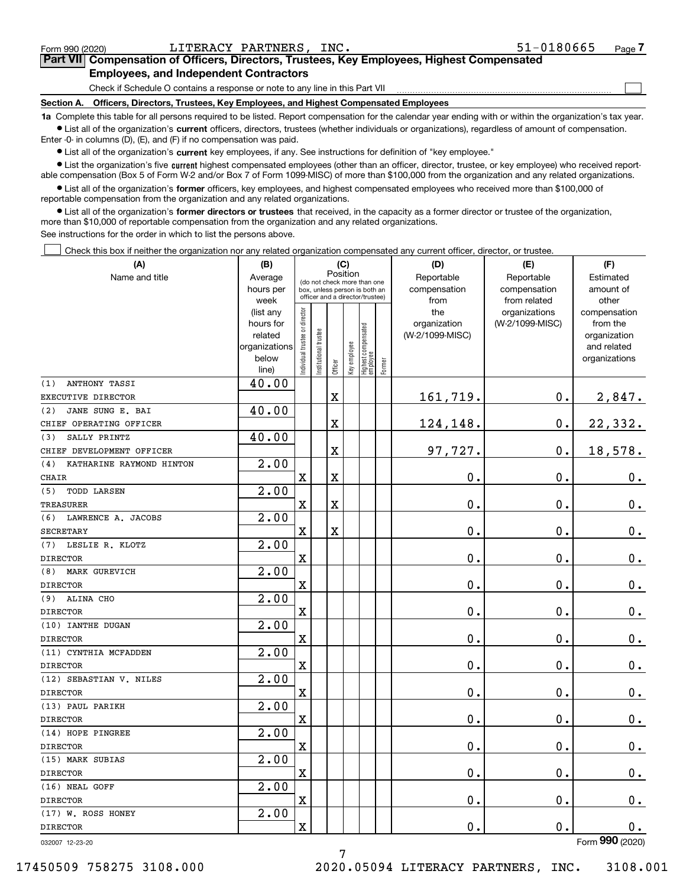| Form 990 (2020)                                                                                                                                            | LITERACY PARTNERS, INC.                                                                    | $51 - 0180665$ | Page |  |  |  |  |  |
|------------------------------------------------------------------------------------------------------------------------------------------------------------|--------------------------------------------------------------------------------------------|----------------|------|--|--|--|--|--|
|                                                                                                                                                            | Part VII Compensation of Officers, Directors, Trustees, Key Employees, Highest Compensated |                |      |  |  |  |  |  |
|                                                                                                                                                            | <b>Employees, and Independent Contractors</b>                                              |                |      |  |  |  |  |  |
|                                                                                                                                                            | Check if Schedule O contains a response or note to any line in this Part VII               |                |      |  |  |  |  |  |
| Section A.                                                                                                                                                 | Officers, Directors, Trustees, Key Employees, and Highest Compensated Employees            |                |      |  |  |  |  |  |
| to Complete this table for all persons required to be listed. Benort compensation for the calendar year ending with or within the organization's tay year. |                                                                                            |                |      |  |  |  |  |  |

red to be listed. Report compensation for the calendar year ending with or within the this table for all persons require • List all of the organization's current officers, directors, trustees (whether individuals or organizations), regardless of amount of compensation. Enter -0- in columns (D), (E), and (F) if no compensation was paid.

• List all of the organization's current key employees, if any. See instructions for definition of "key employee."

· List the organization's five current highest compensated employees (other than an officer, director, trustee, or key employee) who received reportable compensation (Box 5 of Form W-2 and/or Box 7 of Form 1099 MISC) of more than \$100,000 from the organization and any related organizations.

• List all of the organization's former officers, key employees, and highest compensated employees who received more than \$100,000 of reportable compensation from the organization and any related organizations.

· List all of the organization's former directors or trustees that received, in the capacity as a former director or trustee of the organization, more than \$10,000 of reportable compensation from the organization and any related organizations.

See instructions for the order in which to list the persons above.

Check this box if neither the organization nor any related organization compensated any current officer, director, or trustee.

| (A)                             | (B)                    | (C)                                     |                                                                  |                         |              |                                  |        | (D)                             | (E)                              | (F)                      |  |  |  |
|---------------------------------|------------------------|-----------------------------------------|------------------------------------------------------------------|-------------------------|--------------|----------------------------------|--------|---------------------------------|----------------------------------|--------------------------|--|--|--|
| Name and title                  | Average                | Position<br>(do not check more than one |                                                                  |                         |              |                                  |        | Reportable                      | Reportable                       | Estimated                |  |  |  |
|                                 | hours per              |                                         | box, unless person is both an<br>officer and a director/trustee) |                         |              |                                  |        | compensation                    | compensation                     | amount of                |  |  |  |
|                                 | week                   |                                         |                                                                  |                         |              |                                  |        | from                            | from related                     | other                    |  |  |  |
|                                 | (list any<br>hours for |                                         |                                                                  |                         |              |                                  |        | the                             | organizations<br>(W-2/1099-MISC) | compensation<br>from the |  |  |  |
|                                 | related                |                                         |                                                                  |                         |              |                                  |        | organization<br>(W-2/1099-MISC) |                                  | organization             |  |  |  |
|                                 | organizations          |                                         |                                                                  |                         |              |                                  |        |                                 |                                  | and related              |  |  |  |
|                                 | below                  | ndividual trustee or director           | Institutional trustee                                            |                         | Key employee |                                  |        |                                 |                                  | organizations            |  |  |  |
|                                 | line)                  |                                         |                                                                  | Officer                 |              | Highest compensated<br> employee | Former |                                 |                                  |                          |  |  |  |
| ANTHONY TASSI<br>(1)            | 40.00                  |                                         |                                                                  |                         |              |                                  |        |                                 |                                  |                          |  |  |  |
| EXECUTIVE DIRECTOR              |                        |                                         |                                                                  | X                       |              |                                  |        | 161,719.                        | 0.                               | 2,847.                   |  |  |  |
| JANE SUNG E. BAI<br>(2)         | 40.00                  |                                         |                                                                  |                         |              |                                  |        |                                 |                                  |                          |  |  |  |
| CHIEF OPERATING OFFICER         |                        |                                         |                                                                  | X                       |              |                                  |        | 124,148.                        | $0$ .                            | 22,332.                  |  |  |  |
| SALLY PRINTZ<br>(3)             | 40.00                  |                                         |                                                                  |                         |              |                                  |        |                                 |                                  |                          |  |  |  |
| CHIEF DEVELOPMENT OFFICER       |                        |                                         |                                                                  | X                       |              |                                  |        | 97,727.                         | 0.                               | 18,578.                  |  |  |  |
| KATHARINE RAYMOND HINTON<br>(4) | 2.00                   |                                         |                                                                  |                         |              |                                  |        |                                 |                                  |                          |  |  |  |
| <b>CHAIR</b>                    |                        | $\mathbf x$                             |                                                                  | $\overline{\textbf{X}}$ |              |                                  |        | 0.                              | 0.                               | $\mathbf 0$ .            |  |  |  |
| (5)<br><b>TODD LARSEN</b>       | 2.00                   |                                         |                                                                  |                         |              |                                  |        |                                 |                                  |                          |  |  |  |
| <b>TREASURER</b>                |                        | $\mathbf x$                             |                                                                  | X                       |              |                                  |        | 0.                              | 0.                               | $0_{.}$                  |  |  |  |
| (6) LAWRENCE A. JACOBS          | 2.00                   |                                         |                                                                  |                         |              |                                  |        |                                 |                                  |                          |  |  |  |
| <b>SECRETARY</b>                |                        | $\mathbf X$                             |                                                                  | X                       |              |                                  |        | $\mathbf 0$ .                   | 0.                               | $0_{.}$                  |  |  |  |
| LESLIE R. KLOTZ<br>(7)          | 2.00                   |                                         |                                                                  |                         |              |                                  |        |                                 |                                  |                          |  |  |  |
| <b>DIRECTOR</b>                 |                        | $\mathbf X$                             |                                                                  |                         |              |                                  |        | $\mathbf 0$ .                   | 0.                               | $0_{.}$                  |  |  |  |
| MARK GUREVICH<br>(8)            | 2.00                   |                                         |                                                                  |                         |              |                                  |        |                                 |                                  |                          |  |  |  |
| <b>DIRECTOR</b>                 |                        | $\mathbf x$                             |                                                                  |                         |              |                                  |        | 0.                              | 0.                               | $\mathbf 0$ .            |  |  |  |
| ALINA CHO<br>(9)                | 2.00                   |                                         |                                                                  |                         |              |                                  |        |                                 |                                  |                          |  |  |  |
| <b>DIRECTOR</b>                 |                        | $\mathbf x$                             |                                                                  |                         |              |                                  |        | 0.                              | 0.                               | $\mathbf 0$ .            |  |  |  |
| (10) IANTHE DUGAN               | 2.00                   |                                         |                                                                  |                         |              |                                  |        |                                 |                                  |                          |  |  |  |
| <b>DIRECTOR</b>                 |                        | $\mathbf x$                             |                                                                  |                         |              |                                  |        | 0.                              | 0.                               | $\mathbf 0$ .            |  |  |  |
| (11) CYNTHIA MCFADDEN           | 2.00                   |                                         |                                                                  |                         |              |                                  |        |                                 |                                  |                          |  |  |  |
| <b>DIRECTOR</b>                 |                        | $\mathbf X$                             |                                                                  |                         |              |                                  |        | 0.                              | 0.                               | $\mathbf 0$ .            |  |  |  |
| (12) SEBASTIAN V. NILES         | 2.00                   |                                         |                                                                  |                         |              |                                  |        |                                 |                                  |                          |  |  |  |
| <b>DIRECTOR</b>                 |                        | $\mathbf X$                             |                                                                  |                         |              |                                  |        | 0.                              | 0.                               | $\mathbf 0$ .            |  |  |  |
| (13) PAUL PARIKH                | 2.00                   |                                         |                                                                  |                         |              |                                  |        |                                 |                                  |                          |  |  |  |
| <b>DIRECTOR</b>                 |                        | $\mathbf X$                             |                                                                  |                         |              |                                  |        | 0.                              | 0.                               | 0.                       |  |  |  |
| (14) HOPE PINGREE               | 2.00                   |                                         |                                                                  |                         |              |                                  |        |                                 |                                  |                          |  |  |  |
| <b>DIRECTOR</b>                 |                        | $\mathbf X$                             |                                                                  |                         |              |                                  |        | 0.                              | 0.                               | $0_{.}$                  |  |  |  |
| (15) MARK SUBIAS                | 2.00                   |                                         |                                                                  |                         |              |                                  |        |                                 |                                  |                          |  |  |  |
| <b>DIRECTOR</b>                 |                        | $\mathbf X$                             |                                                                  |                         |              |                                  |        | $0$ .                           | 0.                               | 0.                       |  |  |  |
| (16) NEAL GOFF                  | 2.00                   |                                         |                                                                  |                         |              |                                  |        |                                 |                                  |                          |  |  |  |
| <b>DIRECTOR</b>                 |                        | $\mathbf X$                             |                                                                  |                         |              |                                  |        | $0$ .                           | $0$ .                            | $0_{.}$                  |  |  |  |
| (17) W. ROSS HONEY              | 2.00                   |                                         |                                                                  |                         |              |                                  |        |                                 |                                  |                          |  |  |  |
| <b>DIRECTOR</b>                 |                        | $\mathbf x$                             |                                                                  |                         |              |                                  |        | 0.                              | 0.                               | 0.                       |  |  |  |
|                                 |                        |                                         |                                                                  |                         |              |                                  |        |                                 |                                  | nnn.                     |  |  |  |

032007 12-23-20

Form 990 (2020)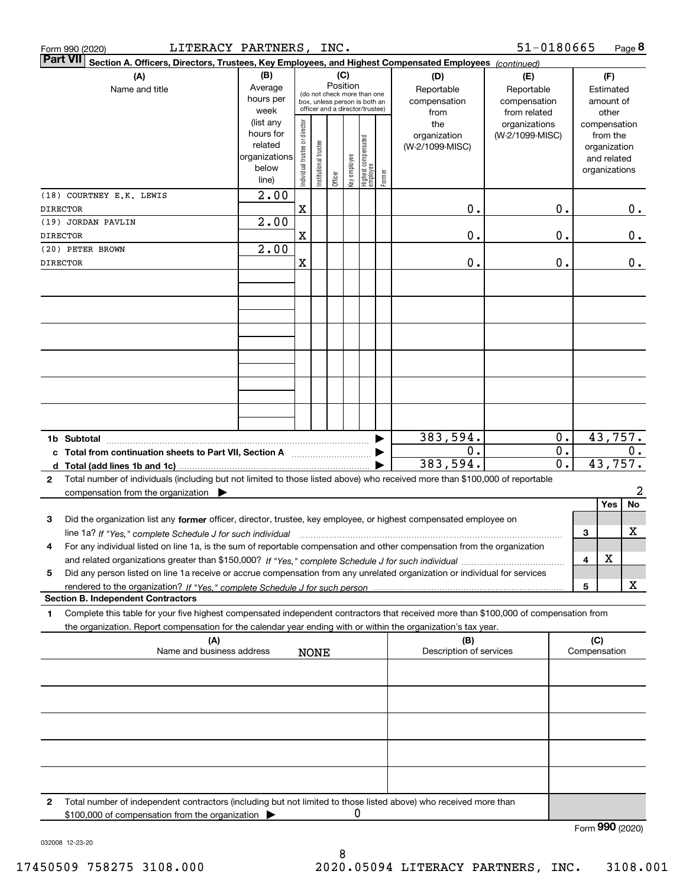|                 | LITERACY PARTNERS, INC.<br>Form 990 (2020)                                                                                                                                                                                                                                    |                                                                      |                                |                                                                                                 |         |              |                                 |        |                                           | 51-0180665                                        |                                      |                                                                          | Page 8           |
|-----------------|-------------------------------------------------------------------------------------------------------------------------------------------------------------------------------------------------------------------------------------------------------------------------------|----------------------------------------------------------------------|--------------------------------|-------------------------------------------------------------------------------------------------|---------|--------------|---------------------------------|--------|-------------------------------------------|---------------------------------------------------|--------------------------------------|--------------------------------------------------------------------------|------------------|
| <b>Part VII</b> | Section A. Officers, Directors, Trustees, Key Employees, and Highest Compensated Employees (continued)                                                                                                                                                                        |                                                                      |                                |                                                                                                 |         |              |                                 |        |                                           |                                                   |                                      |                                                                          |                  |
|                 | (A)<br>Name and title                                                                                                                                                                                                                                                         | (B)<br>Average<br>hours per<br>week                                  |                                | (do not check more than one<br>box, unless person is both an<br>officer and a director/trustee) | (C)     | Position     |                                 |        | (D)<br>Reportable<br>compensation<br>from | (E)<br>Reportable<br>compensation<br>from related |                                      | (F)<br>Estimated<br>amount of<br>other                                   |                  |
|                 |                                                                                                                                                                                                                                                                               | (list any<br>hours for<br>related<br>organizations<br>below<br>line) | Individual trustee or director | nstitutional trustee                                                                            | Officer | Key employee | Highest compensated<br>employee | Former | the<br>organization<br>(W-2/1099-MISC)    | organizations<br>(W-2/1099-MISC)                  |                                      | compensation<br>from the<br>organization<br>and related<br>organizations |                  |
| <b>DIRECTOR</b> | (18) COURTNEY E.K. LEWIS                                                                                                                                                                                                                                                      | 2.00                                                                 | X                              |                                                                                                 |         |              |                                 |        | 0.                                        |                                                   | 0.                                   |                                                                          | $0$ .            |
| <b>DIRECTOR</b> | (19) JORDAN PAVLIN                                                                                                                                                                                                                                                            | 2.00                                                                 | X                              |                                                                                                 |         |              |                                 |        | 0.                                        |                                                   | 0.                                   |                                                                          | $\mathbf 0$ .    |
| <b>DIRECTOR</b> | (20) PETER BROWN                                                                                                                                                                                                                                                              | 2.00                                                                 | X                              |                                                                                                 |         |              |                                 |        | 0.                                        |                                                   | 0.                                   |                                                                          | 0.               |
|                 |                                                                                                                                                                                                                                                                               |                                                                      |                                |                                                                                                 |         |              |                                 |        |                                           |                                                   |                                      |                                                                          |                  |
|                 |                                                                                                                                                                                                                                                                               |                                                                      |                                |                                                                                                 |         |              |                                 |        |                                           |                                                   |                                      |                                                                          |                  |
|                 |                                                                                                                                                                                                                                                                               |                                                                      |                                |                                                                                                 |         |              |                                 |        |                                           |                                                   |                                      |                                                                          |                  |
|                 | 1b Subtotal                                                                                                                                                                                                                                                                   |                                                                      |                                |                                                                                                 |         |              |                                 |        | 383,594.                                  |                                                   | 0.                                   | 43,757.                                                                  |                  |
|                 | c Total from continuation sheets to Part VII, Section A [11] [12] Total from continuation sheets to Part VII, Section A<br>d Total (add lines 1b and 1c)                                                                                                                      |                                                                      |                                |                                                                                                 |         |              |                                 |        | 0.<br>383,594.                            |                                                   | $\overline{0}$ .<br>$\overline{0}$ . | 43,757.                                                                  | 0.               |
| $\mathbf{2}$    | Total number of individuals (including but not limited to those listed above) who received more than \$100,000 of reportable<br>compensation from the organization $\blacktriangleright$                                                                                      |                                                                      |                                |                                                                                                 |         |              |                                 |        |                                           |                                                   |                                      |                                                                          | $\boldsymbol{2}$ |
| 3               | Did the organization list any former officer, director, trustee, key employee, or highest compensated employee on                                                                                                                                                             |                                                                      |                                |                                                                                                 |         |              |                                 |        |                                           |                                                   |                                      | Yes                                                                      | <b>No</b>        |
| 4               | line 1a? If "Yes," complete Schedule J for such individual material content content to the content of the complete Schedule J for such individual<br>For any individual listed on line 1a, is the sum of reportable compensation and other compensation from the organization |                                                                      |                                |                                                                                                 |         |              |                                 |        |                                           |                                                   |                                      | 3                                                                        | X                |
| 5               | Did any person listed on line 1a receive or accrue compensation from any unrelated organization or individual for services                                                                                                                                                    |                                                                      |                                |                                                                                                 |         |              |                                 |        |                                           |                                                   |                                      | X<br>4                                                                   |                  |
|                 | <b>Section B. Independent Contractors</b>                                                                                                                                                                                                                                     |                                                                      |                                |                                                                                                 |         |              |                                 |        |                                           |                                                   |                                      | 5                                                                        | X                |
| 1               | Complete this table for your five highest compensated independent contractors that received more than \$100,000 of compensation from<br>the organization. Report compensation for the calendar year ending with or within the organization's tax year.                        |                                                                      |                                |                                                                                                 |         |              |                                 |        |                                           |                                                   |                                      |                                                                          |                  |
|                 | (A)<br>Name and business address                                                                                                                                                                                                                                              |                                                                      |                                | <b>NONE</b>                                                                                     |         |              |                                 |        | (B)<br>Description of services            |                                                   |                                      | (C)<br>Compensation                                                      |                  |
|                 |                                                                                                                                                                                                                                                                               |                                                                      |                                |                                                                                                 |         |              |                                 |        |                                           |                                                   |                                      |                                                                          |                  |
|                 |                                                                                                                                                                                                                                                                               |                                                                      |                                |                                                                                                 |         |              |                                 |        |                                           |                                                   |                                      |                                                                          |                  |
|                 |                                                                                                                                                                                                                                                                               |                                                                      |                                |                                                                                                 |         |              |                                 |        |                                           |                                                   |                                      |                                                                          |                  |
|                 |                                                                                                                                                                                                                                                                               |                                                                      |                                |                                                                                                 |         |              |                                 |        |                                           |                                                   |                                      |                                                                          |                  |
| 2               | Total number of independent contractors (including but not limited to those listed above) who received more than<br>\$100,000 of compensation from the organization                                                                                                           |                                                                      |                                |                                                                                                 |         | 0            |                                 |        |                                           |                                                   |                                      | Form 990 (2020)                                                          |                  |

032008 12-23-20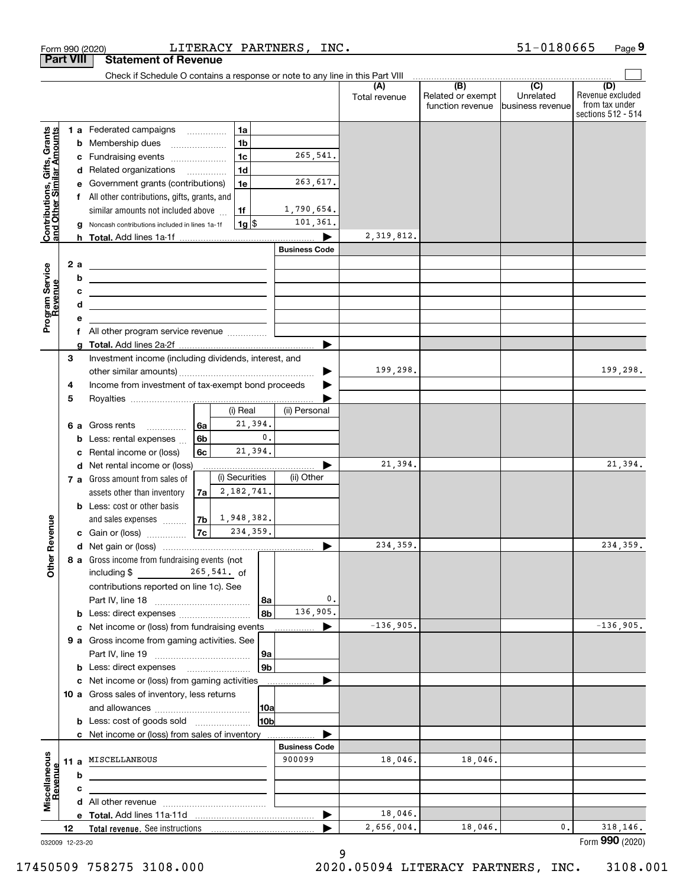|                                                           |                  |        | LITERACY PARTNERS, INC.<br>Form 990 (2020)                                                                             |                      |                  |                      |                                       | 51-0180665                    | Page 9                                                          |
|-----------------------------------------------------------|------------------|--------|------------------------------------------------------------------------------------------------------------------------|----------------------|------------------|----------------------|---------------------------------------|-------------------------------|-----------------------------------------------------------------|
|                                                           | <b>Part VIII</b> |        | <b>Statement of Revenue</b>                                                                                            |                      |                  |                      |                                       |                               |                                                                 |
|                                                           |                  |        | Check if Schedule O contains a response or note to any line in this Part VIII                                          |                      |                  |                      | (B)                                   | $\overline{(C)}$              |                                                                 |
|                                                           |                  |        |                                                                                                                        |                      |                  | (A)<br>Total revenue | Related or exempt<br>function revenue | Unrelated<br>business revenue | (D)<br>Revenue excluded<br>from tax under<br>sections 512 - 514 |
|                                                           |                  |        | l 1a<br>1 a Federated campaigns                                                                                        |                      |                  |                      |                                       |                               |                                                                 |
| Contributions, Gifts, Grants<br>and Other Similar Amounts |                  |        | 1 <sub>b</sub><br><b>b</b> Membership dues<br>$\ldots \ldots \ldots \ldots \ldots$                                     |                      |                  |                      |                                       |                               |                                                                 |
|                                                           |                  |        | 1c<br>c Fundraising events                                                                                             | 265,541.             |                  |                      |                                       |                               |                                                                 |
|                                                           |                  |        | 1 <sub>d</sub><br>d Related organizations                                                                              |                      |                  |                      |                                       |                               |                                                                 |
|                                                           |                  |        | 1e<br>e Government grants (contributions)                                                                              | 263,617.             |                  |                      |                                       |                               |                                                                 |
|                                                           |                  |        | f All other contributions, gifts, grants, and                                                                          |                      |                  |                      |                                       |                               |                                                                 |
|                                                           |                  |        | similar amounts not included above<br>1f                                                                               | 1,790,654.           |                  |                      |                                       |                               |                                                                 |
|                                                           |                  |        | $1g$ \$<br>g Noncash contributions included in lines 1a-1f                                                             | 101,361.             |                  |                      |                                       |                               |                                                                 |
|                                                           |                  |        |                                                                                                                        |                      |                  | 2,319,812.           |                                       |                               |                                                                 |
|                                                           |                  |        |                                                                                                                        | <b>Business Code</b> |                  |                      |                                       |                               |                                                                 |
|                                                           |                  | 2 a    | <u> 1989 - Johann Barn, fransk politik amerikansk politik (</u>                                                        |                      |                  |                      |                                       |                               |                                                                 |
|                                                           |                  | b      | <u> 1989 - Johann Barbara, martxa alemaniar amerikan a</u>                                                             |                      |                  |                      |                                       |                               |                                                                 |
|                                                           |                  | с<br>d | <u> 1989 - Johann Barn, mars ann an t-Amhain ann an t-Amhain an t-Amhain an t-Amhain an t-Amhain an t-Amhain an t-</u> |                      |                  |                      |                                       |                               |                                                                 |
| Program Service<br>Revenue                                |                  | е      | <u> 1989 - Johann Barbara, martxa alemaniar a</u>                                                                      |                      |                  |                      |                                       |                               |                                                                 |
|                                                           |                  |        |                                                                                                                        |                      |                  |                      |                                       |                               |                                                                 |
|                                                           |                  | g      |                                                                                                                        |                      |                  |                      |                                       |                               |                                                                 |
|                                                           | З                |        | Investment income (including dividends, interest, and                                                                  |                      |                  |                      |                                       |                               |                                                                 |
|                                                           |                  |        |                                                                                                                        |                      | ▶                | 199,298.             |                                       |                               | 199,298.                                                        |
|                                                           | 4                |        | Income from investment of tax-exempt bond proceeds                                                                     |                      |                  |                      |                                       |                               |                                                                 |
|                                                           | 5                |        |                                                                                                                        |                      |                  |                      |                                       |                               |                                                                 |
|                                                           |                  |        | (i) Real                                                                                                               | (ii) Personal        |                  |                      |                                       |                               |                                                                 |
|                                                           |                  |        | 21,394.<br><b>6 a</b> Gross rents<br>6a                                                                                |                      |                  |                      |                                       |                               |                                                                 |
|                                                           |                  | b      | $\mathbf{0}$ .<br>6 <sub>b</sub><br>Less: rental expenses                                                              |                      |                  |                      |                                       |                               |                                                                 |
|                                                           |                  | c      | 21,394.<br>6c<br>Rental income or (loss)                                                                               |                      |                  | 21,394.              |                                       |                               | 21,394.                                                         |
|                                                           |                  |        | d Net rental income or (loss)<br>(i) Securities<br>7 a Gross amount from sales of                                      | (ii) Other           | ▶                |                      |                                       |                               |                                                                 |
|                                                           |                  |        | 2, 182, 741.<br>assets other than inventory<br>7a                                                                      |                      |                  |                      |                                       |                               |                                                                 |
|                                                           |                  |        | <b>b</b> Less: cost or other basis                                                                                     |                      |                  |                      |                                       |                               |                                                                 |
|                                                           |                  |        | 1,948,382.<br><b>7b</b><br>and sales expenses                                                                          |                      |                  |                      |                                       |                               |                                                                 |
| evenue                                                    |                  |        | 7c<br>234,359.<br>c Gain or (loss)                                                                                     |                      |                  |                      |                                       |                               |                                                                 |
| č                                                         |                  |        |                                                                                                                        |                      |                  | 234,359.             |                                       |                               | 234,359.                                                        |
| Other                                                     |                  |        | 8 a Gross income from fundraising events (not<br>including \$<br>$265,541.$ of                                         |                      |                  |                      |                                       |                               |                                                                 |
|                                                           |                  |        | contributions reported on line 1c). See                                                                                |                      |                  |                      |                                       |                               |                                                                 |
|                                                           |                  |        | 8a                                                                                                                     |                      | $\mathfrak{o}$ . |                      |                                       |                               |                                                                 |
|                                                           |                  |        | 8 <sub>b</sub>                                                                                                         | 136,905.             |                  |                      |                                       |                               |                                                                 |
|                                                           |                  |        | c Net income or (loss) from fundraising events                                                                         |                      |                  | $-136,905.$          |                                       |                               | $-136,905.$                                                     |
|                                                           |                  |        | 9 a Gross income from gaming activities. See                                                                           |                      |                  |                      |                                       |                               |                                                                 |
|                                                           |                  |        | 9a                                                                                                                     |                      |                  |                      |                                       |                               |                                                                 |
|                                                           |                  |        | 9 <sub>b</sub>                                                                                                         |                      |                  |                      |                                       |                               |                                                                 |
|                                                           |                  |        | c Net income or (loss) from gaming activities                                                                          |                      | ▶                |                      |                                       |                               |                                                                 |
|                                                           |                  |        | 10 a Gross sales of inventory, less returns<br> 10a                                                                    |                      |                  |                      |                                       |                               |                                                                 |
|                                                           |                  |        | 10b                                                                                                                    |                      |                  |                      |                                       |                               |                                                                 |
|                                                           |                  |        | c Net income or (loss) from sales of inventory                                                                         |                      |                  |                      |                                       |                               |                                                                 |
|                                                           |                  |        |                                                                                                                        | <b>Business Code</b> |                  |                      |                                       |                               |                                                                 |
|                                                           |                  |        | 11 a MISCELLANEOUS                                                                                                     | 900099               |                  | 18,046.              | 18,046.                               |                               |                                                                 |
| Miscellaneous<br>Revenue                                  |                  | b      |                                                                                                                        |                      |                  |                      |                                       |                               |                                                                 |
|                                                           |                  | c      |                                                                                                                        |                      |                  |                      |                                       |                               |                                                                 |
|                                                           |                  |        |                                                                                                                        |                      |                  |                      |                                       |                               |                                                                 |
|                                                           |                  |        |                                                                                                                        |                      | ▶                | 18,046.              |                                       |                               |                                                                 |
|                                                           | 12               |        | Total revenue. See instructions                                                                                        |                      |                  | 2,656,004.           | 18,046.                               | $\mathbf{0}$ .                | 318,146.                                                        |
| 032009 12-23-20                                           |                  |        |                                                                                                                        |                      |                  |                      |                                       |                               | Form 990 (2020)                                                 |

9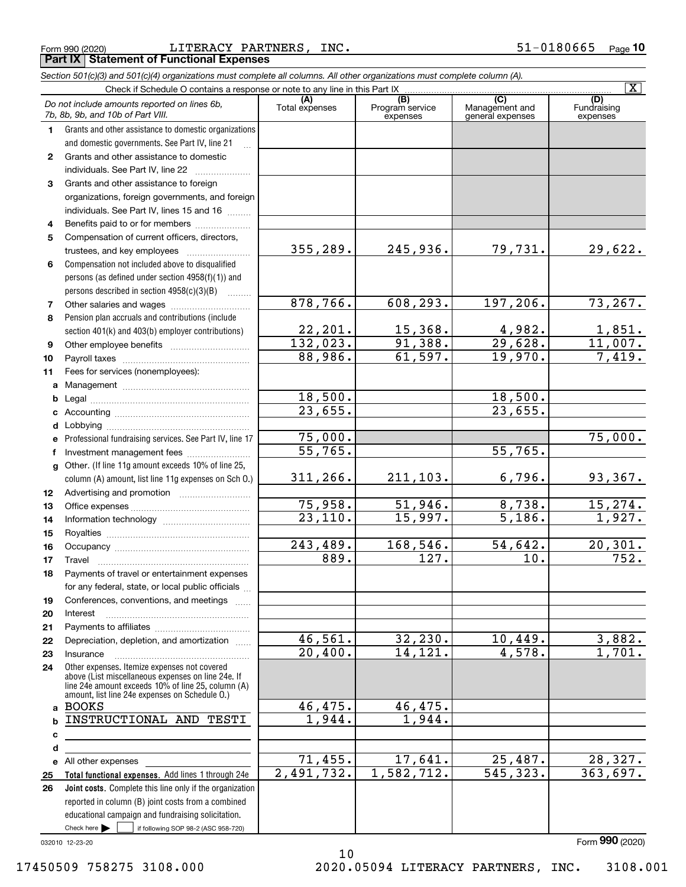|  | Form 990 (2020) |
|--|-----------------|
|  |                 |

LITERACY PARTNERS, INC. **Part IX Statement of Functional Expenses** 

|                  | Section 501(c)(3) and 501(c)(4) organizations must complete all columns. All other organizations must complete column (A).                                                                                 |                       |                                    |                                           |                                |
|------------------|------------------------------------------------------------------------------------------------------------------------------------------------------------------------------------------------------------|-----------------------|------------------------------------|-------------------------------------------|--------------------------------|
|                  | Check if Schedule O contains a response or note to any line in this Part IX                                                                                                                                |                       |                                    |                                           | $\overline{\mathbf{x}}$        |
|                  | Do not include amounts reported on lines 6b,<br>7b, 8b, 9b, and 10b of Part VIII.                                                                                                                          | (A)<br>Total expenses | (B)<br>Program service<br>expenses | (C)<br>Management and<br>general expenses | (D)<br>Fundraising<br>expenses |
| 1.               | Grants and other assistance to domestic organizations                                                                                                                                                      |                       |                                    |                                           |                                |
|                  | and domestic governments. See Part IV, line 21                                                                                                                                                             |                       |                                    |                                           |                                |
| $\mathbf{2}$     | Grants and other assistance to domestic                                                                                                                                                                    |                       |                                    |                                           |                                |
|                  | individuals. See Part IV, line 22                                                                                                                                                                          |                       |                                    |                                           |                                |
| 3                | Grants and other assistance to foreign                                                                                                                                                                     |                       |                                    |                                           |                                |
|                  | organizations, foreign governments, and foreign                                                                                                                                                            |                       |                                    |                                           |                                |
|                  | individuals. See Part IV, lines 15 and 16                                                                                                                                                                  |                       |                                    |                                           |                                |
| 4                | Benefits paid to or for members                                                                                                                                                                            |                       |                                    |                                           |                                |
| 5                | Compensation of current officers, directors,                                                                                                                                                               |                       |                                    |                                           |                                |
|                  | trustees, and key employees                                                                                                                                                                                | 355,289.              | 245,936.                           | 79,731.                                   | 29,622.                        |
| 6                | Compensation not included above to disqualified                                                                                                                                                            |                       |                                    |                                           |                                |
|                  | persons (as defined under section 4958(f)(1)) and                                                                                                                                                          |                       |                                    |                                           |                                |
|                  | persons described in section 4958(c)(3)(B)                                                                                                                                                                 |                       |                                    |                                           |                                |
| 7                |                                                                                                                                                                                                            | 878,766.              | 608, 293.                          | 197, 206.                                 | 73, 267.                       |
| 8                | Pension plan accruals and contributions (include                                                                                                                                                           |                       |                                    |                                           |                                |
|                  | section 401(k) and 403(b) employer contributions)                                                                                                                                                          | 22,201.               | 15,368.                            | 4,982.                                    | $\frac{1,851.}{11,007.}$       |
| 9                |                                                                                                                                                                                                            | 132,023.              | 91,388.                            | 29,628.                                   |                                |
| 10               |                                                                                                                                                                                                            | 88,986.               | 61,597.                            | 19,970.                                   | 7,419.                         |
| 11               | Fees for services (nonemployees):                                                                                                                                                                          |                       |                                    |                                           |                                |
| a                |                                                                                                                                                                                                            |                       |                                    |                                           |                                |
| b                |                                                                                                                                                                                                            | 18,500.               |                                    | 18,500.                                   |                                |
| c                |                                                                                                                                                                                                            | 23,655.               |                                    | 23,655.                                   |                                |
| d                |                                                                                                                                                                                                            |                       |                                    |                                           |                                |
| е                | Professional fundraising services. See Part IV, line 17                                                                                                                                                    | 75,000.               |                                    |                                           | 75,000.                        |
| f                | Investment management fees                                                                                                                                                                                 | 55,765.               |                                    | 55,765.                                   |                                |
| g                | Other. (If line 11g amount exceeds 10% of line 25,                                                                                                                                                         |                       |                                    |                                           |                                |
|                  | column (A) amount, list line 11g expenses on Sch O.)                                                                                                                                                       | 311, 266.             | 211,103.                           | 6,796.                                    | 93,367.                        |
| 12 <sup>12</sup> |                                                                                                                                                                                                            |                       |                                    |                                           |                                |
| 13               |                                                                                                                                                                                                            | 75,958.               | 51,946.                            | 8,738.                                    | 15, 274.                       |
| 14               |                                                                                                                                                                                                            | 23,110.               | 15,997.                            | $\overline{5,186}$ .                      | 1,927.                         |
| 15               |                                                                                                                                                                                                            |                       |                                    |                                           |                                |
| 16               |                                                                                                                                                                                                            | 243,489.              | 168,546.                           | 54,642.                                   | 20, 301.                       |
| 17               |                                                                                                                                                                                                            | 889.                  | 127.                               | 10.                                       | 752.                           |
| 18               | Payments of travel or entertainment expenses                                                                                                                                                               |                       |                                    |                                           |                                |
|                  | for any federal, state, or local public officials                                                                                                                                                          |                       |                                    |                                           |                                |
| 19               | Conferences, conventions, and meetings                                                                                                                                                                     |                       |                                    |                                           |                                |
| 20               | Interest                                                                                                                                                                                                   |                       |                                    |                                           |                                |
| 21               |                                                                                                                                                                                                            |                       |                                    |                                           |                                |
| 22               | Depreciation, depletion, and amortization                                                                                                                                                                  | 46,561.               | 32, 230.                           | 10,449.                                   | 3,882.                         |
| 23               | Insurance                                                                                                                                                                                                  | $\overline{20,400}$ . | 14, 121.                           | 4,578.                                    | 1,701.                         |
| 24               | Other expenses. Itemize expenses not covered<br>above (List miscellaneous expenses on line 24e. If<br>line 24e amount exceeds 10% of line 25, column (A)<br>amount, list line 24e expenses on Schedule O.) |                       |                                    |                                           |                                |
| a                | <b>BOOKS</b>                                                                                                                                                                                               | 46,475.               | 46,475.                            |                                           |                                |
| b                | INSTRUCTIONAL AND TESTI                                                                                                                                                                                    | 1,944.                | 1,944.                             |                                           |                                |
| c                |                                                                                                                                                                                                            |                       |                                    |                                           |                                |
| d                |                                                                                                                                                                                                            |                       |                                    |                                           |                                |
|                  | e All other expenses                                                                                                                                                                                       | 71,455.               | 17,641.                            | 25,487.                                   | 28,327.                        |
| 25               | Total functional expenses. Add lines 1 through 24e                                                                                                                                                         | 2,491,732.            | 1,582,712.                         | 545, 323.                                 | 363,697.                       |
| 26               | Joint costs. Complete this line only if the organization                                                                                                                                                   |                       |                                    |                                           |                                |
|                  | reported in column (B) joint costs from a combined                                                                                                                                                         |                       |                                    |                                           |                                |
|                  | educational campaign and fundraising solicitation.                                                                                                                                                         |                       |                                    |                                           |                                |
|                  | Check here $\blacktriangleright$<br>if following SOP 98-2 (ASC 958-720)                                                                                                                                    |                       |                                    |                                           |                                |

 $10$ 

032010 12-23-20

2020.05094 LITERACY PARTNERS, INC. 3108.001

Form 990 (2020)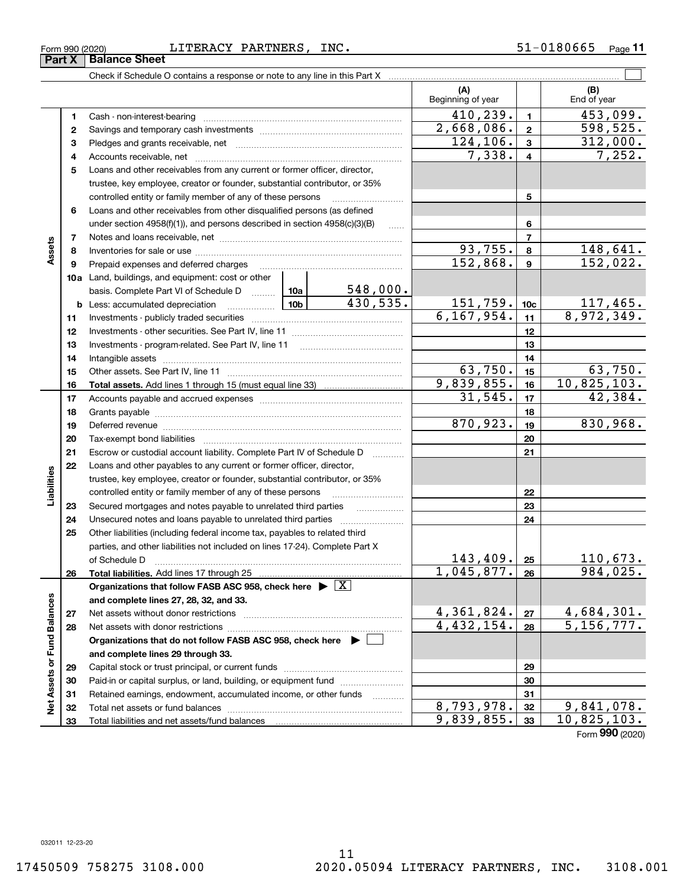17450509 758275 3108.000

Form 990 (2020)

|                             |    |                                                                                                                              |                                                                           |                      | (A)<br>Beginning of year        |                         | (B)<br>End of year            |
|-----------------------------|----|------------------------------------------------------------------------------------------------------------------------------|---------------------------------------------------------------------------|----------------------|---------------------------------|-------------------------|-------------------------------|
|                             | 1  |                                                                                                                              |                                                                           |                      | 410, 239.                       | $\blacksquare$          | $\overline{453,099}$ .        |
|                             | 2  |                                                                                                                              |                                                                           |                      | 2,668,086.                      | $\overline{\mathbf{2}}$ | 598, 525.                     |
|                             | з  |                                                                                                                              |                                                                           |                      | 124, 106.                       | $\mathbf{3}$            | 312,000.                      |
|                             | 4  |                                                                                                                              |                                                                           |                      | 7,338.                          | $\overline{4}$          | 7,252.                        |
|                             | 5  |                                                                                                                              | Loans and other receivables from any current or former officer, director, |                      |                                 |                         |                               |
|                             |    | trustee, key employee, creator or founder, substantial contributor, or 35%                                                   |                                                                           |                      |                                 |                         |                               |
|                             |    | controlled entity or family member of any of these persons                                                                   |                                                                           |                      |                                 | 5                       |                               |
|                             | 6  | Loans and other receivables from other disqualified persons (as defined                                                      |                                                                           |                      |                                 |                         |                               |
|                             |    | under section $4958(f)(1)$ , and persons described in section $4958(c)(3)(B)$                                                |                                                                           | $\sim$               |                                 | 6                       |                               |
|                             | 7  |                                                                                                                              |                                                                           |                      |                                 | $\overline{7}$          |                               |
| Assets                      | 8  |                                                                                                                              |                                                                           |                      | 93,755.                         | 8                       | <u> 148,641.</u>              |
|                             | 9  | Prepaid expenses and deferred charges                                                                                        |                                                                           |                      | 152,868.                        | $\mathbf{9}$            | 152,022.                      |
|                             |    | 10a Land, buildings, and equipment: cost or other                                                                            |                                                                           |                      |                                 |                         |                               |
|                             |    | basis. Complete Part VI of Schedule D  10a                                                                                   |                                                                           | 548,000.<br>430,535. |                                 |                         |                               |
|                             |    | <u>  1</u> 0b<br><b>b</b> Less: accumulated depreciation                                                                     | $\frac{151,759.}{6,167,954.}$                                             | 10 <sub>c</sub>      | $\frac{117,465}{8,972,349}$ .   |                         |                               |
|                             | 11 |                                                                                                                              |                                                                           |                      |                                 | 11                      |                               |
|                             | 12 |                                                                                                                              |                                                                           | 12                   |                                 |                         |                               |
|                             | 13 |                                                                                                                              |                                                                           | 13                   |                                 |                         |                               |
|                             | 14 |                                                                                                                              |                                                                           | 14                   |                                 |                         |                               |
|                             | 15 |                                                                                                                              |                                                                           |                      | 63,750.                         | 15                      | $\frac{63,750}{10,825,103.}$  |
|                             | 16 |                                                                                                                              |                                                                           |                      | 9,839,855.                      | 16                      |                               |
|                             | 17 |                                                                                                                              |                                                                           |                      | 31,545.                         | 17                      | 42,384.                       |
|                             | 18 |                                                                                                                              | 870,923.                                                                  | 18                   | 830,968.                        |                         |                               |
|                             | 19 | Deferred revenue manual contracts and contracts are all the manual contracts and contracts are all the contracts of          |                                                                           |                      |                                 | 19                      |                               |
|                             | 20 |                                                                                                                              |                                                                           |                      |                                 | 20                      |                               |
|                             | 21 | Escrow or custodial account liability. Complete Part IV of Schedule D                                                        |                                                                           | 1.1.1.1.1.1.1.1.1.1  |                                 | 21                      |                               |
|                             | 22 | Loans and other payables to any current or former officer, director,                                                         |                                                                           |                      |                                 |                         |                               |
| Liabilities                 |    | trustee, key employee, creator or founder, substantial contributor, or 35%                                                   |                                                                           |                      |                                 | 22                      |                               |
|                             | 23 | controlled entity or family member of any of these persons<br>Secured mortgages and notes payable to unrelated third parties |                                                                           |                      |                                 | 23                      |                               |
|                             | 24 | Unsecured notes and loans payable to unrelated third parties                                                                 |                                                                           |                      |                                 | 24                      |                               |
|                             | 25 | Other liabilities (including federal income tax, payables to related third                                                   |                                                                           |                      |                                 |                         |                               |
|                             |    | parties, and other liabilities not included on lines 17-24). Complete Part X                                                 |                                                                           |                      |                                 |                         |                               |
|                             |    | of Schedule D <b>with the contract of Schedule D</b>                                                                         |                                                                           |                      | 143, 409.                       | 25                      | 110,673.                      |
|                             | 26 | Total liabilities. Add lines 17 through 25                                                                                   |                                                                           |                      | 1,045,877.                      | 26                      | 984,025.                      |
|                             |    | Organizations that follow FASB ASC 958, check here $\blacktriangleright \boxed{X}$                                           |                                                                           |                      |                                 |                         |                               |
|                             |    | and complete lines 27, 28, 32, and 33.                                                                                       |                                                                           |                      |                                 |                         |                               |
|                             | 27 | Net assets without donor restrictions                                                                                        |                                                                           |                      |                                 | 27                      |                               |
|                             | 28 | Net assets with donor restrictions                                                                                           |                                                                           |                      | $\frac{4,361,824.}{4,432,154.}$ | 28                      | $\frac{4,684,301}{5,156,777}$ |
|                             |    | Organizations that do not follow FASB ASC 958, check here ▶ U                                                                |                                                                           |                      |                                 |                         |                               |
|                             |    | and complete lines 29 through 33.                                                                                            |                                                                           |                      |                                 |                         |                               |
|                             | 29 |                                                                                                                              |                                                                           | 29                   |                                 |                         |                               |
|                             | 30 | Paid-in or capital surplus, or land, building, or equipment fund                                                             |                                                                           |                      |                                 | 30                      |                               |
| Net Assets or Fund Balances | 31 | Retained earnings, endowment, accumulated income, or other funds                                                             |                                                                           | .                    |                                 | 31                      |                               |
|                             | 32 | Total net assets or fund balances                                                                                            | 8,793,978.                                                                | 32                   | 9,841,078.                      |                         |                               |
|                             | 33 |                                                                                                                              |                                                                           |                      | 9,839,855.                      | 33                      | 10,825,103.                   |

Form 990 (2020)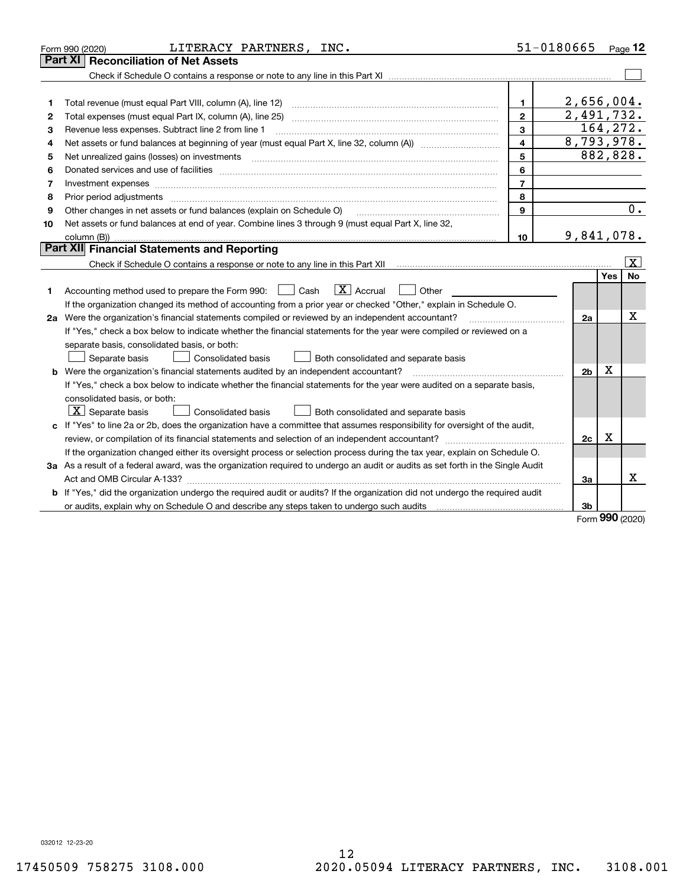|    | LITERACY PARTNERS, INC.<br>Form 990 (2020)                                                                                                                                                                                     | 51-0180665     |                          |     | Page $12$               |
|----|--------------------------------------------------------------------------------------------------------------------------------------------------------------------------------------------------------------------------------|----------------|--------------------------|-----|-------------------------|
|    | Part XI<br><b>Reconciliation of Net Assets</b>                                                                                                                                                                                 |                |                          |     |                         |
|    |                                                                                                                                                                                                                                |                |                          |     |                         |
|    |                                                                                                                                                                                                                                |                |                          |     |                         |
| 1  | Total revenue (must equal Part VIII, column (A), line 12)                                                                                                                                                                      | 1              | 2,656,004.               |     |                         |
| 2  |                                                                                                                                                                                                                                | $\mathbf{2}$   | $\overline{2,491,732}$ . |     |                         |
| 3  | Revenue less expenses. Subtract line 2 from line 1                                                                                                                                                                             | 3              | 164,272.                 |     |                         |
| 4  |                                                                                                                                                                                                                                | 4              | 8,793,978.               |     |                         |
| 5  | Net unrealized gains (losses) on investments                                                                                                                                                                                   | 5              | 882,828.                 |     |                         |
| 6  | Donated services and use of facilities [111] Donated and the service of facilities [11] Donated services and use of facilities [11] Donated and the service of the service of the service of the service of the service of the | 6              |                          |     |                         |
| 7  | Investment expenses www.communication.com/www.communication.com/www.communication.com/www.com                                                                                                                                  | $\overline{7}$ |                          |     |                         |
| 8  | Prior period adjustments                                                                                                                                                                                                       | 8              |                          |     |                         |
| 9  | Other changes in net assets or fund balances (explain on Schedule O)                                                                                                                                                           | 9              |                          |     | 0.                      |
| 10 | Net assets or fund balances at end of year. Combine lines 3 through 9 (must equal Part X, line 32,                                                                                                                             |                |                          |     |                         |
|    | column (B))                                                                                                                                                                                                                    | 10             | 9,841,078.               |     |                         |
|    | Part XII Financial Statements and Reporting                                                                                                                                                                                    |                |                          |     |                         |
|    |                                                                                                                                                                                                                                |                |                          |     | $\overline{\mathbf{x}}$ |
|    |                                                                                                                                                                                                                                |                |                          | Yes | No                      |
| 1  | $\boxed{\mathbf{X}}$ Accrual<br>Accounting method used to prepare the Form 990: <u>I</u> Cash<br>Other                                                                                                                         |                |                          |     |                         |
|    | If the organization changed its method of accounting from a prior year or checked "Other," explain in Schedule O.                                                                                                              |                |                          |     |                         |
|    | 2a Were the organization's financial statements compiled or reviewed by an independent accountant?                                                                                                                             |                | 2a                       |     | x                       |
|    | If "Yes," check a box below to indicate whether the financial statements for the year were compiled or reviewed on a                                                                                                           |                |                          |     |                         |
|    | separate basis, consolidated basis, or both:                                                                                                                                                                                   |                |                          |     |                         |
|    | Consolidated basis<br>Both consolidated and separate basis<br>Separate basis                                                                                                                                                   |                |                          |     |                         |
|    | <b>b</b> Were the organization's financial statements audited by an independent accountant?                                                                                                                                    |                | 2 <sub>b</sub>           | X   |                         |
|    | If "Yes," check a box below to indicate whether the financial statements for the year were audited on a separate basis,                                                                                                        |                |                          |     |                         |
|    | consolidated basis, or both:                                                                                                                                                                                                   |                |                          |     |                         |
|    | $X$ Separate basis<br><b>Consolidated basis</b><br>Both consolidated and separate basis                                                                                                                                        |                |                          |     |                         |
|    | c If "Yes" to line 2a or 2b, does the organization have a committee that assumes responsibility for oversight of the audit,                                                                                                    |                |                          |     |                         |
|    | review, or compilation of its financial statements and selection of an independent accountant?                                                                                                                                 |                | 2c                       | х   |                         |
|    | If the organization changed either its oversight process or selection process during the tax year, explain on Schedule O.                                                                                                      |                |                          |     |                         |
|    | 3a As a result of a federal award, was the organization required to undergo an audit or audits as set forth in the Single Audit                                                                                                |                |                          |     |                         |
|    |                                                                                                                                                                                                                                |                | За                       |     | x                       |
|    | b If "Yes," did the organization undergo the required audit or audits? If the organization did not undergo the required audit                                                                                                  |                |                          |     |                         |
|    |                                                                                                                                                                                                                                |                | 3b                       |     |                         |

Form 990 (2020)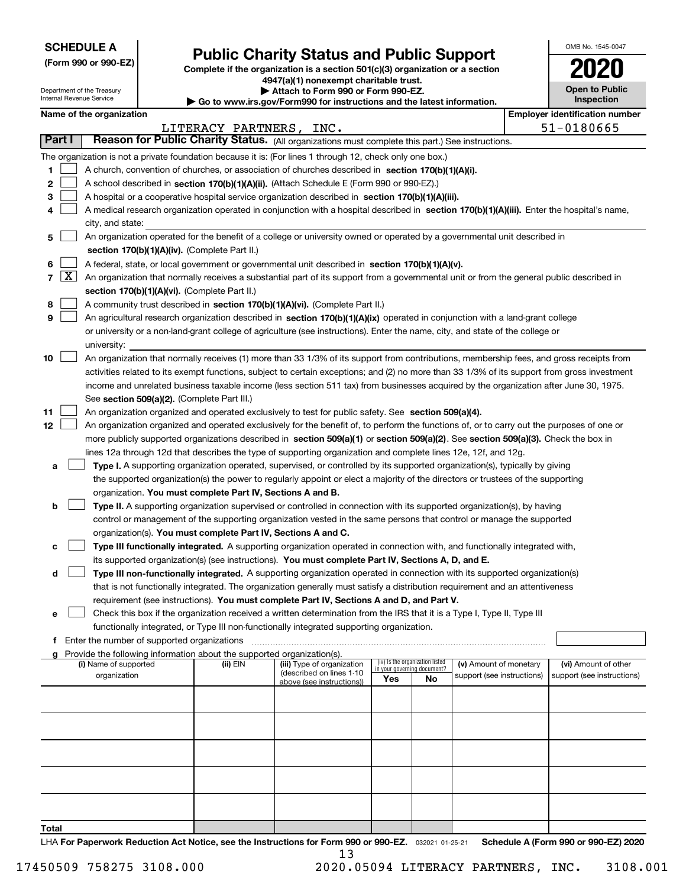Department of the Treasury

Internal Revenue Service

| (Form 990 or 990-EZ) |  |  |  |  |
|----------------------|--|--|--|--|
|----------------------|--|--|--|--|

## **Public Charity Status and Public Support**

Complete if the organization is a section 501(c)(3) organization or a section 4947(a)(1) nonexempt charitable trust.

Attach to Form 990 or Form 990-EZ.

Go to www.irs.gov/Form990 for instructions and the latest information.

| OMB No 1545-0047                    |
|-------------------------------------|
| l                                   |
| <b>Open to Public</b><br>Inspection |

### Name of the organization

|       | Name of the organization<br><b>Employer identification number</b> |                                                                                                                                                         |                         |                                                       |                                                                |     |                            |  |                            |
|-------|-------------------------------------------------------------------|---------------------------------------------------------------------------------------------------------------------------------------------------------|-------------------------|-------------------------------------------------------|----------------------------------------------------------------|-----|----------------------------|--|----------------------------|
|       |                                                                   |                                                                                                                                                         | LITERACY PARTNERS, INC. |                                                       |                                                                |     |                            |  | 51-0180665                 |
|       | Part I                                                            | Reason for Public Charity Status. (All organizations must complete this part.) See instructions.                                                        |                         |                                                       |                                                                |     |                            |  |                            |
|       |                                                                   | The organization is not a private foundation because it is: (For lines 1 through 12, check only one box.)                                               |                         |                                                       |                                                                |     |                            |  |                            |
| 1     |                                                                   | A church, convention of churches, or association of churches described in section 170(b)(1)(A)(i).                                                      |                         |                                                       |                                                                |     |                            |  |                            |
| 2     |                                                                   | A school described in section 170(b)(1)(A)(ii). (Attach Schedule E (Form 990 or 990-EZ).)                                                               |                         |                                                       |                                                                |     |                            |  |                            |
| з     |                                                                   | A hospital or a cooperative hospital service organization described in section 170(b)(1)(A)(iii).                                                       |                         |                                                       |                                                                |     |                            |  |                            |
| 4     |                                                                   | A medical research organization operated in conjunction with a hospital described in section 170(b)(1)(A)(iii). Enter the hospital's name,              |                         |                                                       |                                                                |     |                            |  |                            |
|       |                                                                   | city, and state:                                                                                                                                        |                         |                                                       |                                                                |     |                            |  |                            |
| 5     |                                                                   | An organization operated for the benefit of a college or university owned or operated by a governmental unit described in                               |                         |                                                       |                                                                |     |                            |  |                            |
|       |                                                                   | section 170(b)(1)(A)(iv). (Complete Part II.)                                                                                                           |                         |                                                       |                                                                |     |                            |  |                            |
| 6     |                                                                   | A federal, state, or local government or governmental unit described in section 170(b)(1)(A)(v).                                                        |                         |                                                       |                                                                |     |                            |  |                            |
| 7     | $\lfloor x \rfloor$                                               | An organization that normally receives a substantial part of its support from a governmental unit or from the general public described in               |                         |                                                       |                                                                |     |                            |  |                            |
|       |                                                                   | section 170(b)(1)(A)(vi). (Complete Part II.)                                                                                                           |                         |                                                       |                                                                |     |                            |  |                            |
| 8     |                                                                   | A community trust described in section 170(b)(1)(A)(vi). (Complete Part II.)                                                                            |                         |                                                       |                                                                |     |                            |  |                            |
| 9     |                                                                   | An agricultural research organization described in section 170(b)(1)(A)(ix) operated in conjunction with a land-grant college                           |                         |                                                       |                                                                |     |                            |  |                            |
|       |                                                                   | or university or a non-land-grant college of agriculture (see instructions). Enter the name, city, and state of the college or                          |                         |                                                       |                                                                |     |                            |  |                            |
| 10    |                                                                   | university:<br>An organization that normally receives (1) more than 33 1/3% of its support from contributions, membership fees, and gross receipts from |                         |                                                       |                                                                |     |                            |  |                            |
|       |                                                                   | activities related to its exempt functions, subject to certain exceptions; and (2) no more than 33 1/3% of its support from gross investment            |                         |                                                       |                                                                |     |                            |  |                            |
|       |                                                                   | income and unrelated business taxable income (less section 511 tax) from businesses acquired by the organization after June 30, 1975.                   |                         |                                                       |                                                                |     |                            |  |                            |
|       |                                                                   | See section 509(a)(2). (Complete Part III.)                                                                                                             |                         |                                                       |                                                                |     |                            |  |                            |
| 11    |                                                                   | An organization organized and operated exclusively to test for public safety. See section 509(a)(4).                                                    |                         |                                                       |                                                                |     |                            |  |                            |
| 12    |                                                                   | An organization organized and operated exclusively for the benefit of, to perform the functions of, or to carry out the purposes of one or              |                         |                                                       |                                                                |     |                            |  |                            |
|       |                                                                   | more publicly supported organizations described in section 509(a)(1) or section 509(a)(2). See section 509(a)(3). Check the box in                      |                         |                                                       |                                                                |     |                            |  |                            |
|       |                                                                   | lines 12a through 12d that describes the type of supporting organization and complete lines 12e, 12f, and 12g.                                          |                         |                                                       |                                                                |     |                            |  |                            |
| а     |                                                                   | Type I. A supporting organization operated, supervised, or controlled by its supported organization(s), typically by giving                             |                         |                                                       |                                                                |     |                            |  |                            |
|       |                                                                   | the supported organization(s) the power to regularly appoint or elect a majority of the directors or trustees of the supporting                         |                         |                                                       |                                                                |     |                            |  |                            |
|       |                                                                   | organization. You must complete Part IV, Sections A and B.                                                                                              |                         |                                                       |                                                                |     |                            |  |                            |
| b     |                                                                   | Type II. A supporting organization supervised or controlled in connection with its supported organization(s), by having                                 |                         |                                                       |                                                                |     |                            |  |                            |
|       |                                                                   | control or management of the supporting organization vested in the same persons that control or manage the supported                                    |                         |                                                       |                                                                |     |                            |  |                            |
|       |                                                                   | organization(s). You must complete Part IV, Sections A and C.                                                                                           |                         |                                                       |                                                                |     |                            |  |                            |
|       |                                                                   | Type III functionally integrated. A supporting organization operated in connection with, and functionally integrated with,                              |                         |                                                       |                                                                |     |                            |  |                            |
|       |                                                                   | its supported organization(s) (see instructions). You must complete Part IV, Sections A, D, and E.                                                      |                         |                                                       |                                                                |     |                            |  |                            |
| d     |                                                                   | Type III non-functionally integrated. A supporting organization operated in connection with its supported organization(s)                               |                         |                                                       |                                                                |     |                            |  |                            |
|       |                                                                   | that is not functionally integrated. The organization generally must satisfy a distribution requirement and an attentiveness                            |                         |                                                       |                                                                |     |                            |  |                            |
|       |                                                                   | requirement (see instructions). You must complete Part IV, Sections A and D, and Part V.                                                                |                         |                                                       |                                                                |     |                            |  |                            |
| е     |                                                                   | Check this box if the organization received a written determination from the IRS that it is a Type I, Type II, Type III                                 |                         |                                                       |                                                                |     |                            |  |                            |
|       |                                                                   | functionally integrated, or Type III non-functionally integrated supporting organization.                                                               |                         |                                                       |                                                                |     |                            |  |                            |
|       |                                                                   | f Enter the number of supported organizations<br>g Provide the following information about the supported organization(s).                               |                         |                                                       |                                                                |     |                            |  |                            |
|       |                                                                   | (i) Name of supported                                                                                                                                   | (ii) EIN                | (iii) Type of organization                            | (iv) Is the organization listed<br>in your governing document? |     | (v) Amount of monetary     |  | (vi) Amount of other       |
|       |                                                                   | organization                                                                                                                                            |                         | (described on lines 1-10<br>above (see instructions)) | Yes                                                            | No. | support (see instructions) |  | support (see instructions) |
|       |                                                                   |                                                                                                                                                         |                         |                                                       |                                                                |     |                            |  |                            |
|       |                                                                   |                                                                                                                                                         |                         |                                                       |                                                                |     |                            |  |                            |
|       |                                                                   |                                                                                                                                                         |                         |                                                       |                                                                |     |                            |  |                            |
|       |                                                                   |                                                                                                                                                         |                         |                                                       |                                                                |     |                            |  |                            |
|       |                                                                   |                                                                                                                                                         |                         |                                                       |                                                                |     |                            |  |                            |
|       |                                                                   |                                                                                                                                                         |                         |                                                       |                                                                |     |                            |  |                            |
|       |                                                                   |                                                                                                                                                         |                         |                                                       |                                                                |     |                            |  |                            |
|       |                                                                   |                                                                                                                                                         |                         |                                                       |                                                                |     |                            |  |                            |
|       |                                                                   |                                                                                                                                                         |                         |                                                       |                                                                |     |                            |  |                            |
|       |                                                                   |                                                                                                                                                         |                         |                                                       |                                                                |     |                            |  |                            |
| Total |                                                                   |                                                                                                                                                         |                         |                                                       |                                                                |     |                            |  |                            |

LHA For Paperwork Reduction Act Notice, see the Instructions for Form 990 or 990-EZ. 032021 01-25-21 Schedule A (Form 990 or 990-EZ) 2020 13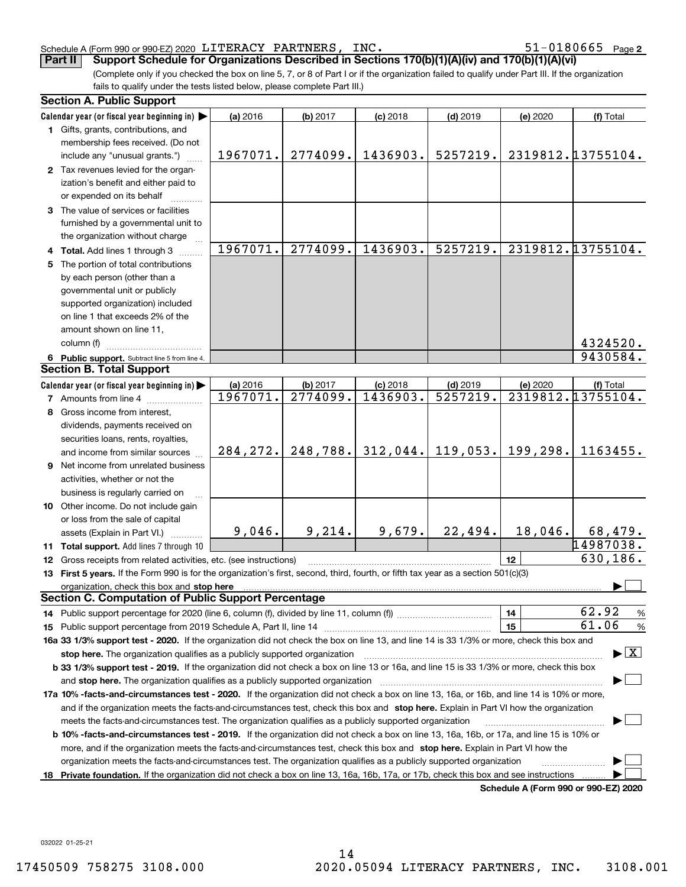#### Schedule A (Form 990 or 990-EZ) 2020 LITERACY PARTNERS, INC. Part II

 $51 - 0180665$  Page 2

Support Schedule for Organizations Described in Sections 170(b)(1)(A)(iv) and 170(b)(1)(A)(vi) (Complete only if you checked the box on line 5, 7, or 8 of Part I or if the organization failed to qualify under Part III. If the organization fails to qualify under the tests listed below, please complete Part III.)

|    | <b>Section A. Public Support</b>                                                                                                                                                                                               |           |          |                        |            |          |                                      |
|----|--------------------------------------------------------------------------------------------------------------------------------------------------------------------------------------------------------------------------------|-----------|----------|------------------------|------------|----------|--------------------------------------|
|    | Calendar year (or fiscal year beginning in)                                                                                                                                                                                    | (a) 2016  | (b) 2017 | $(c)$ 2018             | $(d)$ 2019 | (e) 2020 | (f) Total                            |
|    | 1 Gifts, grants, contributions, and                                                                                                                                                                                            |           |          |                        |            |          |                                      |
|    | membership fees received. (Do not                                                                                                                                                                                              |           |          |                        |            |          |                                      |
|    | include any "unusual grants.")                                                                                                                                                                                                 | 1967071.  | 2774099. | 1436903.               | 5257219.   |          | 2319812.13755104.                    |
|    | 2 Tax revenues levied for the organ-                                                                                                                                                                                           |           |          |                        |            |          |                                      |
|    | ization's benefit and either paid to                                                                                                                                                                                           |           |          |                        |            |          |                                      |
|    | or expended on its behalf                                                                                                                                                                                                      |           |          |                        |            |          |                                      |
|    | 3 The value of services or facilities                                                                                                                                                                                          |           |          |                        |            |          |                                      |
|    | furnished by a governmental unit to                                                                                                                                                                                            |           |          |                        |            |          |                                      |
|    | the organization without charge                                                                                                                                                                                                |           |          |                        |            |          |                                      |
|    | 4 Total. Add lines 1 through 3                                                                                                                                                                                                 | 1967071.  | 2774099. | 1436903.               | 5257219.   |          | 2319812.13755104.                    |
| 5. | The portion of total contributions                                                                                                                                                                                             |           |          |                        |            |          |                                      |
|    | by each person (other than a                                                                                                                                                                                                   |           |          |                        |            |          |                                      |
|    | governmental unit or publicly                                                                                                                                                                                                  |           |          |                        |            |          |                                      |
|    | supported organization) included                                                                                                                                                                                               |           |          |                        |            |          |                                      |
|    | on line 1 that exceeds 2% of the                                                                                                                                                                                               |           |          |                        |            |          |                                      |
|    | amount shown on line 11,                                                                                                                                                                                                       |           |          |                        |            |          |                                      |
|    | column (f)                                                                                                                                                                                                                     |           |          |                        |            |          | 4324520.                             |
|    |                                                                                                                                                                                                                                |           |          |                        |            |          | 9430584.                             |
|    | 6 Public support. Subtract line 5 from line 4.<br><b>Section B. Total Support</b>                                                                                                                                              |           |          |                        |            |          |                                      |
|    | Calendar year (or fiscal year beginning in)                                                                                                                                                                                    | (a) 2016  | (b) 2017 |                        | $(d)$ 2019 |          |                                      |
|    | <b>7</b> Amounts from line 4                                                                                                                                                                                                   | 1967071.  | 2774099. | $(c)$ 2018<br>1436903. | 5257219.   | (e) 2020 | (f) Total<br>2319812.13755104.       |
|    |                                                                                                                                                                                                                                |           |          |                        |            |          |                                      |
| 8  | Gross income from interest,                                                                                                                                                                                                    |           |          |                        |            |          |                                      |
|    | dividends, payments received on                                                                                                                                                                                                |           |          |                        |            |          |                                      |
|    | securities loans, rents, royalties,                                                                                                                                                                                            | 284, 272. | 248,788. | 312,044.               | 119,053.   | 199,298. | 1163455.                             |
|    | and income from similar sources                                                                                                                                                                                                |           |          |                        |            |          |                                      |
|    | <b>9</b> Net income from unrelated business                                                                                                                                                                                    |           |          |                        |            |          |                                      |
|    | activities, whether or not the                                                                                                                                                                                                 |           |          |                        |            |          |                                      |
|    | business is regularly carried on                                                                                                                                                                                               |           |          |                        |            |          |                                      |
|    | 10 Other income. Do not include gain                                                                                                                                                                                           |           |          |                        |            |          |                                      |
|    | or loss from the sale of capital                                                                                                                                                                                               |           |          |                        |            |          |                                      |
|    | assets (Explain in Part VI.)                                                                                                                                                                                                   | 9,046.    | 9,214.   | 9,679.                 | 22,494.    | 18,046.  | 68,479.                              |
|    | 11 Total support. Add lines 7 through 10                                                                                                                                                                                       |           |          |                        |            |          | 14987038.                            |
|    | <b>12</b> Gross receipts from related activities, etc. (see instructions)                                                                                                                                                      |           |          |                        |            | 12       | 630,186.                             |
|    | 13 First 5 years. If the Form 990 is for the organization's first, second, third, fourth, or fifth tax year as a section 501(c)(3)                                                                                             |           |          |                        |            |          |                                      |
|    | organization, check this box and stop here manufactured and content to the state of the state of the state of the state of the state of the state of the state of the state of the state of the state of the state of the stat |           |          |                        |            |          |                                      |
|    | <b>Section C. Computation of Public Support Percentage</b>                                                                                                                                                                     |           |          |                        |            |          |                                      |
|    |                                                                                                                                                                                                                                |           |          |                        |            | 14       | 62.92<br>%                           |
|    |                                                                                                                                                                                                                                |           |          |                        |            | 15       | 61.06<br>%                           |
|    | 16a 33 1/3% support test - 2020. If the organization did not check the box on line 13, and line 14 is 33 1/3% or more, check this box and                                                                                      |           |          |                        |            |          |                                      |
|    | stop here. The organization qualifies as a publicly supported organization                                                                                                                                                     |           |          |                        |            |          | $\blacktriangleright$ $\mid$ X       |
|    | b 33 1/3% support test - 2019. If the organization did not check a box on line 13 or 16a, and line 15 is 33 1/3% or more, check this box                                                                                       |           |          |                        |            |          |                                      |
|    | and stop here. The organization qualifies as a publicly supported organization                                                                                                                                                 |           |          |                        |            |          |                                      |
|    | 17a 10% -facts-and-circumstances test - 2020. If the organization did not check a box on line 13, 16a, or 16b, and line 14 is 10% or more,                                                                                     |           |          |                        |            |          |                                      |
|    | and if the organization meets the facts-and-circumstances test, check this box and stop here. Explain in Part VI how the organization                                                                                          |           |          |                        |            |          |                                      |
|    | meets the facts-and-circumstances test. The organization qualifies as a publicly supported organization                                                                                                                        |           |          |                        |            |          |                                      |
|    | <b>b 10% -facts-and-circumstances test - 2019.</b> If the organization did not check a box on line 13, 16a, 16b, or 17a, and line 15 is 10% or                                                                                 |           |          |                        |            |          |                                      |
|    | more, and if the organization meets the facts-and-circumstances test, check this box and stop here. Explain in Part VI how the                                                                                                 |           |          |                        |            |          |                                      |
|    | organization meets the facts-and-circumstances test. The organization qualifies as a publicly supported organization                                                                                                           |           |          |                        |            |          |                                      |
|    | 18 Private foundation. If the organization did not check a box on line 13, 16a, 16b, 17a, or 17b, check this box and see instructions                                                                                          |           |          |                        |            |          |                                      |
|    |                                                                                                                                                                                                                                |           |          |                        |            |          | Schedule A (Form 990 or 990-F7) 2020 |

Schedule A (Form 990 or 990-EZ) 2020

032022 01-25-21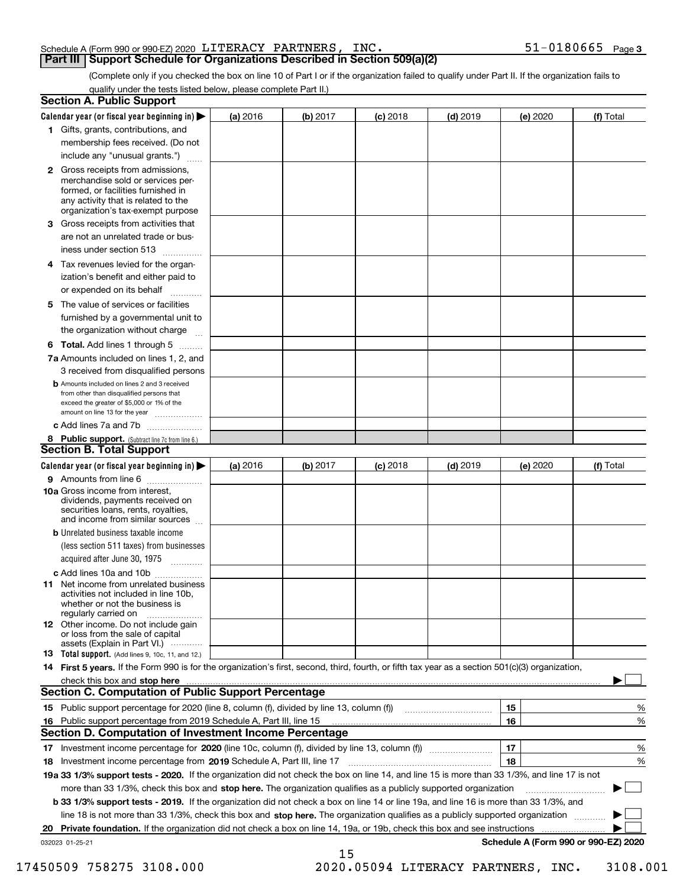#### Schedule A (Form 990 or 990-EZ) 2020 LITERACY PARTNERS **INC**

**Part III | Support Schedule for Organizations Described in Section 509(a)(2)** 

(Complete only if you checked the box on line 10 of Part I or if the organization failed to qualify under Part II. If the organization fails to qualify under the tests listed below, please complete Part II.)

|    | Section A. Public Support                                                                                                                                                                |          |          |            |            |                                      |           |
|----|------------------------------------------------------------------------------------------------------------------------------------------------------------------------------------------|----------|----------|------------|------------|--------------------------------------|-----------|
|    | Calendar year (or fiscal year beginning in) $\blacktriangleright$                                                                                                                        | (a) 2016 | (b) 2017 | $(c)$ 2018 | $(d)$ 2019 | (e) 2020                             | (f) Total |
|    | 1 Gifts, grants, contributions, and                                                                                                                                                      |          |          |            |            |                                      |           |
|    | membership fees received. (Do not                                                                                                                                                        |          |          |            |            |                                      |           |
|    | include any "unusual grants.")<br>.                                                                                                                                                      |          |          |            |            |                                      |           |
|    | 2 Gross receipts from admissions,<br>merchandise sold or services per-<br>formed, or facilities furnished in<br>any activity that is related to the<br>organization's tax-exempt purpose |          |          |            |            |                                      |           |
|    | <b>3</b> Gross receipts from activities that<br>are not an unrelated trade or bus-                                                                                                       |          |          |            |            |                                      |           |
|    | iness under section 513                                                                                                                                                                  |          |          |            |            |                                      |           |
| 4  | Tax revenues levied for the organ-<br>ization's benefit and either paid to<br>or expended on its behalf<br>.                                                                             |          |          |            |            |                                      |           |
|    | 5 The value of services or facilities<br>furnished by a governmental unit to                                                                                                             |          |          |            |            |                                      |           |
|    | the organization without charge                                                                                                                                                          |          |          |            |            |                                      |           |
|    | 6 Total. Add lines 1 through 5                                                                                                                                                           |          |          |            |            |                                      |           |
|    | 7a Amounts included on lines 1, 2, and<br>3 received from disqualified persons                                                                                                           |          |          |            |            |                                      |           |
|    | <b>b</b> Amounts included on lines 2 and 3 received<br>from other than disqualified persons that<br>exceed the greater of \$5,000 or 1% of the<br>amount on line 13 for the year         |          |          |            |            |                                      |           |
|    | c Add lines 7a and 7b                                                                                                                                                                    |          |          |            |            |                                      |           |
|    | 8 Public support. (Subtract line 7c from line 6.)<br><b>Section B. Total Support</b>                                                                                                     |          |          |            |            |                                      |           |
|    | Calendar year (or fiscal year beginning in)                                                                                                                                              | (a) 2016 | (b) 2017 | $(c)$ 2018 | $(d)$ 2019 | (e) 2020                             | (f) Total |
|    | 9 Amounts from line 6                                                                                                                                                                    |          |          |            |            |                                      |           |
|    | 10a Gross income from interest,<br>dividends, payments received on<br>securities loans, rents, royalties,<br>and income from similar sources                                             |          |          |            |            |                                      |           |
|    | <b>b</b> Unrelated business taxable income                                                                                                                                               |          |          |            |            |                                      |           |
|    | (less section 511 taxes) from businesses<br>acquired after June 30, 1975 [100]                                                                                                           |          |          |            |            |                                      |           |
|    | c Add lines 10a and 10b                                                                                                                                                                  |          |          |            |            |                                      |           |
|    | <b>11</b> Net income from unrelated business<br>activities not included in line 10b,<br>whether or not the business is<br>regularly carried on                                           |          |          |            |            |                                      |           |
|    | 12 Other income. Do not include gain<br>or loss from the sale of capital<br>assets (Explain in Part VI.)                                                                                 |          |          |            |            |                                      |           |
|    | <b>13</b> Total support. (Add lines 9, 10c, 11, and 12.)                                                                                                                                 |          |          |            |            |                                      |           |
|    | 14 First 5 years. If the Form 990 is for the organization's first, second, third, fourth, or fifth tax year as a section 501(c)(3) organization,                                         |          |          |            |            |                                      |           |
|    | check this box and stop here                                                                                                                                                             |          |          |            |            |                                      |           |
|    | <b>Section C. Computation of Public Support Percentage</b>                                                                                                                               |          |          |            |            |                                      |           |
|    | 15 Public support percentage for 2020 (line 8, column (f), divided by line 13, column (f))                                                                                               |          |          |            |            | 15                                   | %         |
| 16 | Public support percentage from 2019 Schedule A, Part III, line 15                                                                                                                        |          |          |            |            | 16                                   | $\%$      |
|    | <b>Section D. Computation of Investment Income Percentage</b>                                                                                                                            |          |          |            |            |                                      |           |
|    |                                                                                                                                                                                          |          |          |            |            | 17                                   | %         |
|    | 18 Investment income percentage from 2019 Schedule A, Part III, line 17                                                                                                                  |          |          |            |            | 18                                   | %         |
|    | 19a 33 1/3% support tests - 2020. If the organization did not check the box on line 14, and line 15 is more than 33 1/3%, and line 17 is not                                             |          |          |            |            |                                      |           |
|    | more than 33 1/3%, check this box and stop here. The organization qualifies as a publicly supported organization                                                                         |          |          |            |            |                                      |           |
|    | b 33 1/3% support tests - 2019. If the organization did not check a box on line 14 or line 19a, and line 16 is more than 33 1/3%, and                                                    |          |          |            |            |                                      |           |
|    | line 18 is not more than 33 1/3%, check this box and stop here. The organization qualifies as a publicly supported organization                                                          |          |          |            |            |                                      |           |
| 20 | Private foundation. If the organization did not check a box on line 14, 19a, or 19b, check this box and see instructions                                                                 |          |          |            |            |                                      |           |
|    | 032023 01-25-21                                                                                                                                                                          |          | 15       |            |            | Schedule A (Form 990 or 990-EZ) 2020 |           |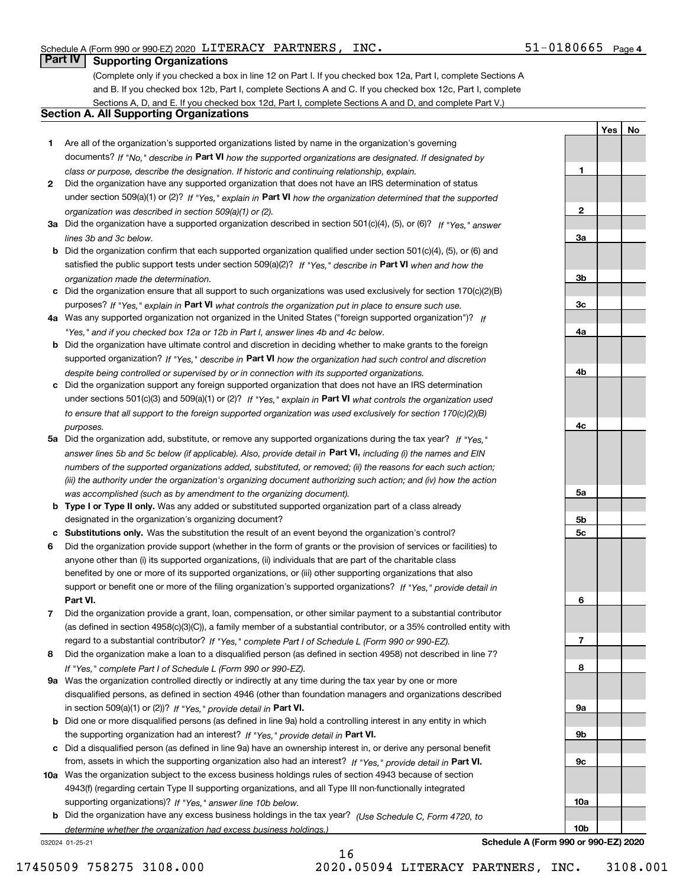$\mathbf{1}$ 

 $\mathbf{2}$ 

3a

 $3<sub>b</sub>$ 

 $3<sub>c</sub>$ 

4a

4b

4c

<u>5a</u>

5b

5c

6

 $\overline{\mathbf{r}}$ 

8

<u>9a</u>

9b

 $9c$ 

 $10a$ 

 $10<sub>b</sub>$ 

Yes No

### **Part IV Supporting Organizations**

(Complete only if you checked a box in line 12 on Part I. If you checked box 12a, Part I, complete Sections A and B. If you checked box 12b. Part I, complete Sections A and C. If you checked box 12c. Part I, complete Sections A, D, and E. If you checked box 12d, Part I, complete Sections A and D, and complete Part V.)

### **Section A. All Supporting Organizations**

- 1 Are all of the organization's supported organizations listed by name in the organization's governing documents? If "No," describe in Part VI how the supported organizations are designated. If designated by class or purpose, describe the designation. If historic and continuing relationship, explain.
- 2 Did the organization have any supported organization that does not have an IRS determination of status under section 509(a)(1) or (2)? If "Yes," explain in Part VI how the organization determined that the supported organization was described in section 509(a)(1) or (2).
- 3a Did the organization have a supported organization described in section 501(c)(4), (5), or (6)? If "Yes." answer lines 3b and 3c below.
- **b** Did the organization confirm that each supported organization qualified under section  $501(c)(4)$ ,  $(5)$ , or  $(6)$  and satisfied the public support tests under section 509(a)(2)? If "Yes," describe in Part VI when and how the organization made the determination.
- c Did the organization ensure that all support to such organizations was used exclusively for section 170(c)(2)(B) purposes? If "Yes," explain in Part VI what controls the organization put in place to ensure such use.
- 4a Was any supported organization not organized in the United States ("foreign supported organization")? If "Yes," and if you checked box 12a or 12b in Part I, answer lines 4b and 4c below.
- **b** Did the organization have ultimate control and discretion in deciding whether to make grants to the foreign supported organization? If "Yes," describe in Part VI how the organization had such control and discretion despite being controlled or supervised by or in connection with its supported organizations.
- c Did the organization support any foreign supported organization that does not have an IRS determination under sections 501(c)(3) and 509(a)(1) or (2)? If "Yes," explain in Part VI what controls the organization used to ensure that all support to the foreign supported organization was used exclusively for section 170(c)(2)(B) purposes.
- 5a Did the organization add, substitute, or remove any supported organizations during the tax year? If "Yes," answer lines 5b and 5c below (if applicable). Also, provide detail in Part VI, including (i) the names and EIN numbers of the supported organizations added, substituted, or removed; (ii) the reasons for each such action; (iii) the authority under the organization's organizing document authorizing such action; and (iv) how the action was accomplished (such as by amendment to the organizing document).
- b Type I or Type II only. Was any added or substituted supported organization part of a class already designated in the organization's organizing document?
- c Substitutions only. Was the substitution the result of an event beyond the organization's control?
- 6 Did the organization provide support (whether in the form of grants or the provision of services or facilities) to anyone other than (i) its supported organizations, (ii) individuals that are part of the charitable class benefited by one or more of its supported organizations, or (iii) other supporting organizations that also support or benefit one or more of the filing organization's supported organizations? If "Yes," provide detail in Part VI.
- 7 Did the organization provide a grant, loan, compensation, or other similar payment to a substantial contributor (as defined in section 4958(c)(3)(C)), a family member of a substantial contributor, or a 35% controlled entity with regard to a substantial contributor? If "Yes," complete Part I of Schedule L (Form 990 or 990-EZ).
- 8 Did the organization make a loan to a disqualified person (as defined in section 4958) not described in line 7? If "Yes." complete Part I of Schedule L (Form 990 or 990-EZ).
- 9a Was the organization controlled directly or indirectly at any time during the tax year by one or more disqualified persons, as defined in section 4946 (other than foundation managers and organizations described in section 509(a)(1) or (2))? If "Yes," provide detail in Part VI.
- **b** Did one or more disqualified persons (as defined in line 9a) hold a controlling interest in any entity in which the supporting organization had an interest? If "Yes." provide detail in Part VI.
- c Did a disqualified person (as defined in line 9a) have an ownership interest in, or derive any personal benefit from, assets in which the supporting organization also had an interest? If "Yes," provide detail in Part VI.
- 10a Was the organization subject to the excess business holdings rules of section 4943 because of section 4943(f) (regarding certain Type II supporting organizations, and all Type III non-functionally integrated supporting organizations)? If "Yes," answer line 10b below.
- **b** Did the organization have any excess business holdings in the tax year? (Use Schedule C. Form 4720, to determine whether the organization had excess business holdings.)

16

032024 01-25-21

Schedule A (Form 990 or 990-EZ) 2020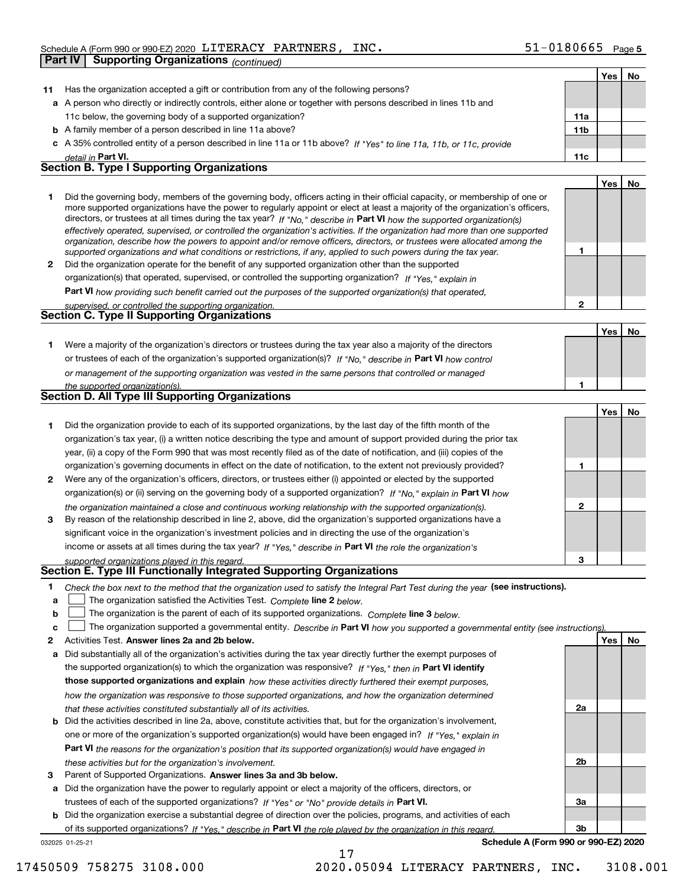|    | <b>Supporting Organizations</b> (continued)<br>Part IV                                                                                                                                                                                                     |                |     |    |
|----|------------------------------------------------------------------------------------------------------------------------------------------------------------------------------------------------------------------------------------------------------------|----------------|-----|----|
|    |                                                                                                                                                                                                                                                            |                | Yes | No |
| 11 | Has the organization accepted a gift or contribution from any of the following persons?                                                                                                                                                                    |                |     |    |
|    | a A person who directly or indirectly controls, either alone or together with persons described in lines 11b and                                                                                                                                           |                |     |    |
|    | 11c below, the governing body of a supported organization?                                                                                                                                                                                                 | 11a            |     |    |
|    | <b>b</b> A family member of a person described in line 11a above?                                                                                                                                                                                          | 11b            |     |    |
|    | c A 35% controlled entity of a person described in line 11a or 11b above? If "Yes" to line 11a, 11b, or 11c, provide                                                                                                                                       |                |     |    |
|    | detail in Part VI.                                                                                                                                                                                                                                         | 11c            |     |    |
|    | <b>Section B. Type I Supporting Organizations</b>                                                                                                                                                                                                          |                |     |    |
|    |                                                                                                                                                                                                                                                            |                | Yes | No |
| 1  | Did the governing body, members of the governing body, officers acting in their official capacity, or membership of one or                                                                                                                                 |                |     |    |
|    | more supported organizations have the power to regularly appoint or elect at least a majority of the organization's officers,                                                                                                                              |                |     |    |
|    | directors, or trustees at all times during the tax year? If "No," describe in Part VI how the supported organization(s)                                                                                                                                    |                |     |    |
|    | effectively operated, supervised, or controlled the organization's activities. If the organization had more than one supported<br>organization, describe how the powers to appoint and/or remove officers, directors, or trustees were allocated among the |                |     |    |
|    | supported organizations and what conditions or restrictions, if any, applied to such powers during the tax year.                                                                                                                                           | 1              |     |    |
| 2  | Did the organization operate for the benefit of any supported organization other than the supported                                                                                                                                                        |                |     |    |
|    | organization(s) that operated, supervised, or controlled the supporting organization? If "Yes," explain in                                                                                                                                                 |                |     |    |
|    | Part VI how providing such benefit carried out the purposes of the supported organization(s) that operated,                                                                                                                                                |                |     |    |
|    | supervised, or controlled the supporting organization.                                                                                                                                                                                                     | $\overline{2}$ |     |    |
|    | <b>Section C. Type II Supporting Organizations</b>                                                                                                                                                                                                         |                |     |    |
|    |                                                                                                                                                                                                                                                            |                | Yes | No |
| 1. | Were a majority of the organization's directors or trustees during the tax year also a majority of the directors                                                                                                                                           |                |     |    |
|    | or trustees of each of the organization's supported organization(s)? If "No," describe in Part VI how control                                                                                                                                              |                |     |    |
|    | or management of the supporting organization was vested in the same persons that controlled or managed                                                                                                                                                     |                |     |    |
|    | the supported organization(s).                                                                                                                                                                                                                             | 1              |     |    |
|    | <b>Section D. All Type III Supporting Organizations</b>                                                                                                                                                                                                    |                |     |    |
|    |                                                                                                                                                                                                                                                            |                | Yes | No |
| 1  | Did the organization provide to each of its supported organizations, by the last day of the fifth month of the                                                                                                                                             |                |     |    |
|    | organization's tax year, (i) a written notice describing the type and amount of support provided during the prior tax                                                                                                                                      |                |     |    |
|    | year, (ii) a copy of the Form 990 that was most recently filed as of the date of notification, and (iii) copies of the                                                                                                                                     |                |     |    |
|    | organization's governing documents in effect on the date of notification, to the extent not previously provided?                                                                                                                                           | 1              |     |    |
| 2  | Were any of the organization's officers, directors, or trustees either (i) appointed or elected by the supported                                                                                                                                           |                |     |    |
|    | organization(s) or (ii) serving on the governing body of a supported organization? If "No," explain in Part VI how                                                                                                                                         |                |     |    |
|    | the organization maintained a close and continuous working relationship with the supported organization(s).                                                                                                                                                | $\mathbf{2}$   |     |    |
| 3  | By reason of the relationship described in line 2, above, did the organization's supported organizations have a                                                                                                                                            |                |     |    |
|    | significant voice in the organization's investment policies and in directing the use of the organization's                                                                                                                                                 |                |     |    |
|    | income or assets at all times during the tax year? If "Yes," describe in Part VI the role the organization's                                                                                                                                               |                |     |    |
|    | supported organizations played in this regard.                                                                                                                                                                                                             | 3              |     |    |
|    | Section E. Type III Functionally Integrated Supporting Organizations                                                                                                                                                                                       |                |     |    |
| 1  | Check the box next to the method that the organization used to satisfy the Integral Part Test during the year (see instructions).                                                                                                                          |                |     |    |
| a  | The organization satisfied the Activities Test. Complete line 2 below.                                                                                                                                                                                     |                |     |    |
| b  | The organization is the parent of each of its supported organizations. Complete line 3 below.                                                                                                                                                              |                |     |    |
| c  | The organization supported a governmental entity. Describe in Part VI how you supported a governmental entity (see instructions).                                                                                                                          |                |     |    |
| 2  | Activities Test. Answer lines 2a and 2b below.                                                                                                                                                                                                             |                | Yes | No |
|    | a Did substantially all of the organization's activities during the tax year directly further the exempt purposes of                                                                                                                                       |                |     |    |
|    | the supported organization(s) to which the organization was responsive? If "Yes," then in Part VI identify                                                                                                                                                 |                |     |    |
|    | those supported organizations and explain how these activities directly furthered their exempt purposes,                                                                                                                                                   |                |     |    |
|    | how the organization was responsive to those supported organizations, and how the organization determined                                                                                                                                                  |                |     |    |
|    | that these activities constituted substantially all of its activities.                                                                                                                                                                                     | 2a             |     |    |
|    | <b>b</b> Did the activities described in line 2a, above, constitute activities that, but for the organization's involvement,                                                                                                                               |                |     |    |
|    | one or more of the organization's supported organization(s) would have been engaged in? If "Yes," explain in                                                                                                                                               |                |     |    |
|    | <b>Part VI</b> the reasons for the organization's position that its supported organization(s) would have engaged in                                                                                                                                        |                |     |    |
|    | these activities but for the organization's involvement.                                                                                                                                                                                                   | 2b             |     |    |
| з  | Parent of Supported Organizations. Answer lines 3a and 3b below.                                                                                                                                                                                           |                |     |    |
|    | a Did the organization have the power to regularly appoint or elect a majority of the officers, directors, or                                                                                                                                              |                |     |    |

trustees of each of the supported organizations? If "Yes" or "No" provide details in Part VI.

b Did the organization exercise a substantial degree of direction over the policies, programs, and activities of each of its supported organizations? If "Yes," describe in Part VI the role played by the organization in this regard. 032025 01-25-21

17

Schedule A (Form 990 or 990-EZ) 2020

Зa

 $3<sub>b</sub>$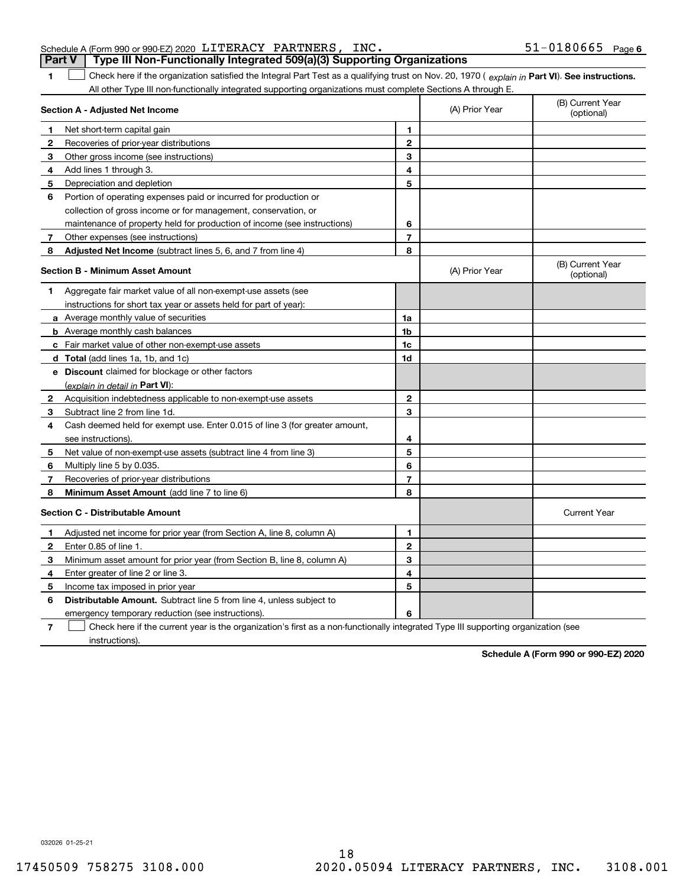| Schedule A (Form 990 or 990-EZ) 2020 LITERACY PARTNERS, INC. |  |                                                                                         |
|--------------------------------------------------------------|--|-----------------------------------------------------------------------------------------|
|                                                              |  | <b>Part V</b>   Type III Non-Functionally Integrated 509(a)(3) Supporting Organizations |

Check here if the organization satisfied the Integral Part Test as a qualifying trust on Nov. 20, 1970 (explain in Part VI). See instructions.  $\blacksquare$ All other Type III non-functionally integrated supporting organizations must complete Sections A through E.

|              | $\frac{1}{2}$ and $\frac{1}{2}$ and $\frac{1}{2}$ and $\frac{1}{2}$ and $\frac{1}{2}$ and $\frac{1}{2}$ and $\frac{1}{2}$ and $\frac{1}{2}$ and $\frac{1}{2}$ and $\frac{1}{2}$ and $\frac{1}{2}$ and $\frac{1}{2}$ and $\frac{1}{2}$ and $\frac{1}{2}$ and $\frac{1}{2}$ and $\frac{1}{2}$ a<br>$111091$ alou ou<br>Section A - Adjusted Net Income |                | (A) Prior Year | (B) Current Year<br>(optional) |
|--------------|------------------------------------------------------------------------------------------------------------------------------------------------------------------------------------------------------------------------------------------------------------------------------------------------------------------------------------------------------|----------------|----------------|--------------------------------|
| 1            | Net short-term capital gain                                                                                                                                                                                                                                                                                                                          | 1              |                |                                |
| 2            | Recoveries of prior-year distributions                                                                                                                                                                                                                                                                                                               | $\overline{2}$ |                |                                |
| 3            | Other gross income (see instructions)                                                                                                                                                                                                                                                                                                                | 3              |                |                                |
| 4            | Add lines 1 through 3.                                                                                                                                                                                                                                                                                                                               | 4              |                |                                |
| 5            | Depreciation and depletion                                                                                                                                                                                                                                                                                                                           | 5              |                |                                |
| 6            | Portion of operating expenses paid or incurred for production or                                                                                                                                                                                                                                                                                     |                |                |                                |
|              | collection of gross income or for management, conservation, or                                                                                                                                                                                                                                                                                       |                |                |                                |
|              | maintenance of property held for production of income (see instructions)                                                                                                                                                                                                                                                                             | 6              |                |                                |
| 7            | Other expenses (see instructions)                                                                                                                                                                                                                                                                                                                    | $\overline{7}$ |                |                                |
| 8            | Adjusted Net Income (subtract lines 5, 6, and 7 from line 4)                                                                                                                                                                                                                                                                                         | 8              |                |                                |
|              | <b>Section B - Minimum Asset Amount</b>                                                                                                                                                                                                                                                                                                              |                | (A) Prior Year | (B) Current Year<br>(optional) |
| 1            | Aggregate fair market value of all non-exempt-use assets (see                                                                                                                                                                                                                                                                                        |                |                |                                |
|              | instructions for short tax year or assets held for part of year):                                                                                                                                                                                                                                                                                    |                |                |                                |
|              | a Average monthly value of securities                                                                                                                                                                                                                                                                                                                | 1a             |                |                                |
|              | <b>b</b> Average monthly cash balances                                                                                                                                                                                                                                                                                                               | 1 <sub>b</sub> |                |                                |
|              | c Fair market value of other non-exempt-use assets                                                                                                                                                                                                                                                                                                   | 1c             |                |                                |
|              | <b>d</b> Total (add lines 1a, 1b, and 1c)                                                                                                                                                                                                                                                                                                            | 1d             |                |                                |
|              | e Discount claimed for blockage or other factors                                                                                                                                                                                                                                                                                                     |                |                |                                |
|              | (explain in detail in <b>Part VI</b> ):                                                                                                                                                                                                                                                                                                              |                |                |                                |
| $\mathbf{2}$ | Acquisition indebtedness applicable to non-exempt-use assets                                                                                                                                                                                                                                                                                         | $\mathbf{2}$   |                |                                |
| З.           | Subtract line 2 from line 1d.                                                                                                                                                                                                                                                                                                                        | 3              |                |                                |
| 4            | Cash deemed held for exempt use. Enter 0.015 of line 3 (for greater amount,                                                                                                                                                                                                                                                                          |                |                |                                |
|              | see instructions).                                                                                                                                                                                                                                                                                                                                   | 4              |                |                                |
| 5            | Net value of non-exempt-use assets (subtract line 4 from line 3)                                                                                                                                                                                                                                                                                     | 5              |                |                                |
| 6            | Multiply line 5 by 0.035.                                                                                                                                                                                                                                                                                                                            | 6              |                |                                |
| 7            | Recoveries of prior-year distributions                                                                                                                                                                                                                                                                                                               | 7              |                |                                |
| 8            | Minimum Asset Amount (add line 7 to line 6)                                                                                                                                                                                                                                                                                                          | 8              |                |                                |
|              | <b>Section C - Distributable Amount</b>                                                                                                                                                                                                                                                                                                              |                |                | <b>Current Year</b>            |
| 1            | Adjusted net income for prior year (from Section A, line 8, column A)                                                                                                                                                                                                                                                                                | 1              |                |                                |
| $\mathbf{2}$ | Enter 0.85 of line 1.                                                                                                                                                                                                                                                                                                                                | $\overline{2}$ |                |                                |
| 3            | Minimum asset amount for prior year (from Section B, line 8, column A)                                                                                                                                                                                                                                                                               | 3              |                |                                |
| 4            | Enter greater of line 2 or line 3.                                                                                                                                                                                                                                                                                                                   | 4              |                |                                |
| 5            | Income tax imposed in prior year                                                                                                                                                                                                                                                                                                                     | 5              |                |                                |
| 6            | <b>Distributable Amount.</b> Subtract line 5 from line 4, unless subject to                                                                                                                                                                                                                                                                          |                |                |                                |
|              | emergency temporary reduction (see instructions).                                                                                                                                                                                                                                                                                                    | 6              |                |                                |
|              |                                                                                                                                                                                                                                                                                                                                                      |                |                |                                |

Check here if the current year is the organization's first as a non-functionally integrated Type III supporting organization (see  $\overline{7}$ instructions).

Schedule A (Form 990 or 990-EZ) 2020

032026 01-25-21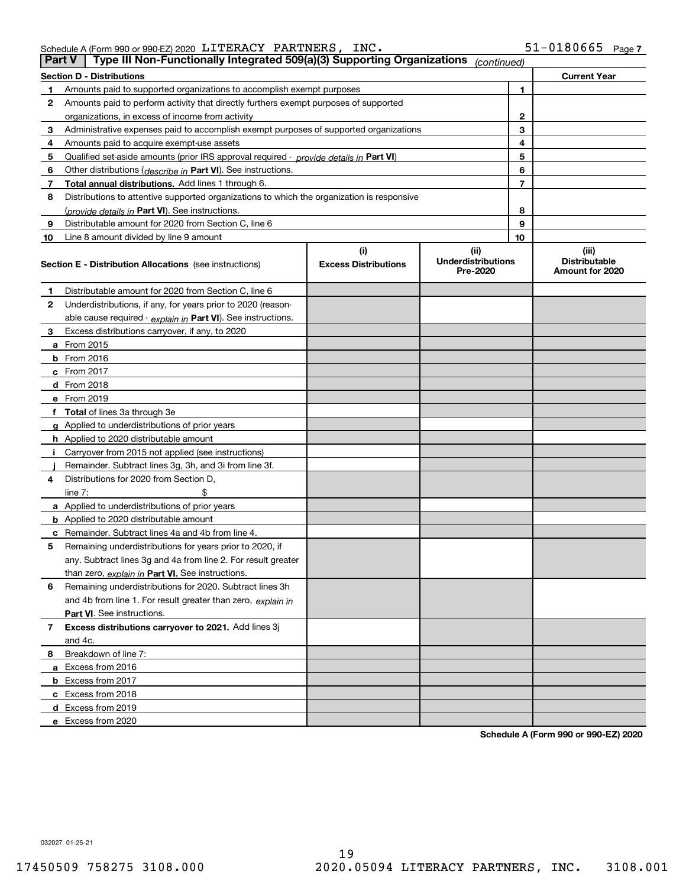| Schedule A (Form 990 or 990-EZ) 2020 $\,$ $\rm LITERACY$ $\,$ $\rm PARTNERS$ , |  |  | INC |
|--------------------------------------------------------------------------------|--|--|-----|
|--------------------------------------------------------------------------------|--|--|-----|

| Part V | Type III Non-Functionally Integrated 509(a)(3) Supporting Organizations                    |                                    | (continued)                                   |                                                  |
|--------|--------------------------------------------------------------------------------------------|------------------------------------|-----------------------------------------------|--------------------------------------------------|
|        | <b>Section D - Distributions</b>                                                           |                                    |                                               | <b>Current Year</b>                              |
| 1      | Amounts paid to supported organizations to accomplish exempt purposes                      |                                    | 1                                             |                                                  |
| 2      | Amounts paid to perform activity that directly furthers exempt purposes of supported       |                                    |                                               |                                                  |
|        | organizations, in excess of income from activity                                           |                                    | $\mathbf{2}$                                  |                                                  |
| 3      | Administrative expenses paid to accomplish exempt purposes of supported organizations      |                                    | 3                                             |                                                  |
| 4      | Amounts paid to acquire exempt-use assets                                                  |                                    | 4                                             |                                                  |
| 5      | Qualified set-aside amounts (prior IRS approval required - provide details in Part VI)     |                                    | 5                                             |                                                  |
| 6      | Other distributions ( <i>describe in</i> Part VI). See instructions.                       |                                    | 6                                             |                                                  |
| 7      | Total annual distributions. Add lines 1 through 6.                                         |                                    | 7                                             |                                                  |
| 8      | Distributions to attentive supported organizations to which the organization is responsive |                                    |                                               |                                                  |
|        | (provide details in Part VI). See instructions.                                            |                                    | 8                                             |                                                  |
| 9      | Distributable amount for 2020 from Section C, line 6                                       |                                    | 9                                             |                                                  |
| 10     | Line 8 amount divided by line 9 amount                                                     |                                    | 10                                            |                                                  |
|        | <b>Section E - Distribution Allocations</b> (see instructions)                             | (i)<br><b>Excess Distributions</b> | (ii)<br><b>Underdistributions</b><br>Pre-2020 | (iii)<br><b>Distributable</b><br>Amount for 2020 |
| 1      | Distributable amount for 2020 from Section C, line 6                                       |                                    |                                               |                                                  |
| 2      | Underdistributions, if any, for years prior to 2020 (reason-                               |                                    |                                               |                                                  |
|        | able cause required - explain in Part VI). See instructions.                               |                                    |                                               |                                                  |
| 3      | Excess distributions carryover, if any, to 2020                                            |                                    |                                               |                                                  |
|        | a From 2015                                                                                |                                    |                                               |                                                  |
|        | <b>b</b> From 2016                                                                         |                                    |                                               |                                                  |
|        | $c$ From 2017                                                                              |                                    |                                               |                                                  |
|        | <b>d</b> From 2018                                                                         |                                    |                                               |                                                  |
|        | e From 2019                                                                                |                                    |                                               |                                                  |
|        | f Total of lines 3a through 3e                                                             |                                    |                                               |                                                  |
|        | g Applied to underdistributions of prior years                                             |                                    |                                               |                                                  |
|        | <b>h</b> Applied to 2020 distributable amount                                              |                                    |                                               |                                                  |
| Ť.     | Carryover from 2015 not applied (see instructions)                                         |                                    |                                               |                                                  |
|        | Remainder. Subtract lines 3g, 3h, and 3i from line 3f.                                     |                                    |                                               |                                                  |
| 4      | Distributions for 2020 from Section D,                                                     |                                    |                                               |                                                  |
|        | line $7:$                                                                                  |                                    |                                               |                                                  |
|        | a Applied to underdistributions of prior years                                             |                                    |                                               |                                                  |
|        | <b>b</b> Applied to 2020 distributable amount                                              |                                    |                                               |                                                  |
|        | c Remainder. Subtract lines 4a and 4b from line 4.                                         |                                    |                                               |                                                  |
| 5.     | Remaining underdistributions for years prior to 2020, if                                   |                                    |                                               |                                                  |
|        | any. Subtract lines 3g and 4a from line 2. For result greater                              |                                    |                                               |                                                  |
|        | than zero, explain in Part VI. See instructions.                                           |                                    |                                               |                                                  |
| 6      | Remaining underdistributions for 2020. Subtract lines 3h                                   |                                    |                                               |                                                  |
|        | and 4b from line 1. For result greater than zero, explain in                               |                                    |                                               |                                                  |
|        | Part VI. See instructions.                                                                 |                                    |                                               |                                                  |
| 7      | Excess distributions carryover to 2021. Add lines 3j                                       |                                    |                                               |                                                  |
|        | and 4c.                                                                                    |                                    |                                               |                                                  |
| 8      | Breakdown of line 7:                                                                       |                                    |                                               |                                                  |
|        | a Excess from 2016                                                                         |                                    |                                               |                                                  |
|        | <b>b</b> Excess from 2017                                                                  |                                    |                                               |                                                  |
|        | c Excess from 2018                                                                         |                                    |                                               |                                                  |
|        | d Excess from 2019                                                                         |                                    |                                               |                                                  |
|        | e Excess from 2020                                                                         |                                    |                                               |                                                  |

Schedule A (Form 990 or 990-EZ) 2020

032027 01-25-21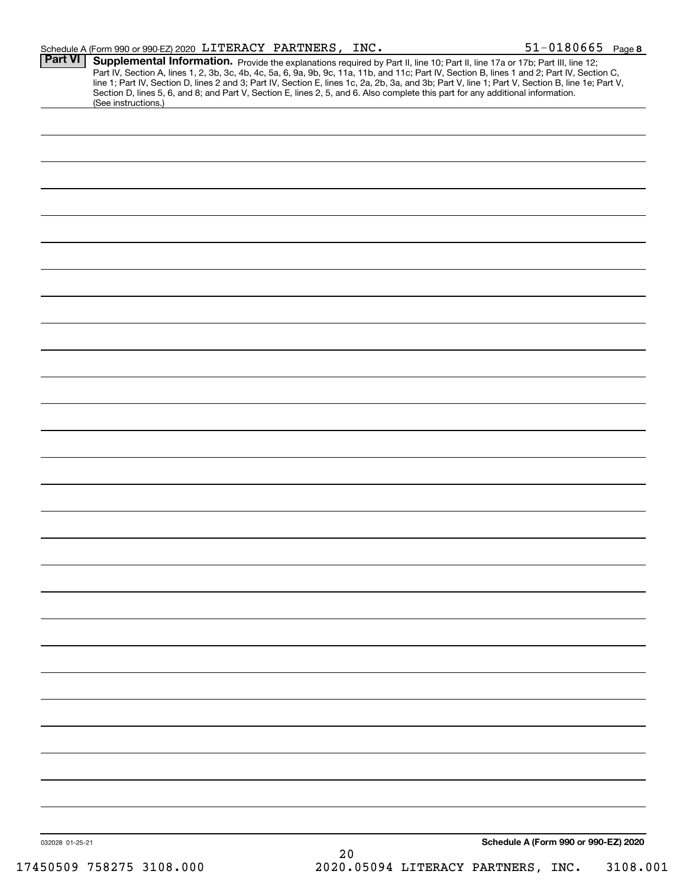| Schedule A (Form 990 or 990-EZ) 2020 LITERACY PARTNERS, |  | INC. |
|---------------------------------------------------------|--|------|
|                                                         |  |      |

| Part VI<br>(See instructions.) | <b>Supplemental Information.</b> Provide the explanations required by Part II, line 10; Part II, line 17a or 17b; Part III, line 12; Part IV, Section A, lines 1, 2, 3b, 3c, 4b, 4c, 5a, 6, 9a, 9b, 9c, 11a, 11b, and 11c; Part IV, |
|--------------------------------|-------------------------------------------------------------------------------------------------------------------------------------------------------------------------------------------------------------------------------------|
|                                |                                                                                                                                                                                                                                     |
|                                |                                                                                                                                                                                                                                     |
|                                |                                                                                                                                                                                                                                     |
|                                |                                                                                                                                                                                                                                     |
|                                |                                                                                                                                                                                                                                     |
|                                |                                                                                                                                                                                                                                     |
|                                |                                                                                                                                                                                                                                     |
|                                |                                                                                                                                                                                                                                     |
|                                |                                                                                                                                                                                                                                     |
|                                |                                                                                                                                                                                                                                     |
|                                |                                                                                                                                                                                                                                     |
|                                |                                                                                                                                                                                                                                     |
|                                |                                                                                                                                                                                                                                     |
|                                |                                                                                                                                                                                                                                     |
|                                |                                                                                                                                                                                                                                     |
|                                |                                                                                                                                                                                                                                     |
|                                |                                                                                                                                                                                                                                     |
|                                |                                                                                                                                                                                                                                     |
|                                |                                                                                                                                                                                                                                     |
|                                |                                                                                                                                                                                                                                     |
|                                |                                                                                                                                                                                                                                     |
|                                |                                                                                                                                                                                                                                     |
|                                |                                                                                                                                                                                                                                     |
|                                |                                                                                                                                                                                                                                     |
|                                |                                                                                                                                                                                                                                     |
|                                |                                                                                                                                                                                                                                     |
|                                |                                                                                                                                                                                                                                     |
|                                |                                                                                                                                                                                                                                     |
|                                |                                                                                                                                                                                                                                     |
|                                |                                                                                                                                                                                                                                     |
|                                |                                                                                                                                                                                                                                     |
|                                |                                                                                                                                                                                                                                     |
|                                |                                                                                                                                                                                                                                     |
|                                |                                                                                                                                                                                                                                     |
|                                |                                                                                                                                                                                                                                     |
|                                |                                                                                                                                                                                                                                     |
|                                |                                                                                                                                                                                                                                     |
|                                |                                                                                                                                                                                                                                     |
|                                |                                                                                                                                                                                                                                     |
|                                |                                                                                                                                                                                                                                     |
|                                |                                                                                                                                                                                                                                     |
| 032028 01-25-21                | Schedule A (Form 990 or 990-EZ) 2020<br>20                                                                                                                                                                                          |
| 17450509 758275 3108.000       | 2020.05094 LITERACY PARTNERS, INC.<br>3108.001                                                                                                                                                                                      |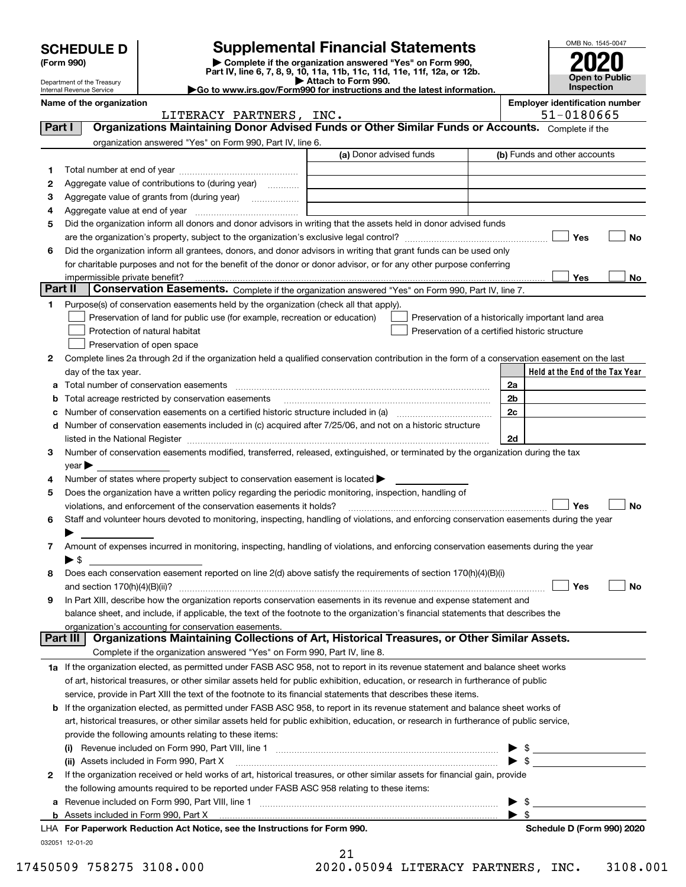|         |                                                        | <b>Supplemental Financial Statements</b>                                                                                                                                                                                                            |                         |                                                    |                         | OMB No. 1545-0047                     |
|---------|--------------------------------------------------------|-----------------------------------------------------------------------------------------------------------------------------------------------------------------------------------------------------------------------------------------------------|-------------------------|----------------------------------------------------|-------------------------|---------------------------------------|
|         | <b>SCHEDULE D</b><br>(Form 990)                        | Complete if the organization answered "Yes" on Form 990,                                                                                                                                                                                            |                         |                                                    |                         |                                       |
|         |                                                        | Part IV, line 6, 7, 8, 9, 10, 11a, 11b, 11c, 11d, 11e, 11f, 12a, or 12b.                                                                                                                                                                            |                         |                                                    |                         | <b>Open to Public</b>                 |
|         | Department of the Treasury<br>Internal Revenue Service | Go to www.irs.gov/Form990 for instructions and the latest information.                                                                                                                                                                              | Attach to Form 990.     |                                                    |                         | <b>Inspection</b>                     |
|         | Name of the organization                               |                                                                                                                                                                                                                                                     |                         |                                                    |                         | <b>Employer identification number</b> |
|         |                                                        | LITERACY PARTNERS, INC.                                                                                                                                                                                                                             |                         |                                                    |                         | 51-0180665                            |
| Part I  |                                                        | Organizations Maintaining Donor Advised Funds or Other Similar Funds or Accounts. Complete if the                                                                                                                                                   |                         |                                                    |                         |                                       |
|         |                                                        | organization answered "Yes" on Form 990, Part IV, line 6.                                                                                                                                                                                           | (a) Donor advised funds |                                                    |                         | (b) Funds and other accounts          |
|         |                                                        |                                                                                                                                                                                                                                                     |                         |                                                    |                         |                                       |
| 1<br>2  |                                                        | Aggregate value of contributions to (during year)                                                                                                                                                                                                   |                         |                                                    |                         |                                       |
| з       |                                                        | Aggregate value of grants from (during year)                                                                                                                                                                                                        |                         |                                                    |                         |                                       |
| 4       | Aggregate value at end of year                         |                                                                                                                                                                                                                                                     |                         |                                                    |                         |                                       |
| 5       |                                                        | Did the organization inform all donors and donor advisors in writing that the assets held in donor advised funds                                                                                                                                    |                         |                                                    |                         |                                       |
|         |                                                        |                                                                                                                                                                                                                                                     |                         |                                                    |                         | Yes<br>No                             |
| 6       |                                                        | Did the organization inform all grantees, donors, and donor advisors in writing that grant funds can be used only                                                                                                                                   |                         |                                                    |                         |                                       |
|         |                                                        | for charitable purposes and not for the benefit of the donor or donor advisor, or for any other purpose conferring                                                                                                                                  |                         |                                                    |                         |                                       |
|         | impermissible private benefit?                         |                                                                                                                                                                                                                                                     |                         |                                                    |                         | Yes<br>No                             |
| Part II |                                                        | Conservation Easements. Complete if the organization answered "Yes" on Form 990, Part IV, line 7.                                                                                                                                                   |                         |                                                    |                         |                                       |
| 1.      |                                                        | Purpose(s) of conservation easements held by the organization (check all that apply).                                                                                                                                                               |                         |                                                    |                         |                                       |
|         |                                                        | Preservation of land for public use (for example, recreation or education)                                                                                                                                                                          |                         | Preservation of a historically important land area |                         |                                       |
|         |                                                        | Protection of natural habitat<br>Preservation of open space                                                                                                                                                                                         |                         | Preservation of a certified historic structure     |                         |                                       |
| 2       |                                                        | Complete lines 2a through 2d if the organization held a qualified conservation contribution in the form of a conservation easement on the last                                                                                                      |                         |                                                    |                         |                                       |
|         | day of the tax year.                                   |                                                                                                                                                                                                                                                     |                         |                                                    |                         | Held at the End of the Tax Year       |
| а       |                                                        |                                                                                                                                                                                                                                                     |                         |                                                    | 2a                      |                                       |
|         |                                                        | Total acreage restricted by conservation easements                                                                                                                                                                                                  |                         |                                                    | 2 <sub>b</sub>          |                                       |
|         |                                                        |                                                                                                                                                                                                                                                     |                         |                                                    | 2c                      |                                       |
| d       |                                                        | Number of conservation easements included in (c) acquired after 7/25/06, and not on a historic structure                                                                                                                                            |                         |                                                    |                         |                                       |
|         |                                                        | listed in the National Register [111] Marshall Register [11] Marshall Register [11] Marshall Register [11] Marshall Register [11] Marshall Register [11] Marshall Register [11] Marshall Register [11] Marshall Register [11]                       |                         |                                                    | 2d                      |                                       |
| 3       |                                                        | Number of conservation easements modified, transferred, released, extinguished, or terminated by the organization during the tax                                                                                                                    |                         |                                                    |                         |                                       |
|         | $\vee$ ear $\blacktriangleright$                       |                                                                                                                                                                                                                                                     |                         |                                                    |                         |                                       |
| 4       |                                                        | Number of states where property subject to conservation easement is located >                                                                                                                                                                       |                         |                                                    |                         |                                       |
| 5       |                                                        | Does the organization have a written policy regarding the periodic monitoring, inspection, handling of                                                                                                                                              |                         |                                                    |                         |                                       |
| 6       |                                                        | violations, and enforcement of the conservation easements it holds?<br>Staff and volunteer hours devoted to monitoring, inspecting, handling of violations, and enforcing conservation easements during the year                                    |                         |                                                    |                         | No<br>Yes                             |
|         |                                                        |                                                                                                                                                                                                                                                     |                         |                                                    |                         |                                       |
| 7       |                                                        | Amount of expenses incurred in monitoring, inspecting, handling of violations, and enforcing conservation easements during the year                                                                                                                 |                         |                                                    |                         |                                       |
|         | ▶ \$                                                   |                                                                                                                                                                                                                                                     |                         |                                                    |                         |                                       |
| 8       |                                                        | Does each conservation easement reported on line 2(d) above satisfy the requirements of section 170(h)(4)(B)(i)                                                                                                                                     |                         |                                                    |                         |                                       |
|         | and section 170(h)(4)(B)(ii)?                          |                                                                                                                                                                                                                                                     |                         |                                                    |                         | Yes<br>No                             |
| 9       |                                                        | In Part XIII, describe how the organization reports conservation easements in its revenue and expense statement and                                                                                                                                 |                         |                                                    |                         |                                       |
|         |                                                        | balance sheet, and include, if applicable, the text of the footnote to the organization's financial statements that describes the                                                                                                                   |                         |                                                    |                         |                                       |
|         |                                                        | organization's accounting for conservation easements.<br>Organizations Maintaining Collections of Art, Historical Treasures, or Other Similar Assets.                                                                                               |                         |                                                    |                         |                                       |
|         | Part III                                               |                                                                                                                                                                                                                                                     |                         |                                                    |                         |                                       |
|         |                                                        | Complete if the organization answered "Yes" on Form 990, Part IV, line 8.                                                                                                                                                                           |                         |                                                    |                         |                                       |
|         |                                                        | 1a If the organization elected, as permitted under FASB ASC 958, not to report in its revenue statement and balance sheet works                                                                                                                     |                         |                                                    |                         |                                       |
|         |                                                        | of art, historical treasures, or other similar assets held for public exhibition, education, or research in furtherance of public<br>service, provide in Part XIII the text of the footnote to its financial statements that describes these items. |                         |                                                    |                         |                                       |
|         |                                                        | <b>b</b> If the organization elected, as permitted under FASB ASC 958, to report in its revenue statement and balance sheet works of                                                                                                                |                         |                                                    |                         |                                       |
|         |                                                        | art, historical treasures, or other similar assets held for public exhibition, education, or research in furtherance of public service,                                                                                                             |                         |                                                    |                         |                                       |
|         |                                                        | provide the following amounts relating to these items:                                                                                                                                                                                              |                         |                                                    |                         |                                       |
|         |                                                        |                                                                                                                                                                                                                                                     |                         |                                                    |                         |                                       |
|         |                                                        | (ii) Assets included in Form 990, Part X                                                                                                                                                                                                            |                         |                                                    |                         | $\blacktriangleright$ s               |
| 2       |                                                        | If the organization received or held works of art, historical treasures, or other similar assets for financial gain, provide                                                                                                                        |                         |                                                    |                         |                                       |
|         |                                                        | the following amounts required to be reported under FASB ASC 958 relating to these items:                                                                                                                                                           |                         |                                                    |                         |                                       |
| а       |                                                        | Revenue included on Form 990, Part VIII, line 1 [2000] [2000] [2000] [2000] [2000] [2000] [2000] [2000] [2000                                                                                                                                       |                         |                                                    | \$                      |                                       |
|         |                                                        |                                                                                                                                                                                                                                                     |                         |                                                    | $\blacktriangleright$ s |                                       |
|         |                                                        | LHA For Paperwork Reduction Act Notice, see the Instructions for Form 990.                                                                                                                                                                          |                         |                                                    |                         | Schedule D (Form 990) 2020            |
|         | 032051 12-01-20                                        |                                                                                                                                                                                                                                                     |                         |                                                    |                         |                                       |

|  | 17450509 758275 3108.000 |  |
|--|--------------------------|--|
|  |                          |  |

 $21$ 2020.05094 LITERACY PARTNERS, INC. 3108.001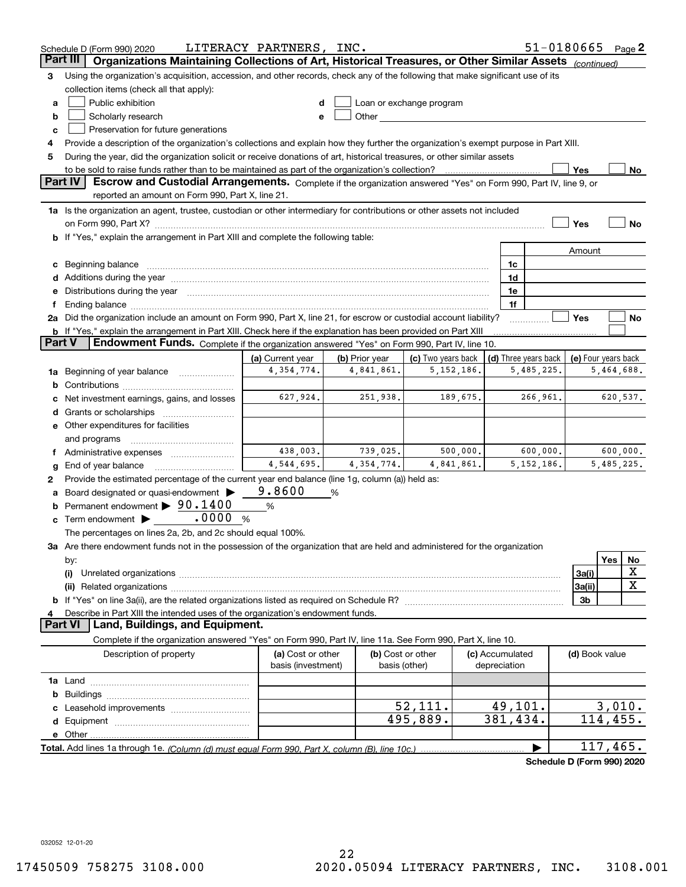|               | Schedule D (Form 990) 2020                                                                                                                                                                                                     | LITERACY PARTNERS, INC. |                |                          |          |                 | 51-0180665                 |                     |            | Page $2$    |
|---------------|--------------------------------------------------------------------------------------------------------------------------------------------------------------------------------------------------------------------------------|-------------------------|----------------|--------------------------|----------|-----------------|----------------------------|---------------------|------------|-------------|
|               | Organizations Maintaining Collections of Art, Historical Treasures, or Other Similar Assets<br>Part III                                                                                                                        |                         |                |                          |          |                 |                            | (continued)         |            |             |
| з             | Using the organization's acquisition, accession, and other records, check any of the following that make significant use of its                                                                                                |                         |                |                          |          |                 |                            |                     |            |             |
|               | collection items (check all that apply):                                                                                                                                                                                       |                         |                |                          |          |                 |                            |                     |            |             |
| a             | Public exhibition                                                                                                                                                                                                              |                         |                | Loan or exchange program |          |                 |                            |                     |            |             |
| b             | Scholarly research                                                                                                                                                                                                             | е                       |                |                          |          |                 |                            |                     |            |             |
| c             | Preservation for future generations                                                                                                                                                                                            |                         |                |                          |          |                 |                            |                     |            |             |
| 4             | Provide a description of the organization's collections and explain how they further the organization's exempt purpose in Part XIII.                                                                                           |                         |                |                          |          |                 |                            |                     |            |             |
| 5             | During the year, did the organization solicit or receive donations of art, historical treasures, or other similar assets                                                                                                       |                         |                |                          |          |                 |                            |                     |            |             |
|               | to be sold to raise funds rather than to be maintained as part of the organization's collection?                                                                                                                               |                         |                |                          |          |                 |                            | Yes                 |            | $No$        |
|               | <b>Part IV</b><br>Escrow and Custodial Arrangements. Complete if the organization answered "Yes" on Form 990, Part IV, line 9, or                                                                                              |                         |                |                          |          |                 |                            |                     |            |             |
|               | reported an amount on Form 990, Part X, line 21.                                                                                                                                                                               |                         |                |                          |          |                 |                            |                     |            |             |
|               | 1a Is the organization an agent, trustee, custodian or other intermediary for contributions or other assets not included                                                                                                       |                         |                |                          |          |                 |                            |                     |            |             |
|               |                                                                                                                                                                                                                                |                         |                |                          |          |                 |                            | Yes                 |            | No          |
|               | b If "Yes," explain the arrangement in Part XIII and complete the following table:                                                                                                                                             |                         |                |                          |          |                 |                            |                     |            |             |
|               |                                                                                                                                                                                                                                |                         |                |                          |          |                 |                            | Amount              |            |             |
|               |                                                                                                                                                                                                                                |                         |                |                          |          | 1c<br>1d        |                            |                     |            |             |
|               | e Distributions during the year measurements are also according to the year and the year measurement of the year measurement of the state of the state of the state of the state of the state of the state of the state of the |                         |                |                          |          | 1e              |                            |                     |            |             |
|               | Ending balance manufacture contract contract contract contract contract contract contract contract contract contract contract contract contract contract contract contract contract contract contract contract contract contra |                         |                |                          |          | 1f              |                            |                     |            |             |
|               | 2a Did the organization include an amount on Form 990, Part X, line 21, for escrow or custodial account liability?                                                                                                             |                         |                |                          |          |                 |                            | Yes                 |            | No          |
|               | <b>b</b> If "Yes," explain the arrangement in Part XIII. Check here if the explanation has been provided on Part XIII                                                                                                          |                         |                |                          |          |                 |                            |                     |            |             |
| <b>Part V</b> | Endowment Funds. Complete if the organization answered "Yes" on Form 990, Part IV, line 10.                                                                                                                                    |                         |                |                          |          |                 |                            |                     |            |             |
|               |                                                                                                                                                                                                                                | (a) Current year        | (b) Prior year | (c) Two years back       |          |                 | (d) Three years back       | (e) Four years back |            |             |
|               | 1a Beginning of year balance                                                                                                                                                                                                   | 4, 354, 774.            | 4,841,861.     | 5, 152, 186.             |          |                 | 5,485,225.                 |                     | 5,464,688. |             |
|               |                                                                                                                                                                                                                                |                         |                |                          |          |                 |                            |                     |            |             |
|               | Net investment earnings, gains, and losses                                                                                                                                                                                     | 627,924.                | 251,938.       |                          | 189,675. |                 | 266,961.                   |                     | 620,537.   |             |
| d             | Grants or scholarships                                                                                                                                                                                                         |                         |                |                          |          |                 |                            |                     |            |             |
|               | e Other expenditures for facilities                                                                                                                                                                                            |                         |                |                          |          |                 |                            |                     |            |             |
|               | and programs                                                                                                                                                                                                                   |                         |                |                          |          |                 |                            |                     |            |             |
|               | Administrative expenses                                                                                                                                                                                                        | 438,003.                | 739,025.       |                          | 500,000. |                 | 600,000.                   |                     | 600,000.   |             |
| g             | End of year balance                                                                                                                                                                                                            | 4,544,695.              | 4,354,774.     | 4,841,861.               |          |                 | 5, 152, 186.               |                     | 5,485,225. |             |
| 2             | Provide the estimated percentage of the current year end balance (line 1g, column (a)) held as:                                                                                                                                |                         |                |                          |          |                 |                            |                     |            |             |
|               | Board designated or quasi-endowment                                                                                                                                                                                            | 9.8600                  | %              |                          |          |                 |                            |                     |            |             |
| b             | Permanent endowment $\blacktriangleright$ 90.1400                                                                                                                                                                              | $\%$                    |                |                          |          |                 |                            |                     |            |             |
|               | .0000<br>$\mathbf c$ Term endowment $\blacktriangleright$                                                                                                                                                                      | %                       |                |                          |          |                 |                            |                     |            |             |
|               | The percentages on lines 2a, 2b, and 2c should equal 100%.                                                                                                                                                                     |                         |                |                          |          |                 |                            |                     |            |             |
|               | 3a Are there endowment funds not in the possession of the organization that are held and administered for the organization                                                                                                     |                         |                |                          |          |                 |                            |                     |            |             |
|               | by:                                                                                                                                                                                                                            |                         |                |                          |          |                 |                            |                     | <b>Yes</b> | No<br>х     |
|               | (i)                                                                                                                                                                                                                            |                         |                |                          |          |                 |                            | 3a(i)               |            | $\mathbf X$ |
|               |                                                                                                                                                                                                                                |                         |                |                          |          |                 |                            | 3a(ii)              |            |             |
| 4             | Describe in Part XIII the intended uses of the organization's endowment funds.                                                                                                                                                 |                         |                |                          |          |                 |                            | 3b                  |            |             |
|               | Land, Buildings, and Equipment.<br><b>Part VI</b>                                                                                                                                                                              |                         |                |                          |          |                 |                            |                     |            |             |
|               | Complete if the organization answered "Yes" on Form 990, Part IV, line 11a. See Form 990, Part X, line 10.                                                                                                                     |                         |                |                          |          |                 |                            |                     |            |             |
|               | Description of property                                                                                                                                                                                                        | (a) Cost or other       |                | (b) Cost or other        |          | (c) Accumulated |                            | (d) Book value      |            |             |
|               |                                                                                                                                                                                                                                | basis (investment)      |                | basis (other)            |          | depreciation    |                            |                     |            |             |
|               |                                                                                                                                                                                                                                |                         |                |                          |          |                 |                            |                     |            |             |
|               |                                                                                                                                                                                                                                |                         |                |                          |          |                 |                            |                     |            |             |
|               |                                                                                                                                                                                                                                |                         |                | 52,111.                  |          | 49,101.         |                            |                     | 3,010.     |             |
|               |                                                                                                                                                                                                                                |                         |                | 495,889.                 |          | 381,434.        |                            |                     | 114,455.   |             |
|               |                                                                                                                                                                                                                                |                         |                |                          |          |                 |                            |                     |            |             |
|               |                                                                                                                                                                                                                                |                         |                |                          |          |                 |                            |                     | 117,465.   |             |
|               |                                                                                                                                                                                                                                |                         |                |                          |          |                 | Schedule D (Form 990) 2020 |                     |            |             |

032052 12-01-20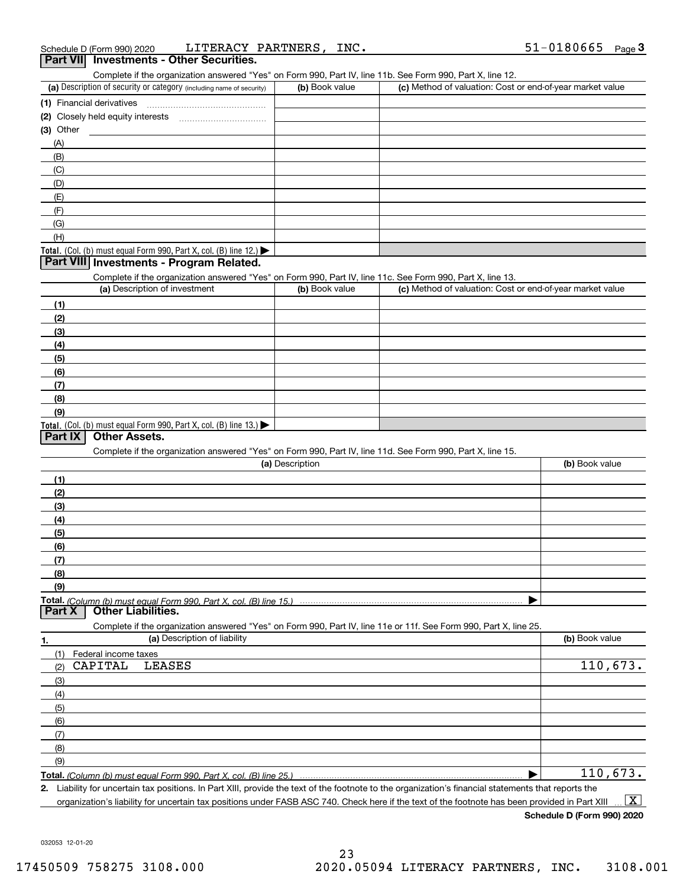| Schedule D (Form 990) 2020 |                                                 | LITERACY PARTNERS, INC. |  |
|----------------------------|-------------------------------------------------|-------------------------|--|
|                            | <b>Part VII</b> Investments - Other Securities. |                         |  |

| $     -$<br>Complete if the organization answered "Yes" on Form 990, Part IV, line 11b. See Form 990, Part X, line 12.  |                 |                                                           |                |
|-------------------------------------------------------------------------------------------------------------------------|-----------------|-----------------------------------------------------------|----------------|
| (a) Description of security or category (including name of security)                                                    | (b) Book value  | (c) Method of valuation: Cost or end-of-year market value |                |
| (1) Financial derivatives                                                                                               |                 |                                                           |                |
| (2) Closely held equity interests [111] [2] Closely held equity interests                                               |                 |                                                           |                |
| (3) Other                                                                                                               |                 |                                                           |                |
| (A)                                                                                                                     |                 |                                                           |                |
| (B)                                                                                                                     |                 |                                                           |                |
| (C)                                                                                                                     |                 |                                                           |                |
| (D)                                                                                                                     |                 |                                                           |                |
| (E)                                                                                                                     |                 |                                                           |                |
| (F)                                                                                                                     |                 |                                                           |                |
| (G)                                                                                                                     |                 |                                                           |                |
| (H)                                                                                                                     |                 |                                                           |                |
| Total. (Col. (b) must equal Form 990, Part X, col. (B) line 12.)                                                        |                 |                                                           |                |
| Part VIII Investments - Program Related.                                                                                |                 |                                                           |                |
| Complete if the organization answered "Yes" on Form 990, Part IV, line 11c. See Form 990, Part X, line 13.              |                 |                                                           |                |
| (a) Description of investment                                                                                           | (b) Book value  | (c) Method of valuation: Cost or end-of-year market value |                |
| (1)                                                                                                                     |                 |                                                           |                |
| (2)                                                                                                                     |                 |                                                           |                |
| (3)                                                                                                                     |                 |                                                           |                |
| (4)                                                                                                                     |                 |                                                           |                |
| (5)                                                                                                                     |                 |                                                           |                |
| (6)                                                                                                                     |                 |                                                           |                |
| (7)                                                                                                                     |                 |                                                           |                |
| (8)                                                                                                                     |                 |                                                           |                |
| (9)                                                                                                                     |                 |                                                           |                |
| Total. (Col. (b) must equal Form 990, Part X, col. (B) line 13.)                                                        |                 |                                                           |                |
| Part IX<br><b>Other Assets.</b>                                                                                         |                 |                                                           |                |
| Complete if the organization answered "Yes" on Form 990, Part IV, line 11d. See Form 990, Part X, line 15.              |                 |                                                           |                |
|                                                                                                                         | (a) Description |                                                           | (b) Book value |
| (1)                                                                                                                     |                 |                                                           |                |
| (2)                                                                                                                     |                 |                                                           |                |
| (3)                                                                                                                     |                 |                                                           |                |
|                                                                                                                         |                 |                                                           |                |
| (4)                                                                                                                     |                 |                                                           |                |
| (5)                                                                                                                     |                 |                                                           |                |
| (6)                                                                                                                     |                 |                                                           |                |
| (7)                                                                                                                     |                 |                                                           |                |
| (8)                                                                                                                     |                 |                                                           |                |
| (9)                                                                                                                     |                 |                                                           |                |
| Total. (Column (b) must equal Form 990. Part X. col. (B) line 15.)<br><b>Part X</b><br><b>Other Liabilities.</b>        |                 |                                                           |                |
|                                                                                                                         |                 |                                                           |                |
| Complete if the organization answered "Yes" on Form 990, Part IV, line 11e or 11f. See Form 990, Part X, line 25.<br>1. |                 |                                                           |                |
| (a) Description of liability                                                                                            |                 |                                                           | (b) Book value |
| (1)<br>Federal income taxes                                                                                             |                 |                                                           |                |
| CAPITAL<br><b>LEASES</b><br>(2)                                                                                         |                 |                                                           | 110,673.       |
| (3)                                                                                                                     |                 |                                                           |                |
| (4)                                                                                                                     |                 |                                                           |                |
| (5)                                                                                                                     |                 |                                                           |                |
| (6)                                                                                                                     |                 |                                                           |                |
| (7)                                                                                                                     |                 |                                                           |                |
| (8)                                                                                                                     |                 |                                                           |                |
| (9)                                                                                                                     |                 |                                                           |                |
| <b>Total,</b> (Column (b) must equal Form 990, Part X, col. (B) line 25.)                                               |                 |                                                           | 110,673.       |

Liability for uncertain tax positions. In Part XIII, provide the text of the footnote to the organization's financial statements that reports the  $2.$  $\boxed{\text{X}}$ organization's liability for uncertain tax positions under FASB ASC 740. Check here if the text of the footnote has been provided in Part XIII

Schedule D (Form 990) 2020

032053 12-01-20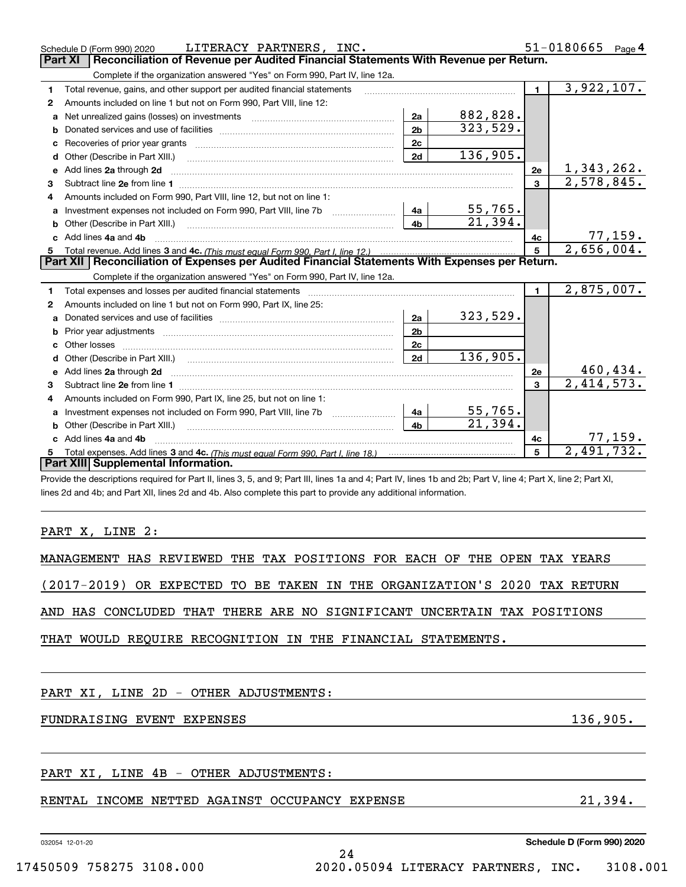|              | LITERACY PARTNERS, INC.<br>Schedule D (Form 990) 2020                                                                                                          |                |                        |                | $51 - 0180665$ Page 4        |
|--------------|----------------------------------------------------------------------------------------------------------------------------------------------------------------|----------------|------------------------|----------------|------------------------------|
|              | Reconciliation of Revenue per Audited Financial Statements With Revenue per Return.<br><b>Part XI</b>                                                          |                |                        |                |                              |
|              | Complete if the organization answered "Yes" on Form 990, Part IV, line 12a.                                                                                    |                |                        |                |                              |
| 1            | Total revenue, gains, and other support per audited financial statements                                                                                       |                |                        | $\blacksquare$ | 3,922,107.                   |
| $\mathbf{2}$ | Amounts included on line 1 but not on Form 990, Part VIII, line 12:                                                                                            |                |                        |                |                              |
| a            | Net unrealized gains (losses) on investments www.community.com/                                                                                                | 2a             | 882,828.               |                |                              |
| b            |                                                                                                                                                                | 2 <sub>b</sub> | 323,529.               |                |                              |
| c            |                                                                                                                                                                | 2c             |                        |                |                              |
|              | d Other (Describe in Part XIII.)                                                                                                                               | 2d             | 136,905.               |                |                              |
| е            | Add lines 2a through 2d                                                                                                                                        |                |                        | <b>2e</b>      | 1, 343, 262.                 |
| 3            |                                                                                                                                                                |                |                        | 3              | 2,578,845.                   |
| 4            | Amounts included on Form 990, Part VIII, line 12, but not on line 1:                                                                                           |                |                        |                |                              |
|              |                                                                                                                                                                | -4a l          | $55,765$ .             |                |                              |
| b            |                                                                                                                                                                | 4 <sub>h</sub> | $\overline{21.394}$ .  |                |                              |
|              | Add lines 4a and 4b                                                                                                                                            |                |                        | 4с             | $\frac{77,159}{2,656,004.}$  |
|              |                                                                                                                                                                |                |                        | 5              |                              |
|              | Part XII   Reconciliation of Expenses per Audited Financial Statements With Expenses per Return.                                                               |                |                        |                |                              |
|              | Complete if the organization answered "Yes" on Form 990, Part IV, line 12a.                                                                                    |                |                        |                |                              |
| 1            | Total expenses and losses per audited financial statements                                                                                                     |                |                        |                | 2,875,007.                   |
| 2            | Amounts included on line 1 but not on Form 990, Part IX, line 25:                                                                                              |                |                        |                |                              |
| a            |                                                                                                                                                                | 2a             | 323,529.               |                |                              |
| b            |                                                                                                                                                                | 2 <sub>b</sub> |                        |                |                              |
|              |                                                                                                                                                                | 2 <sub>c</sub> |                        |                |                              |
| d            |                                                                                                                                                                | 2d             | 136,905.               |                |                              |
| е            | Add lines 2a through 2d <b>must be a constructed as the constant of the constant of the constant of the construction</b>                                       |                |                        | 2e             | $\frac{460,434}{2,414,573.}$ |
| з            |                                                                                                                                                                |                |                        | 3              |                              |
| 4            | Amounts included on Form 990, Part IX, line 25, but not on line 1:                                                                                             |                |                        |                |                              |
| a            | Investment expenses not included on Form 990, Part VIII, line 7b                                                                                               | 4a             | 55,765.                |                |                              |
|              | <b>b</b> Other (Describe in Part XIII.)                                                                                                                        | 4 <sub>b</sub> | $\overline{21}$ , 394. |                |                              |
|              | c Add lines 4a and 4b                                                                                                                                          |                |                        | 4c             | 77,159.                      |
| 5            |                                                                                                                                                                |                |                        | 5              | 2,491,732.                   |
|              | <b>Part XIII Supplemental Information.</b>                                                                                                                     |                |                        |                |                              |
|              | Provide the descriptions required for Part II, lines 3, 5, and 9; Part III, lines 1a and 4; Part IV, lines 1b and 2b; Part V, line 4; Part X, line 2; Part XI, |                |                        |                |                              |
|              | lines 2d and 4b; and Part XII, lines 2d and 4b. Also complete this part to provide any additional information.                                                 |                |                        |                |                              |
|              |                                                                                                                                                                |                |                        |                |                              |

### PART X, LINE 2:

| MANAGEMENT HAS REVIEWED THE TAX POSITIONS FOR EACH OF THE OPEN TAX YEARS |  |  |  |  |  |  |  |
|--------------------------------------------------------------------------|--|--|--|--|--|--|--|
|                                                                          |  |  |  |  |  |  |  |

(2017-2019) OR EXPECTED TO BE TAKEN IN THE ORGANIZATION'S 2020 TAX RETURN

AND HAS CONCLUDED THAT THERE ARE NO SIGNIFICANT UNCERTAIN TAX POSITIONS

THAT WOULD REQUIRE RECOGNITION IN THE FINANCIAL STATEMENTS.

### PART XI, LINE 2D - OTHER ADJUSTMENTS:

### FUNDRAISING EVENT EXPENSES

## PART XI, LINE 4B - OTHER ADJUSTMENTS:

### RENTAL INCOME NETTED AGAINST OCCUPANCY EXPENSE

032054 12-01-20

 $136,905.$ 

 $21,394$ .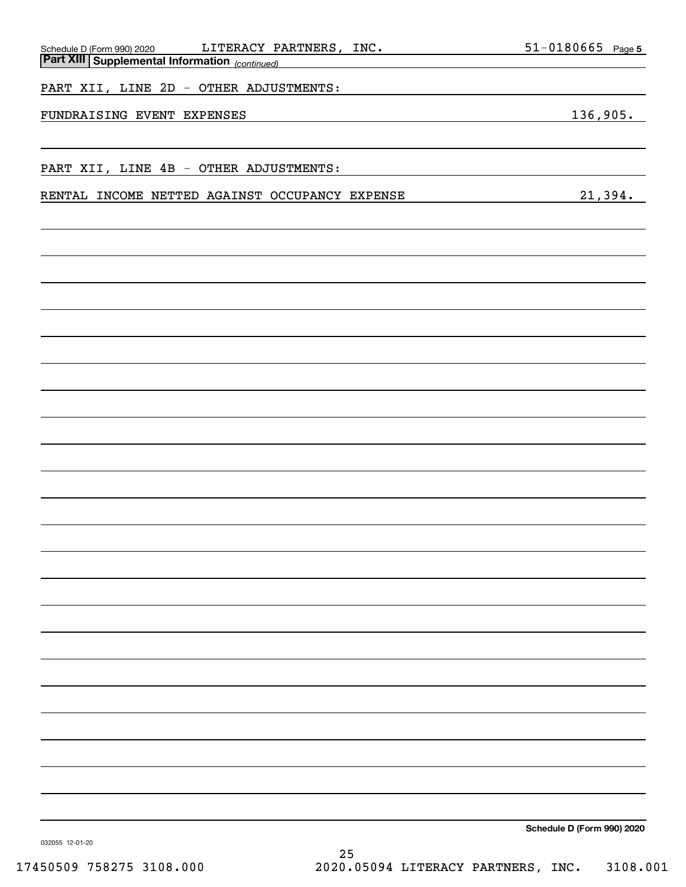| LITERACY PARTNERS, INC.<br>Schedule D (Form 990) 2020 | $51 - 0180665$ Page 5      |
|-------------------------------------------------------|----------------------------|
| <b>Part XIII Supplemental Information</b> (continued) |                            |
| PART XII, LINE 2D - OTHER ADJUSTMENTS:                |                            |
| FUNDRAISING EVENT EXPENSES                            | 136,905.                   |
|                                                       |                            |
| PART XII, LINE 4B - OTHER ADJUSTMENTS:                |                            |
| RENTAL INCOME NETTED AGAINST OCCUPANCY EXPENSE        | 21,394.                    |
|                                                       |                            |
|                                                       |                            |
|                                                       |                            |
|                                                       |                            |
|                                                       |                            |
|                                                       |                            |
|                                                       |                            |
|                                                       |                            |
|                                                       |                            |
|                                                       |                            |
|                                                       |                            |
|                                                       |                            |
|                                                       |                            |
|                                                       |                            |
|                                                       |                            |
|                                                       |                            |
|                                                       |                            |
|                                                       |                            |
|                                                       |                            |
|                                                       |                            |
|                                                       |                            |
|                                                       |                            |
|                                                       |                            |
|                                                       |                            |
|                                                       |                            |
| 032055 12-01-20                                       | Schedule D (Form 990) 2020 |

17450509 758275 3108.000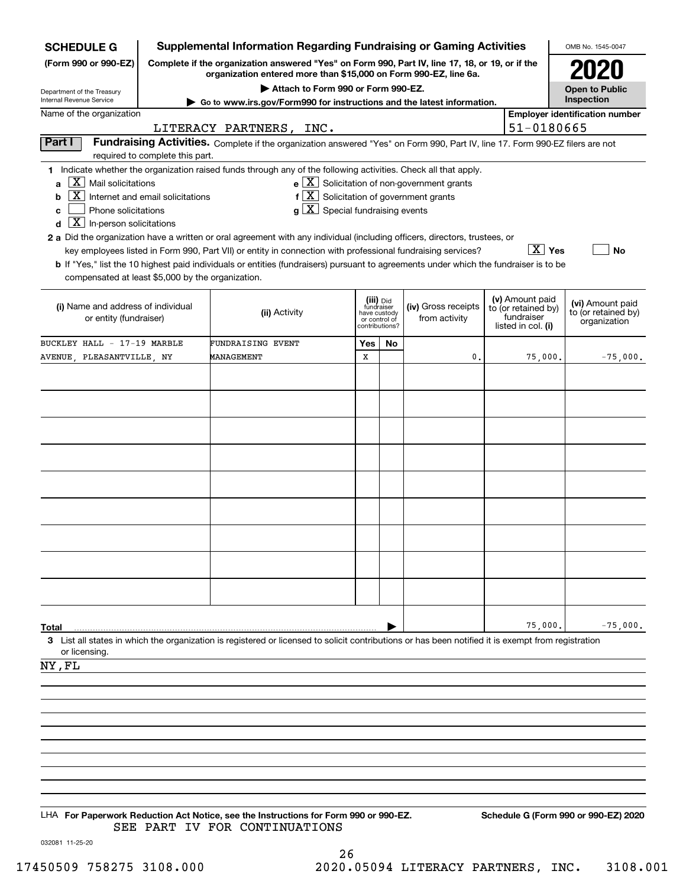| <b>Supplemental Information Regarding Fundraising or Gaming Activities</b><br><b>SCHEDULE G</b>                          |                                                                                                                                                                     |                                                                                                                                                                                                                                                                                                                                                                                                                                                             |                                                                            |    |                                                                         |  |                                                                            | OMB No. 1545-0047                                       |  |
|--------------------------------------------------------------------------------------------------------------------------|---------------------------------------------------------------------------------------------------------------------------------------------------------------------|-------------------------------------------------------------------------------------------------------------------------------------------------------------------------------------------------------------------------------------------------------------------------------------------------------------------------------------------------------------------------------------------------------------------------------------------------------------|----------------------------------------------------------------------------|----|-------------------------------------------------------------------------|--|----------------------------------------------------------------------------|---------------------------------------------------------|--|
| (Form 990 or 990-EZ)                                                                                                     | Complete if the organization answered "Yes" on Form 990, Part IV, line 17, 18, or 19, or if the<br>organization entered more than \$15,000 on Form 990-EZ, line 6a. |                                                                                                                                                                                                                                                                                                                                                                                                                                                             |                                                                            |    |                                                                         |  |                                                                            |                                                         |  |
| Department of the Treasury<br><b>Internal Revenue Service</b>                                                            | Attach to Form 990 or Form 990-EZ.<br>► Go to www.irs.gov/Form990 for instructions and the latest information.                                                      |                                                                                                                                                                                                                                                                                                                                                                                                                                                             |                                                                            |    |                                                                         |  |                                                                            |                                                         |  |
| Name of the organization<br>51-0180665<br>LITERACY PARTNERS, INC.                                                        |                                                                                                                                                                     |                                                                                                                                                                                                                                                                                                                                                                                                                                                             |                                                                            |    |                                                                         |  |                                                                            | <b>Employer identification number</b>                   |  |
| Part I                                                                                                                   |                                                                                                                                                                     | Fundraising Activities. Complete if the organization answered "Yes" on Form 990, Part IV, line 17. Form 990-EZ filers are not                                                                                                                                                                                                                                                                                                                               |                                                                            |    |                                                                         |  |                                                                            |                                                         |  |
|                                                                                                                          | required to complete this part.                                                                                                                                     |                                                                                                                                                                                                                                                                                                                                                                                                                                                             |                                                                            |    |                                                                         |  |                                                                            |                                                         |  |
| $X$ Mail solicitations<br>a<br>X  <br>b<br>Phone solicitations<br>c<br>$\boxed{\textbf{X}}$ In-person solicitations<br>d | Internet and email solicitations                                                                                                                                    | 1 Indicate whether the organization raised funds through any of the following activities. Check all that apply.<br>$f[\overline{X}]$ Solicitation of government grants<br>$g\mid X$ Special fundraising events<br>2 a Did the organization have a written or oral agreement with any individual (including officers, directors, trustees, or<br>key employees listed in Form 990, Part VII) or entity in connection with professional fundraising services? |                                                                            |    | $\mathbf{e}$ $\boxed{\mathbf{X}}$ Solicitation of non-government grants |  | $\boxed{\text{X}}$ Yes                                                     | No                                                      |  |
| compensated at least \$5,000 by the organization.                                                                        |                                                                                                                                                                     | <b>b</b> If "Yes," list the 10 highest paid individuals or entities (fundraisers) pursuant to agreements under which the fundraiser is to be                                                                                                                                                                                                                                                                                                                |                                                                            |    |                                                                         |  |                                                                            |                                                         |  |
| (i) Name and address of individual<br>or entity (fundraiser)                                                             |                                                                                                                                                                     | (ii) Activity                                                                                                                                                                                                                                                                                                                                                                                                                                               | (iii) Did<br>fundraiser<br>have custody<br>or control of<br>contributions? |    | (iv) Gross receipts<br>from activity                                    |  | (v) Amount paid<br>to (or retained by)<br>fundraiser<br>listed in col. (i) | (vi) Amount paid<br>to (or retained by)<br>organization |  |
| BUCKLEY HALL - 17-19 MARBLE                                                                                              |                                                                                                                                                                     | FUNDRAISING EVENT                                                                                                                                                                                                                                                                                                                                                                                                                                           | Yes                                                                        | No |                                                                         |  |                                                                            |                                                         |  |
| AVENUE, PLEASANTVILLE, NY                                                                                                |                                                                                                                                                                     | MANAGEMENT                                                                                                                                                                                                                                                                                                                                                                                                                                                  | х                                                                          |    | 0.                                                                      |  | 75,000.                                                                    | $-75,000.$                                              |  |
|                                                                                                                          |                                                                                                                                                                     |                                                                                                                                                                                                                                                                                                                                                                                                                                                             |                                                                            |    |                                                                         |  |                                                                            |                                                         |  |
|                                                                                                                          |                                                                                                                                                                     |                                                                                                                                                                                                                                                                                                                                                                                                                                                             |                                                                            |    |                                                                         |  |                                                                            |                                                         |  |
|                                                                                                                          |                                                                                                                                                                     |                                                                                                                                                                                                                                                                                                                                                                                                                                                             |                                                                            |    |                                                                         |  |                                                                            |                                                         |  |
|                                                                                                                          |                                                                                                                                                                     |                                                                                                                                                                                                                                                                                                                                                                                                                                                             |                                                                            |    |                                                                         |  |                                                                            |                                                         |  |
|                                                                                                                          |                                                                                                                                                                     |                                                                                                                                                                                                                                                                                                                                                                                                                                                             |                                                                            |    |                                                                         |  |                                                                            |                                                         |  |
|                                                                                                                          |                                                                                                                                                                     |                                                                                                                                                                                                                                                                                                                                                                                                                                                             |                                                                            |    |                                                                         |  |                                                                            |                                                         |  |
|                                                                                                                          |                                                                                                                                                                     |                                                                                                                                                                                                                                                                                                                                                                                                                                                             |                                                                            |    |                                                                         |  |                                                                            |                                                         |  |
|                                                                                                                          |                                                                                                                                                                     |                                                                                                                                                                                                                                                                                                                                                                                                                                                             |                                                                            |    |                                                                         |  |                                                                            |                                                         |  |
|                                                                                                                          |                                                                                                                                                                     |                                                                                                                                                                                                                                                                                                                                                                                                                                                             |                                                                            |    |                                                                         |  |                                                                            |                                                         |  |
|                                                                                                                          |                                                                                                                                                                     |                                                                                                                                                                                                                                                                                                                                                                                                                                                             |                                                                            |    |                                                                         |  |                                                                            |                                                         |  |
|                                                                                                                          |                                                                                                                                                                     |                                                                                                                                                                                                                                                                                                                                                                                                                                                             |                                                                            |    |                                                                         |  |                                                                            |                                                         |  |
| Total                                                                                                                    |                                                                                                                                                                     |                                                                                                                                                                                                                                                                                                                                                                                                                                                             |                                                                            |    |                                                                         |  | 75,000.                                                                    | $-75,000.$                                              |  |
| or licensing.                                                                                                            |                                                                                                                                                                     | 3 List all states in which the organization is registered or licensed to solicit contributions or has been notified it is exempt from registration                                                                                                                                                                                                                                                                                                          |                                                                            |    |                                                                         |  |                                                                            |                                                         |  |
| NY, FL                                                                                                                   |                                                                                                                                                                     |                                                                                                                                                                                                                                                                                                                                                                                                                                                             |                                                                            |    |                                                                         |  |                                                                            |                                                         |  |
|                                                                                                                          |                                                                                                                                                                     |                                                                                                                                                                                                                                                                                                                                                                                                                                                             |                                                                            |    |                                                                         |  |                                                                            |                                                         |  |
|                                                                                                                          |                                                                                                                                                                     |                                                                                                                                                                                                                                                                                                                                                                                                                                                             |                                                                            |    |                                                                         |  |                                                                            |                                                         |  |
|                                                                                                                          |                                                                                                                                                                     |                                                                                                                                                                                                                                                                                                                                                                                                                                                             |                                                                            |    |                                                                         |  |                                                                            |                                                         |  |
|                                                                                                                          |                                                                                                                                                                     |                                                                                                                                                                                                                                                                                                                                                                                                                                                             |                                                                            |    |                                                                         |  |                                                                            |                                                         |  |
|                                                                                                                          |                                                                                                                                                                     |                                                                                                                                                                                                                                                                                                                                                                                                                                                             |                                                                            |    |                                                                         |  |                                                                            |                                                         |  |
|                                                                                                                          |                                                                                                                                                                     |                                                                                                                                                                                                                                                                                                                                                                                                                                                             |                                                                            |    |                                                                         |  |                                                                            |                                                         |  |
|                                                                                                                          |                                                                                                                                                                     |                                                                                                                                                                                                                                                                                                                                                                                                                                                             |                                                                            |    |                                                                         |  |                                                                            |                                                         |  |
|                                                                                                                          |                                                                                                                                                                     | LHA For Paperwork Reduction Act Notice, see the Instructions for Form 990 or 990-EZ.<br>SEE PART IV FOR CONTINUATIONS                                                                                                                                                                                                                                                                                                                                       |                                                                            |    |                                                                         |  |                                                                            | Schedule G (Form 990 or 990-EZ) 2020                    |  |
| 032081 11-25-20                                                                                                          |                                                                                                                                                                     |                                                                                                                                                                                                                                                                                                                                                                                                                                                             |                                                                            |    |                                                                         |  |                                                                            |                                                         |  |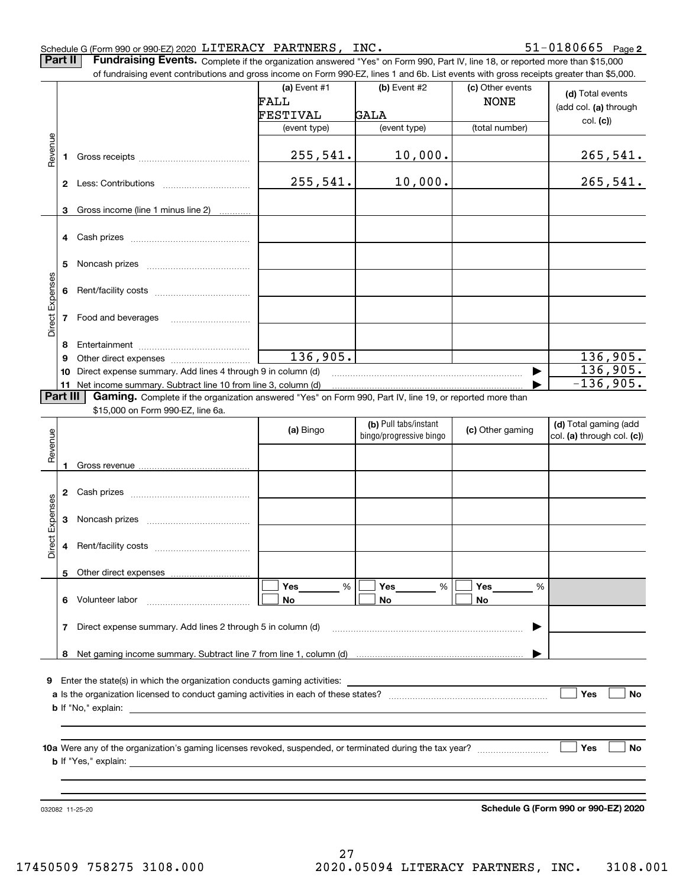### Schedule G (Form 990 or 990-EZ) 2020 LITERACY PARTNERS, INC.

 $51 - 0180665$  Page 2

**Part II** Fundraising Events. Complete if the organization answered "Yes" on Form 990, Part IV, line 18, or reported more than \$15,000

|                 |              | of fundraising event contributions and gross income on Form 990-EZ, lines 1 and 6b. List events with gross receipts greater than \$5,000. | (a) Event #1 | (b) Event #2                                     |                                 |                                                     |
|-----------------|--------------|-------------------------------------------------------------------------------------------------------------------------------------------|--------------|--------------------------------------------------|---------------------------------|-----------------------------------------------------|
|                 |              |                                                                                                                                           | FALL         |                                                  | (c) Other events<br><b>NONE</b> | (d) Total events                                    |
|                 |              |                                                                                                                                           |              | <b>GALA</b>                                      |                                 | (add col. (a) through                               |
|                 |              |                                                                                                                                           | FESTIVAL     |                                                  |                                 | col. (c)                                            |
|                 |              |                                                                                                                                           | (event type) | (event type)                                     | (total number)                  |                                                     |
| Revenue         | 1            |                                                                                                                                           | 255,541.     | 10,000.                                          |                                 | <u>265,541.</u>                                     |
|                 |              |                                                                                                                                           |              |                                                  |                                 |                                                     |
|                 | $\mathbf{2}$ |                                                                                                                                           | 255,541.     | 10,000.                                          |                                 | 265,541.                                            |
|                 | 3            | Gross income (line 1 minus line 2)                                                                                                        |              |                                                  |                                 |                                                     |
|                 | 4            |                                                                                                                                           |              |                                                  |                                 |                                                     |
|                 |              |                                                                                                                                           |              |                                                  |                                 |                                                     |
|                 | 5            |                                                                                                                                           |              |                                                  |                                 |                                                     |
|                 |              |                                                                                                                                           |              |                                                  |                                 |                                                     |
|                 | 6            |                                                                                                                                           |              |                                                  |                                 |                                                     |
|                 |              |                                                                                                                                           |              |                                                  |                                 |                                                     |
| Direct Expenses | 7            | Food and beverages                                                                                                                        |              |                                                  |                                 |                                                     |
|                 |              |                                                                                                                                           |              |                                                  |                                 |                                                     |
|                 | 8            |                                                                                                                                           |              |                                                  |                                 |                                                     |
|                 | 9            |                                                                                                                                           | 136,905.     |                                                  |                                 | 136,905.                                            |
|                 | 10           | Direct expense summary. Add lines 4 through 9 in column (d)                                                                               |              |                                                  |                                 | 136,905.                                            |
|                 | 11           | Net income summary. Subtract line 10 from line 3, column (d)                                                                              |              |                                                  |                                 | $-136,905.$                                         |
|                 | Part III     | Gaming. Complete if the organization answered "Yes" on Form 990, Part IV, line 19, or reported more than                                  |              |                                                  |                                 |                                                     |
|                 |              | \$15,000 on Form 990-EZ, line 6a.                                                                                                         |              |                                                  |                                 |                                                     |
|                 |              |                                                                                                                                           | (a) Bingo    | (b) Pull tabs/instant<br>bingo/progressive bingo | (c) Other gaming                | (d) Total gaming (add<br>col. (a) through col. (c)) |
| Revenue         |              |                                                                                                                                           |              |                                                  |                                 |                                                     |
|                 |              |                                                                                                                                           |              |                                                  |                                 |                                                     |
|                 | 1            |                                                                                                                                           |              |                                                  |                                 |                                                     |
|                 | 2            |                                                                                                                                           |              |                                                  |                                 |                                                     |
|                 |              |                                                                                                                                           |              |                                                  |                                 |                                                     |
| Expenses        | 3            |                                                                                                                                           |              |                                                  |                                 |                                                     |
|                 |              |                                                                                                                                           |              |                                                  |                                 |                                                     |
| Direct          | 4            |                                                                                                                                           |              |                                                  |                                 |                                                     |
|                 |              |                                                                                                                                           |              |                                                  |                                 |                                                     |
|                 |              | 5 Other direct expenses                                                                                                                   |              |                                                  |                                 |                                                     |
|                 |              |                                                                                                                                           | Yes<br>%     | %<br>Yes                                         | Yes<br>%                        |                                                     |
|                 |              | 6 Volunteer labor                                                                                                                         | No           | No                                               | No                              |                                                     |
|                 |              |                                                                                                                                           |              |                                                  |                                 |                                                     |
|                 | 7            | Direct expense summary. Add lines 2 through 5 in column (d)                                                                               |              |                                                  |                                 |                                                     |
|                 |              |                                                                                                                                           |              |                                                  |                                 |                                                     |
|                 | 8            |                                                                                                                                           |              |                                                  |                                 |                                                     |
|                 |              |                                                                                                                                           |              |                                                  |                                 |                                                     |
| 9               |              |                                                                                                                                           |              |                                                  |                                 |                                                     |
|                 |              |                                                                                                                                           |              |                                                  |                                 | Yes<br>No                                           |
|                 |              |                                                                                                                                           |              |                                                  |                                 |                                                     |
|                 |              |                                                                                                                                           |              |                                                  |                                 |                                                     |
|                 |              |                                                                                                                                           |              |                                                  |                                 |                                                     |
|                 |              |                                                                                                                                           |              |                                                  |                                 | Yes<br>No                                           |
|                 |              |                                                                                                                                           |              |                                                  |                                 |                                                     |
|                 |              |                                                                                                                                           |              |                                                  |                                 |                                                     |
|                 |              |                                                                                                                                           |              |                                                  |                                 |                                                     |
|                 |              | 032082 11-25-20                                                                                                                           |              |                                                  |                                 | Schedule G (Form 990 or 990-EZ) 2020                |

Schedule G (Form 990 or 990-EZ) 2020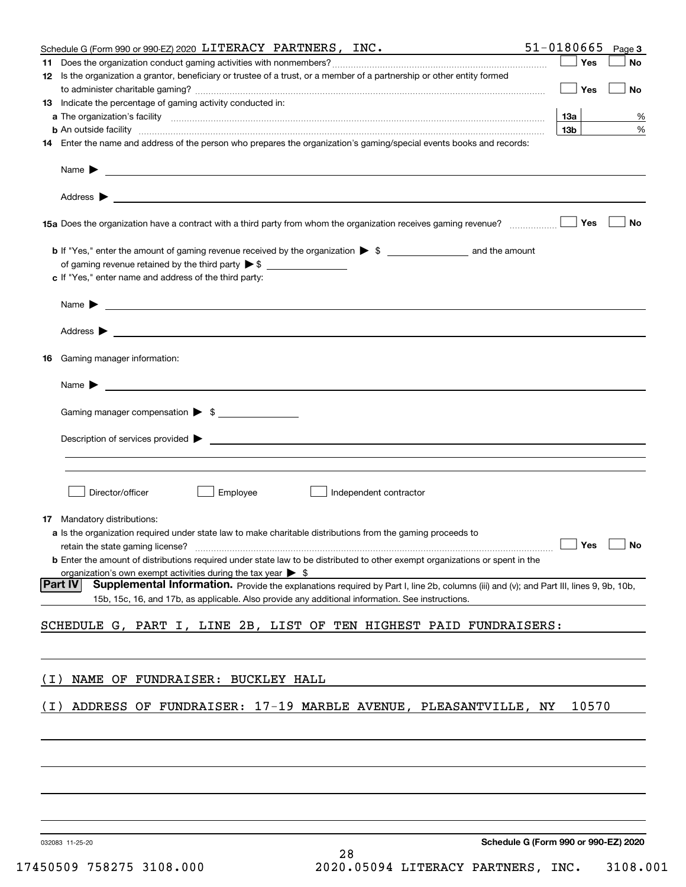|                 | Schedule G (Form 990 or 990-EZ) 2020 LITERACY PARTNERS, INC.                                                                                                                                                                              |                                      | 51-0180665      | Page 3    |
|-----------------|-------------------------------------------------------------------------------------------------------------------------------------------------------------------------------------------------------------------------------------------|--------------------------------------|-----------------|-----------|
|                 |                                                                                                                                                                                                                                           |                                      | Yes             | No        |
|                 | 12 Is the organization a grantor, beneficiary or trustee of a trust, or a member of a partnership or other entity formed                                                                                                                  |                                      |                 |           |
|                 |                                                                                                                                                                                                                                           |                                      | Yes             | No        |
|                 | 13 Indicate the percentage of gaming activity conducted in:                                                                                                                                                                               |                                      |                 |           |
|                 |                                                                                                                                                                                                                                           |                                      | 13а             | %         |
|                 | <b>b</b> An outside facility <i>www.communicality communicality communicality communicality communicality communicality communicality communicality communicality communicality communicality communicality communicality communicali</i> |                                      | 13 <sub>b</sub> | %         |
|                 | 14 Enter the name and address of the person who prepares the organization's gaming/special events books and records:                                                                                                                      |                                      |                 |           |
|                 |                                                                                                                                                                                                                                           |                                      |                 |           |
|                 | Name $\blacktriangleright$<br><u>some started and the started and the started and the started and the started and the started and the started and</u>                                                                                     |                                      |                 |           |
|                 |                                                                                                                                                                                                                                           |                                      |                 |           |
|                 |                                                                                                                                                                                                                                           |                                      |                 |           |
|                 |                                                                                                                                                                                                                                           |                                      | Yes             | No        |
|                 |                                                                                                                                                                                                                                           |                                      |                 |           |
|                 |                                                                                                                                                                                                                                           |                                      |                 |           |
|                 | of gaming revenue retained by the third party $\triangleright$ \$                                                                                                                                                                         |                                      |                 |           |
|                 | c If "Yes," enter name and address of the third party:                                                                                                                                                                                    |                                      |                 |           |
|                 |                                                                                                                                                                                                                                           |                                      |                 |           |
|                 | Name $\blacktriangleright$                                                                                                                                                                                                                |                                      |                 |           |
|                 |                                                                                                                                                                                                                                           |                                      |                 |           |
|                 |                                                                                                                                                                                                                                           |                                      |                 |           |
|                 |                                                                                                                                                                                                                                           |                                      |                 |           |
| 16              | Gaming manager information:                                                                                                                                                                                                               |                                      |                 |           |
|                 |                                                                                                                                                                                                                                           |                                      |                 |           |
|                 |                                                                                                                                                                                                                                           |                                      |                 |           |
|                 |                                                                                                                                                                                                                                           |                                      |                 |           |
|                 | Gaming manager compensation > \$                                                                                                                                                                                                          |                                      |                 |           |
|                 | Description of services provided $\blacktriangleright$ $\_\_$                                                                                                                                                                             |                                      |                 |           |
|                 |                                                                                                                                                                                                                                           |                                      |                 |           |
|                 |                                                                                                                                                                                                                                           |                                      |                 |           |
|                 |                                                                                                                                                                                                                                           |                                      |                 |           |
|                 | Director/officer<br>Employee<br>Independent contractor                                                                                                                                                                                    |                                      |                 |           |
|                 |                                                                                                                                                                                                                                           |                                      |                 |           |
|                 | <b>17</b> Mandatory distributions:                                                                                                                                                                                                        |                                      |                 |           |
|                 | a Is the organization required under state law to make charitable distributions from the gaming proceeds to                                                                                                                               |                                      |                 |           |
|                 |                                                                                                                                                                                                                                           |                                      |                 | $\Box$ No |
|                 | <b>b</b> Enter the amount of distributions required under state law to be distributed to other exempt organizations or spent in the                                                                                                       |                                      |                 |           |
| Part IV         | organization's own exempt activities during the tax year $\triangleright$ \$<br>Supplemental Information. Provide the explanations required by Part I, line 2b, columns (iii) and (v); and Part III, lines 9, 9b, 10b,                    |                                      |                 |           |
|                 | 15b, 15c, 16, and 17b, as applicable. Also provide any additional information. See instructions.                                                                                                                                          |                                      |                 |           |
|                 |                                                                                                                                                                                                                                           |                                      |                 |           |
|                 | SCHEDULE G, PART I, LINE 2B, LIST OF TEN HIGHEST PAID FUNDRAISERS:                                                                                                                                                                        |                                      |                 |           |
|                 |                                                                                                                                                                                                                                           |                                      |                 |           |
|                 |                                                                                                                                                                                                                                           |                                      |                 |           |
|                 |                                                                                                                                                                                                                                           |                                      |                 |           |
| ( T             | NAME OF FUNDRAISER: BUCKLEY HALL                                                                                                                                                                                                          |                                      |                 |           |
|                 |                                                                                                                                                                                                                                           |                                      |                 |           |
| (1)             | ADDRESS OF FUNDRAISER: 17-19 MARBLE AVENUE, PLEASANTVILLE, NY                                                                                                                                                                             |                                      | 10570           |           |
|                 |                                                                                                                                                                                                                                           |                                      |                 |           |
|                 |                                                                                                                                                                                                                                           |                                      |                 |           |
|                 |                                                                                                                                                                                                                                           |                                      |                 |           |
|                 |                                                                                                                                                                                                                                           |                                      |                 |           |
|                 |                                                                                                                                                                                                                                           |                                      |                 |           |
|                 |                                                                                                                                                                                                                                           |                                      |                 |           |
|                 |                                                                                                                                                                                                                                           |                                      |                 |           |
|                 |                                                                                                                                                                                                                                           |                                      |                 |           |
| 032083 11-25-20 |                                                                                                                                                                                                                                           | Schedule G (Form 990 or 990-EZ) 2020 |                 |           |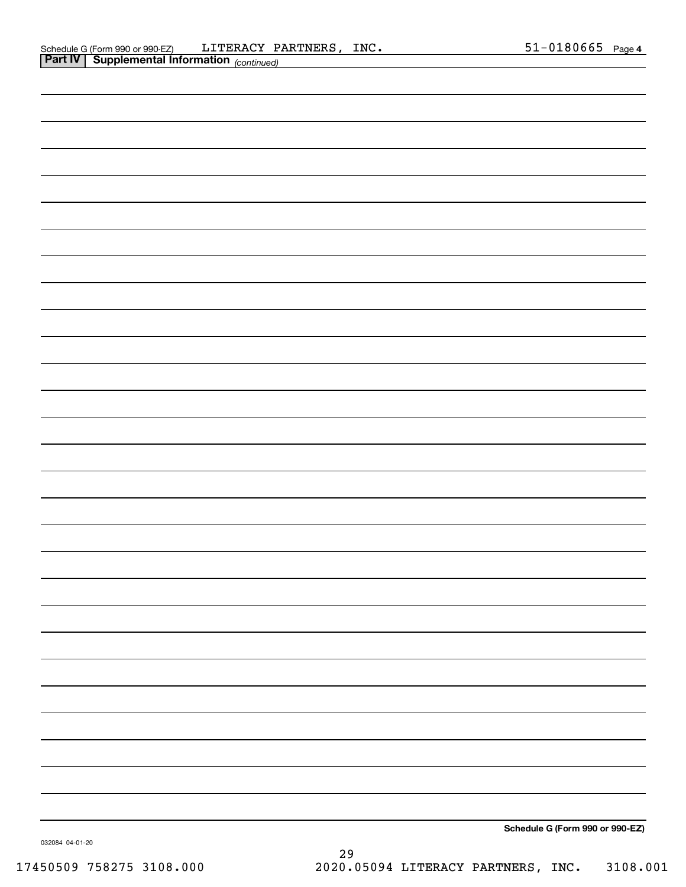| – – r r<br><u>Comment intermeter</u> (Commeter) |                                 |
|-------------------------------------------------|---------------------------------|
|                                                 |                                 |
|                                                 |                                 |
|                                                 |                                 |
|                                                 |                                 |
|                                                 |                                 |
|                                                 |                                 |
|                                                 |                                 |
|                                                 |                                 |
|                                                 |                                 |
|                                                 |                                 |
|                                                 |                                 |
|                                                 |                                 |
|                                                 |                                 |
|                                                 |                                 |
|                                                 |                                 |
|                                                 |                                 |
|                                                 |                                 |
|                                                 |                                 |
|                                                 |                                 |
|                                                 |                                 |
|                                                 |                                 |
|                                                 |                                 |
|                                                 |                                 |
|                                                 |                                 |
|                                                 |                                 |
|                                                 |                                 |
|                                                 |                                 |
|                                                 |                                 |
|                                                 |                                 |
|                                                 |                                 |
|                                                 |                                 |
|                                                 |                                 |
|                                                 |                                 |
|                                                 |                                 |
|                                                 | Schedule G (Form 990 or 990-EZ) |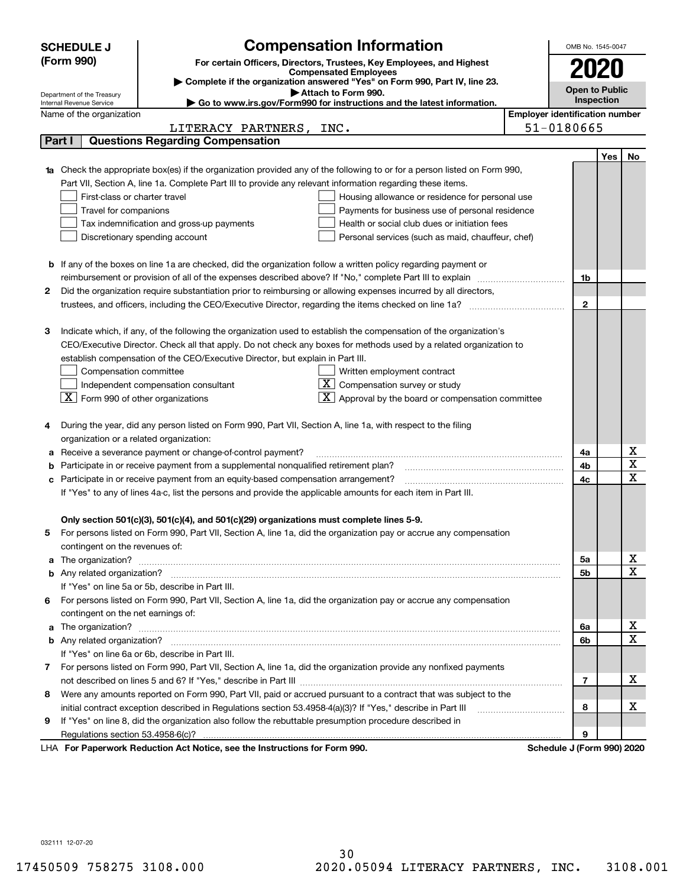|    | <b>SCHEDULE J</b>                                      | <b>Compensation Information</b>                                                                                        |                                       | OMB No. 1545-0047          |            |                   |
|----|--------------------------------------------------------|------------------------------------------------------------------------------------------------------------------------|---------------------------------------|----------------------------|------------|-------------------|
|    | (Form 990)                                             | For certain Officers, Directors, Trustees, Key Employees, and Highest                                                  |                                       |                            |            |                   |
|    |                                                        | <b>Compensated Employees</b>                                                                                           |                                       | 2020                       |            |                   |
|    |                                                        | Complete if the organization answered "Yes" on Form 990, Part IV, line 23.<br>Attach to Form 990.                      |                                       | <b>Open to Public</b>      |            |                   |
|    | Department of the Treasury<br>Internal Revenue Service | Go to www.irs.gov/Form990 for instructions and the latest information.                                                 |                                       |                            | Inspection |                   |
|    | Name of the organization                               |                                                                                                                        | <b>Employer identification number</b> |                            |            |                   |
|    |                                                        | LITERACY PARTNERS,<br>INC.                                                                                             |                                       | 51-0180665                 |            |                   |
|    | Part I                                                 | <b>Questions Regarding Compensation</b>                                                                                |                                       |                            |            |                   |
|    |                                                        |                                                                                                                        |                                       |                            | Yes        | No                |
|    |                                                        | Check the appropriate box(es) if the organization provided any of the following to or for a person listed on Form 990, |                                       |                            |            |                   |
|    |                                                        | Part VII, Section A, line 1a. Complete Part III to provide any relevant information regarding these items.             |                                       |                            |            |                   |
|    | First-class or charter travel                          | Housing allowance or residence for personal use                                                                        |                                       |                            |            |                   |
|    | Travel for companions                                  | Payments for business use of personal residence                                                                        |                                       |                            |            |                   |
|    |                                                        | Tax indemnification and gross-up payments<br>Health or social club dues or initiation fees                             |                                       |                            |            |                   |
|    |                                                        | Discretionary spending account<br>Personal services (such as maid, chauffeur, chef)                                    |                                       |                            |            |                   |
|    |                                                        |                                                                                                                        |                                       |                            |            |                   |
|    |                                                        | <b>b</b> If any of the boxes on line 1a are checked, did the organization follow a written policy regarding payment or |                                       |                            |            |                   |
|    |                                                        | reimbursement or provision of all of the expenses described above? If "No," complete Part III to explain               |                                       | 1b                         |            |                   |
| 2  |                                                        | Did the organization require substantiation prior to reimbursing or allowing expenses incurred by all directors,       |                                       | $\mathbf{2}$               |            |                   |
|    |                                                        |                                                                                                                        |                                       |                            |            |                   |
| з  |                                                        | Indicate which, if any, of the following the organization used to establish the compensation of the organization's     |                                       |                            |            |                   |
|    |                                                        | CEO/Executive Director. Check all that apply. Do not check any boxes for methods used by a related organization to     |                                       |                            |            |                   |
|    |                                                        | establish compensation of the CEO/Executive Director, but explain in Part III.                                         |                                       |                            |            |                   |
|    | Compensation committee                                 | Written employment contract                                                                                            |                                       |                            |            |                   |
|    |                                                        | $\overline{\textbf{X}}$ Compensation survey or study<br>Independent compensation consultant                            |                                       |                            |            |                   |
|    | $\boxed{\textbf{X}}$ Form 990 of other organizations   | $\mathbf{X}$ Approval by the board or compensation committee                                                           |                                       |                            |            |                   |
|    |                                                        |                                                                                                                        |                                       |                            |            |                   |
| 4  |                                                        | During the year, did any person listed on Form 990, Part VII, Section A, line 1a, with respect to the filing           |                                       |                            |            |                   |
|    | organization or a related organization:                |                                                                                                                        |                                       |                            |            |                   |
| а  |                                                        | Receive a severance payment or change-of-control payment?                                                              |                                       | 4a                         |            | х                 |
| b  |                                                        | Participate in or receive payment from a supplemental nonqualified retirement plan?                                    |                                       | 4b                         |            | X                 |
| c  |                                                        | Participate in or receive payment from an equity-based compensation arrangement?                                       |                                       | 4c                         |            | $\mathbf x$       |
|    |                                                        | If "Yes" to any of lines 4a-c, list the persons and provide the applicable amounts for each item in Part III.          |                                       |                            |            |                   |
|    |                                                        |                                                                                                                        |                                       |                            |            |                   |
|    |                                                        | Only section 501(c)(3), 501(c)(4), and 501(c)(29) organizations must complete lines 5-9.                               |                                       |                            |            |                   |
| 5  |                                                        | For persons listed on Form 990, Part VII, Section A, line 1a, did the organization pay or accrue any compensation      |                                       |                            |            |                   |
|    | contingent on the revenues of:                         |                                                                                                                        |                                       |                            |            |                   |
| a  |                                                        |                                                                                                                        |                                       | 5а                         |            | x                 |
|    |                                                        |                                                                                                                        |                                       | <b>5b</b>                  |            | X                 |
|    |                                                        | If "Yes" on line 5a or 5b, describe in Part III.                                                                       |                                       |                            |            |                   |
| 6. |                                                        | For persons listed on Form 990, Part VII, Section A, line 1a, did the organization pay or accrue any compensation      |                                       |                            |            |                   |
|    | contingent on the net earnings of:                     |                                                                                                                        |                                       |                            |            |                   |
| a  |                                                        |                                                                                                                        |                                       | 6a                         |            | х<br>$\mathbf{x}$ |
|    |                                                        |                                                                                                                        |                                       | 6b                         |            |                   |
|    |                                                        | If "Yes" on line 6a or 6b, describe in Part III.                                                                       |                                       |                            |            |                   |
|    |                                                        | 7 For persons listed on Form 990, Part VII, Section A, line 1a, did the organization provide any nonfixed payments     |                                       |                            |            | x                 |
|    |                                                        |                                                                                                                        |                                       | 7                          |            |                   |
| 8  |                                                        | Were any amounts reported on Form 990, Part VII, paid or accrued pursuant to a contract that was subject to the        |                                       | 8                          |            | х                 |
|    |                                                        | initial contract exception described in Regulations section 53.4958-4(a)(3)? If "Yes," describe in Part III            |                                       |                            |            |                   |
| 9  |                                                        | If "Yes" on line 8, did the organization also follow the rebuttable presumption procedure described in                 |                                       | 9                          |            |                   |
|    | Regulations section 53.4958-6(c)?                      | LHA For Paperwork Reduction Act Notice, see the Instructions for Form 990.                                             |                                       | Schedule J (Form 990) 2020 |            |                   |
|    |                                                        |                                                                                                                        |                                       |                            |            |                   |

032111 12-07-20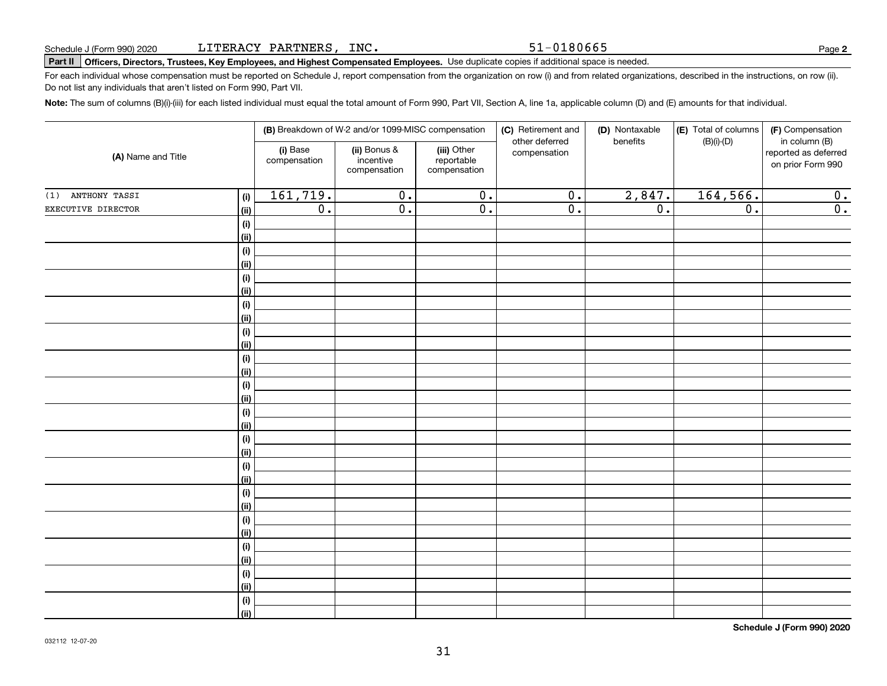51-0180665

#### Part II Officers, Directors, Trustees, Key Employees, and Highest Compensated Employees. Use duplicate copies if additional space is needed.

For each individual whose compensation must be reported on Schedule J, report compensation from the organization on row (i) and from related organizations, described in the instructions, on row (ii). Do not list any individuals that aren't listed on Form 990, Part VII.

Note: The sum of columns (B)(i)-(iii) for each listed individual must equal the total amount of Form 990, Part VII, Section A, line 1a, applicable column (D) and (E) amounts for that individual.

| (A) Name and Title |                |                          | (B) Breakdown of W-2 and/or 1099-MISC compensation |                                           | (C) Retirement and<br>other deferred | (D) Nontaxable<br>benefits | (E) Total of columns | (F) Compensation<br>in column (B)         |
|--------------------|----------------|--------------------------|----------------------------------------------------|-------------------------------------------|--------------------------------------|----------------------------|----------------------|-------------------------------------------|
|                    |                | (i) Base<br>compensation | (ii) Bonus &<br>incentive<br>compensation          | (iii) Other<br>reportable<br>compensation | compensation                         |                            | $(B)(i)-(D)$         | reported as deferred<br>on prior Form 990 |
| (1) ANTHONY TASSI  | (i)            | 161, 719.                | $\overline{0}$ .                                   | $\overline{0}$ .                          | $\overline{0}$ .                     | 2,847.                     | 164, 566.            | 0.                                        |
| EXECUTIVE DIRECTOR | <u>(ii)</u>    | $\overline{0}$ .         | $\overline{0}$ .                                   | $\overline{0}$ .                          | $\overline{0}$ .                     | $\overline{0}$ .           | $\overline{0}$ .     | $\overline{0}$ .                          |
|                    | (i)            |                          |                                                    |                                           |                                      |                            |                      |                                           |
|                    | <u>(ii)</u>    |                          |                                                    |                                           |                                      |                            |                      |                                           |
|                    | (i)            |                          |                                                    |                                           |                                      |                            |                      |                                           |
|                    | (ii)           |                          |                                                    |                                           |                                      |                            |                      |                                           |
|                    | $(\sf{i})$     |                          |                                                    |                                           |                                      |                            |                      |                                           |
|                    | <u>(ii)</u>    |                          |                                                    |                                           |                                      |                            |                      |                                           |
|                    | $(\sf{i})$     |                          |                                                    |                                           |                                      |                            |                      |                                           |
|                    | <u>(ii)</u>    |                          |                                                    |                                           |                                      |                            |                      |                                           |
|                    | $(\sf{i})$     |                          |                                                    |                                           |                                      |                            |                      |                                           |
|                    | <u>(ii)</u>    |                          |                                                    |                                           |                                      |                            |                      |                                           |
|                    | (i)            |                          |                                                    |                                           |                                      |                            |                      |                                           |
|                    | (ii)           |                          |                                                    |                                           |                                      |                            |                      |                                           |
|                    | (i)<br>(ii)    |                          |                                                    |                                           |                                      |                            |                      |                                           |
|                    | (i)            |                          |                                                    |                                           |                                      |                            |                      |                                           |
|                    | <u>(ii)</u>    |                          |                                                    |                                           |                                      |                            |                      |                                           |
|                    | (i)            |                          |                                                    |                                           |                                      |                            |                      |                                           |
|                    | <u>(ii)</u>    |                          |                                                    |                                           |                                      |                            |                      |                                           |
|                    | (i)            |                          |                                                    |                                           |                                      |                            |                      |                                           |
|                    | <u>(ii)</u>    |                          |                                                    |                                           |                                      |                            |                      |                                           |
|                    | (i)            |                          |                                                    |                                           |                                      |                            |                      |                                           |
|                    | (ii)           |                          |                                                    |                                           |                                      |                            |                      |                                           |
|                    | (i)            |                          |                                                    |                                           |                                      |                            |                      |                                           |
|                    | (ii)           |                          |                                                    |                                           |                                      |                            |                      |                                           |
|                    | (i)            |                          |                                                    |                                           |                                      |                            |                      |                                           |
|                    | <u>(ii)</u>    |                          |                                                    |                                           |                                      |                            |                      |                                           |
|                    | (i)            |                          |                                                    |                                           |                                      |                            |                      |                                           |
|                    | <u>(ii)</u>    |                          |                                                    |                                           |                                      |                            |                      |                                           |
|                    | (i)            |                          |                                                    |                                           |                                      |                            |                      |                                           |
|                    | $\overline{}}$ |                          |                                                    |                                           |                                      |                            |                      |                                           |

Schedule J (Form 990) 2020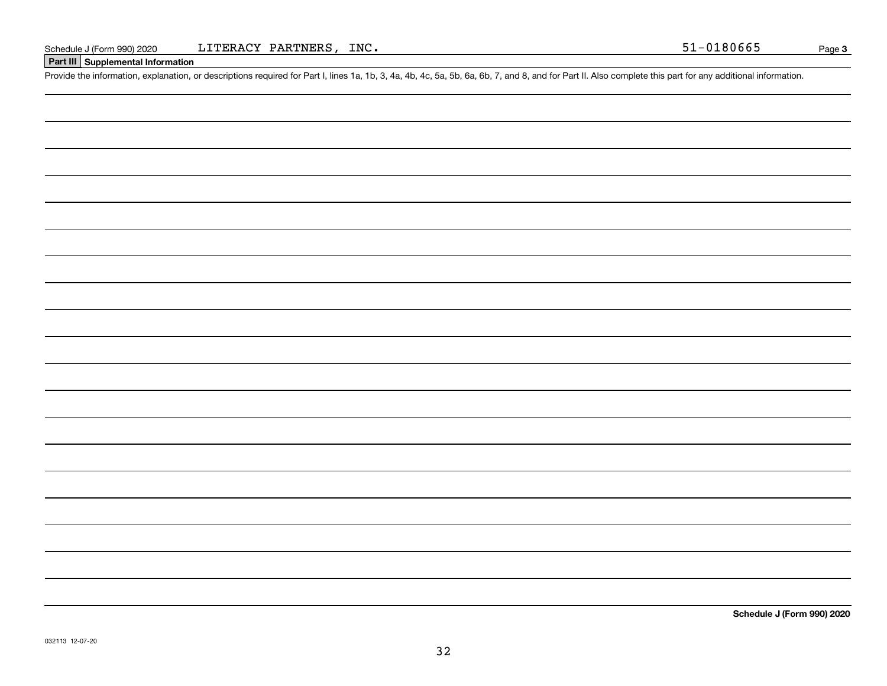### Part III Supplemental Information

Provide the information, explanation, or descriptions required for Part I, lines 1a, 1b, 3, 4a, 4b, 4c, 5a, 5b, 6a, 6b, 7, and 8, and for Part II. Also complete this part for any additional information.

Schedule J (Form 990) 2020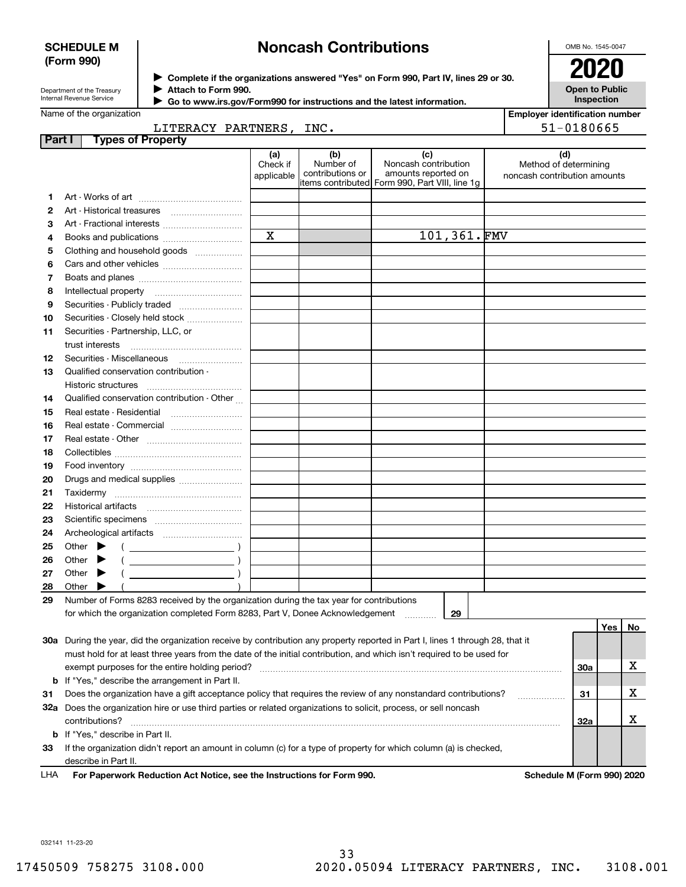### **SCHEDULE M** (Form 990)

# **Noncash Contributions**

OMB No. 1545-0047

∕

| Department of the Treasury |
|----------------------------|
| Internal Revenue Service   |

Complete if the organizations answered "Yes" on Form 990, Part IV, lines 29 or 30. Attach to Form 990.

**Open to Public** Inspection

20

|  | Name of the organization |  |
|--|--------------------------|--|

Go to www.irs.gov/Form990 for instructions and the latest information.

|        | Name of the organization                                                                                                       |                        |                               |                                                |             |  | <b>Employer identification number</b>                 |     |    |
|--------|--------------------------------------------------------------------------------------------------------------------------------|------------------------|-------------------------------|------------------------------------------------|-------------|--|-------------------------------------------------------|-----|----|
|        | LITERACY PARTNERS, INC.                                                                                                        |                        |                               |                                                |             |  | 51-0180665                                            |     |    |
| Part I | <b>Types of Property</b>                                                                                                       |                        |                               |                                                |             |  |                                                       |     |    |
|        |                                                                                                                                | (a)                    | (b)                           | (c)                                            |             |  | (d)                                                   |     |    |
|        |                                                                                                                                | Check if<br>applicable | Number of<br>contributions or | Noncash contribution<br>amounts reported on    |             |  | Method of determining<br>noncash contribution amounts |     |    |
|        |                                                                                                                                |                        |                               | items contributed Form 990, Part VIII, line 1g |             |  |                                                       |     |    |
| 1      |                                                                                                                                |                        |                               |                                                |             |  |                                                       |     |    |
| 2      |                                                                                                                                |                        |                               |                                                |             |  |                                                       |     |    |
| з      |                                                                                                                                |                        |                               |                                                |             |  |                                                       |     |    |
| 4      | Books and publications                                                                                                         | $\mathbf X$            |                               |                                                | 101,361.FMV |  |                                                       |     |    |
| 5      | Clothing and household goods                                                                                                   |                        |                               |                                                |             |  |                                                       |     |    |
| 6      |                                                                                                                                |                        |                               |                                                |             |  |                                                       |     |    |
| 7      |                                                                                                                                |                        |                               |                                                |             |  |                                                       |     |    |
| 8      |                                                                                                                                |                        |                               |                                                |             |  |                                                       |     |    |
| 9      | Securities - Publicly traded                                                                                                   |                        |                               |                                                |             |  |                                                       |     |    |
| 10     | Securities - Closely held stock                                                                                                |                        |                               |                                                |             |  |                                                       |     |    |
| 11     | Securities - Partnership, LLC, or                                                                                              |                        |                               |                                                |             |  |                                                       |     |    |
|        | trust interests                                                                                                                |                        |                               |                                                |             |  |                                                       |     |    |
| 12     |                                                                                                                                |                        |                               |                                                |             |  |                                                       |     |    |
| 13     | Qualified conservation contribution -                                                                                          |                        |                               |                                                |             |  |                                                       |     |    |
|        | Historic structures                                                                                                            |                        |                               |                                                |             |  |                                                       |     |    |
| 14     | Qualified conservation contribution - Other                                                                                    |                        |                               |                                                |             |  |                                                       |     |    |
| 15     | Real estate - Residential                                                                                                      |                        |                               |                                                |             |  |                                                       |     |    |
| 16     | Real estate - Commercial                                                                                                       |                        |                               |                                                |             |  |                                                       |     |    |
| 17     |                                                                                                                                |                        |                               |                                                |             |  |                                                       |     |    |
| 18     |                                                                                                                                |                        |                               |                                                |             |  |                                                       |     |    |
| 19     |                                                                                                                                |                        |                               |                                                |             |  |                                                       |     |    |
| 20     | Drugs and medical supplies                                                                                                     |                        |                               |                                                |             |  |                                                       |     |    |
| 21     |                                                                                                                                |                        |                               |                                                |             |  |                                                       |     |    |
| 22     |                                                                                                                                |                        |                               |                                                |             |  |                                                       |     |    |
| 23     |                                                                                                                                |                        |                               |                                                |             |  |                                                       |     |    |
| 24     |                                                                                                                                |                        |                               |                                                |             |  |                                                       |     |    |
| 25     | Other $\blacktriangleright$                                                                                                    |                        |                               |                                                |             |  |                                                       |     |    |
| 26     | Other $\blacktriangleright$                                                                                                    |                        |                               |                                                |             |  |                                                       |     |    |
| 27     | Other $\blacktriangleright$                                                                                                    |                        |                               |                                                |             |  |                                                       |     |    |
| 28     | Other                                                                                                                          |                        |                               |                                                |             |  |                                                       |     |    |
| 29     | Number of Forms 8283 received by the organization during the tax year for contributions                                        |                        |                               |                                                |             |  |                                                       |     |    |
|        | for which the organization completed Form 8283, Part V, Donee Acknowledgement                                                  |                        |                               |                                                | 29          |  |                                                       |     |    |
|        |                                                                                                                                |                        |                               |                                                |             |  |                                                       | Yes | No |
|        | 30a During the year, did the organization receive by contribution any property reported in Part I, lines 1 through 28, that it |                        |                               |                                                |             |  |                                                       |     |    |
|        | must hold for at least three years from the date of the initial contribution, and which isn't required to be used for          |                        |                               |                                                |             |  |                                                       |     |    |
|        | exempt purposes for the entire holding period?                                                                                 |                        |                               |                                                |             |  | <b>30a</b>                                            |     | х  |
| b      | If "Yes," describe the arrangement in Part II.                                                                                 |                        |                               |                                                |             |  |                                                       |     |    |
| 31     | Does the organization have a gift acceptance policy that requires the review of any nonstandard contributions?                 |                        |                               |                                                |             |  | 31                                                    |     | х  |
|        | 32a Does the organization hire or use third parties or related organizations to solicit, process, or sell noncash              |                        |                               |                                                |             |  |                                                       |     |    |
|        | contributions?                                                                                                                 |                        |                               |                                                |             |  | 32a                                                   |     | х  |
|        | b If "Yes," describe in Part II.                                                                                               |                        |                               |                                                |             |  |                                                       |     |    |
| 33     | If the organization didn't report an amount in column (c) for a type of property for which column (a) is checked,              |                        |                               |                                                |             |  |                                                       |     |    |
|        | describe in Part II.                                                                                                           |                        |                               |                                                |             |  |                                                       |     |    |
|        |                                                                                                                                |                        |                               |                                                |             |  |                                                       |     |    |

LHA For Paperwork Reduction Act Notice, see the Instructions for Form 990. Schedule M (Form 990) 2020

032141 11-23-20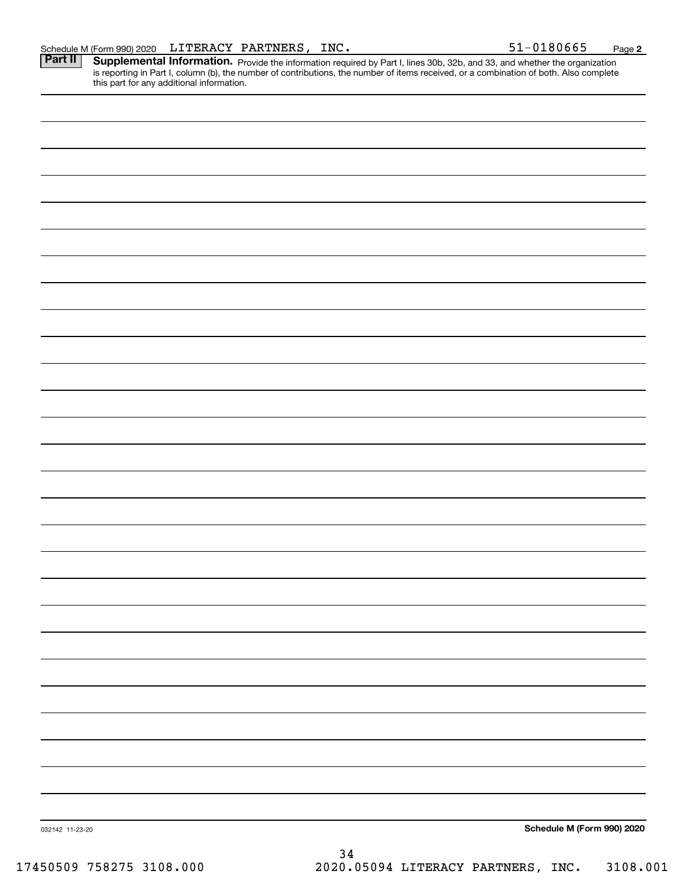51-0180665 Page 2 Supplemental Information. Provide the information required by Part I, lines 30b, 32b, and 33, and whether the organization is reporting in Part I, column (b), the number of contributions, the number of items received, or a combination of both. Also complete this part for any additional information.

| 032142 11-23-20 |      | Schedule M (Form 990) 2020 |
|-----------------|------|----------------------------|
|                 |      |                            |
|                 | $34$ |                            |
|                 |      |                            |

3108.001 2020.05094 LITERACY PARTNERS, INC.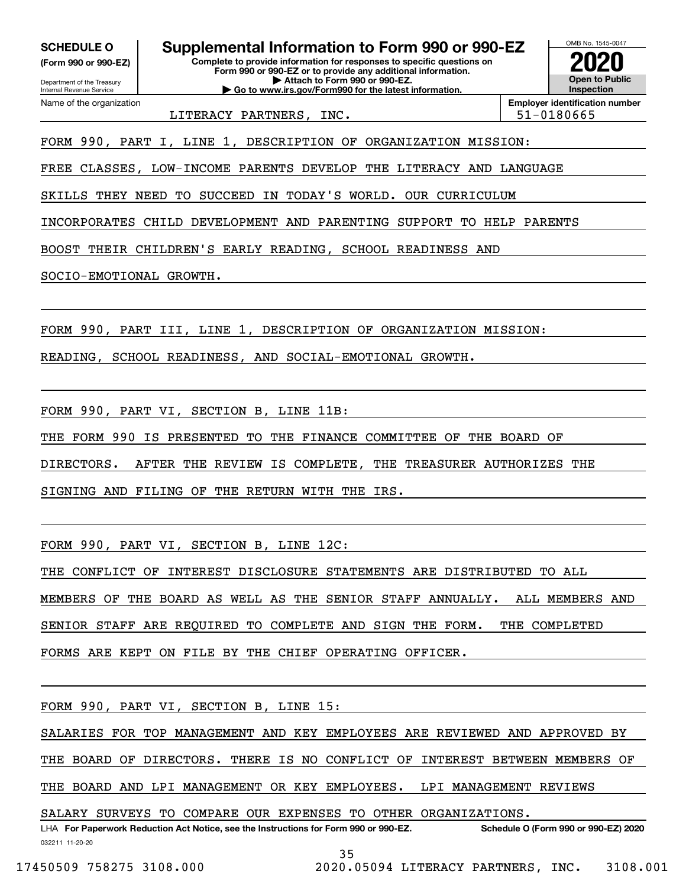**SCHEDULE O** 

(Form 990 or 990-EZ) Department of the Treasury

Internal Revenue Service Name of the organization Supplemental Information to Form 990 or 990-EZ

Complete to provide information for responses to specific questions on Form 990 or 990-EZ or to provide any additional information. Attach to Form 990 or 990-EZ. Go to www.irs.gov/Form990 for the latest information



LITERACY PARTNERS, INC. **Employer identification number** 51-0180665

FORM 990, PART I, LINE 1, DESCRIPTION OF ORGANIZATION MISSION:

FREE CLASSES, LOW-INCOME PARENTS DEVELOP THE LITERACY AND LANGUAGE

SKILLS THEY NEED TO SUCCEED IN TODAY'S WORLD. OUR CURRICULUM

INCORPORATES CHILD DEVELOPMENT AND PARENTING SUPPORT TO HELP PARENTS

BOOST THEIR CHILDREN'S EARLY READING, SCHOOL READINESS AND

SOCIO-EMOTIONAL GROWTH.

FORM 990, PART III, LINE 1, DESCRIPTION OF ORGANIZATION MISSION:

READING, SCHOOL READINESS, AND SOCIAL-EMOTIONAL GROWTH.

FORM 990, PART VI, SECTION B, LINE 11B:

THE FORM 990 IS PRESENTED TO THE FINANCE COMMITTEE OF THE BOARD OF

DIRECTORS. AFTER THE REVIEW IS COMPLETE, THE TREASURER AUTHORIZES THE

SIGNING AND FILING OF THE RETURN WITH THE IRS.

FORM 990, PART VI, SECTION B, LINE 12C:

THE CONFLICT OF INTEREST DISCLOSURE STATEMENTS ARE DISTRIBUTED TO ALL

MEMBERS OF THE BOARD AS WELL AS THE SENIOR STAFF ANNUALLY. ALL MEMBERS AND

SENIOR STAFF ARE REQUIRED TO COMPLETE AND SIGN THE FORM. THE COMPLETED

FORMS ARE KEPT ON FILE BY THE CHIEF OPERATING OFFICER.

FORM 990, PART VI, SECTION B, LINE 15:

SALARIES FOR TOP MANAGEMENT AND KEY EMPLOYEES ARE REVIEWED AND APPROVED BY

THE BOARD OF DIRECTORS. THERE IS NO CONFLICT OF INTEREST BETWEEN MEMBERS OF

THE BOARD AND LPI MANAGEMENT OR KEY EMPLOYEES. LPI MANAGEMENT REVIEWS

SALARY SURVEYS TO COMPARE OUR EXPENSES TO OTHER ORGANIZATIONS.

LHA For Paperwork Reduction Act Notice, see the Instructions for Form 990 or 990-EZ. Schedule O (Form 990 or 990-EZ) 2020 032211 11-20-20

35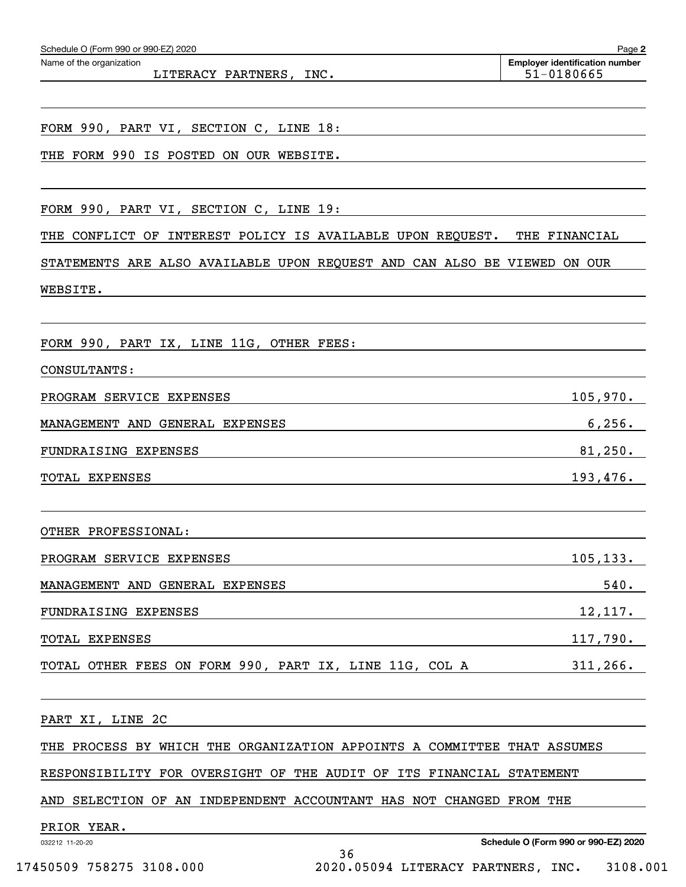| Schedule O (Form 990 or 990-EZ) 2020                                     | Page 2                                              |
|--------------------------------------------------------------------------|-----------------------------------------------------|
| Name of the organization<br>LITERACY PARTNERS, INC.                      | <b>Employer identification number</b><br>51-0180665 |
|                                                                          |                                                     |
| FORM 990, PART VI, SECTION C, LINE 18:                                   |                                                     |
| THE FORM 990 IS POSTED ON OUR WEBSITE.                                   |                                                     |
|                                                                          |                                                     |
| FORM 990, PART VI, SECTION C, LINE 19:                                   |                                                     |
| THE<br>CONFLICT<br>OF<br>INTEREST POLICY IS AVAILABLE UPON REQUEST.      | THE FINANCIAL                                       |
| STATEMENTS ARE ALSO AVAILABLE UPON REQUEST AND CAN ALSO BE VIEWED ON OUR |                                                     |
| WEBSITE.                                                                 |                                                     |
|                                                                          |                                                     |
| FORM 990, PART IX, LINE 11G, OTHER FEES:                                 |                                                     |
| CONSULTANTS:                                                             |                                                     |
| PROGRAM SERVICE EXPENSES                                                 | 105,970.                                            |
| MANAGEMENT AND GENERAL EXPENSES                                          | 6, 256.                                             |
| FUNDRAISING EXPENSES                                                     | 81,250.                                             |
| TOTAL EXPENSES                                                           | 193,476.                                            |
|                                                                          |                                                     |
| OTHER PROFESSIONAL:                                                      |                                                     |
| PROGRAM SERVICE EXPENSES                                                 | 105, 133.                                           |
| MANAGEMENT AND GENERAL EXPENSES                                          | 540.                                                |
| FUNDRAISING EXPENSES                                                     | 12,117.                                             |
| TOTAL EXPENSES                                                           | 117,790.                                            |
| TOTAL OTHER FEES ON FORM 990, PART IX, LINE 11G, COL A                   | 311, 266.                                           |
|                                                                          |                                                     |
| PART XI, LINE 2C                                                         |                                                     |
| THE PROCESS BY WHICH THE ORGANIZATION APPOINTS A COMMITTEE THAT ASSUMES  |                                                     |
| RESPONSIBILITY FOR OVERSIGHT OF THE AUDIT OF ITS FINANCIAL STATEMENT     |                                                     |
| AND SELECTION OF AN INDEPENDENT ACCOUNTANT HAS NOT CHANGED FROM THE      |                                                     |
| PRIOR YEAR.<br>032212 11-20-20                                           | Schedule O (Form 990 or 990-EZ) 2020                |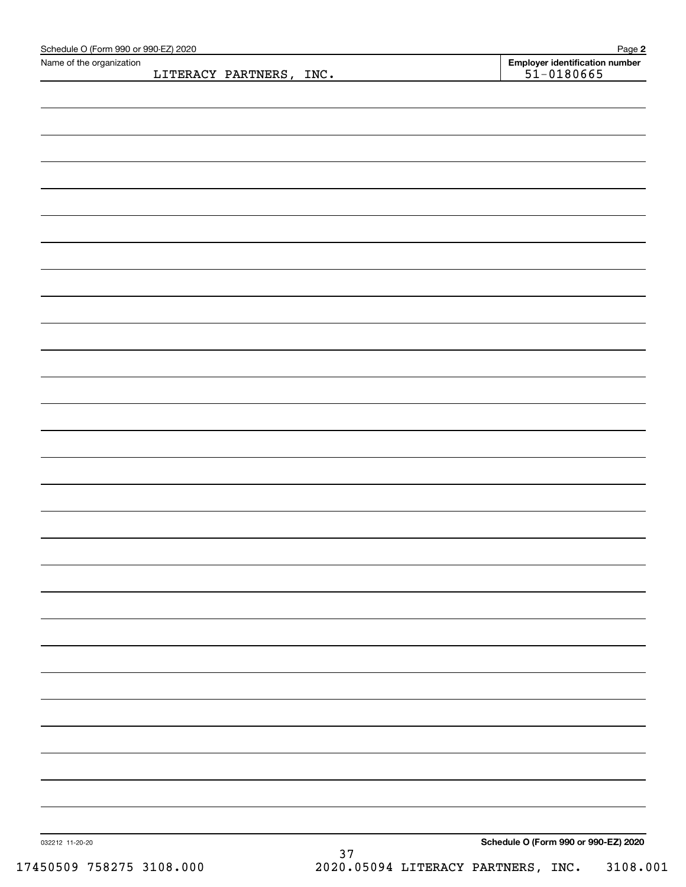| Schedule O (Form 990 or 990-EZ) 2020<br>Name of the organization |                         |      | Page 2                                           |
|------------------------------------------------------------------|-------------------------|------|--------------------------------------------------|
|                                                                  | LITERACY PARTNERS, INC. |      | Employer identification number<br>$51 - 0180665$ |
|                                                                  |                         |      |                                                  |
|                                                                  |                         |      |                                                  |
|                                                                  |                         |      |                                                  |
|                                                                  |                         |      |                                                  |
|                                                                  |                         |      |                                                  |
|                                                                  |                         |      |                                                  |
|                                                                  |                         |      |                                                  |
|                                                                  |                         |      |                                                  |
|                                                                  |                         |      |                                                  |
|                                                                  |                         |      |                                                  |
|                                                                  |                         |      |                                                  |
|                                                                  |                         |      |                                                  |
|                                                                  |                         |      |                                                  |
|                                                                  |                         |      |                                                  |
|                                                                  |                         |      |                                                  |
|                                                                  |                         |      |                                                  |
|                                                                  |                         |      |                                                  |
|                                                                  |                         |      |                                                  |
|                                                                  |                         |      |                                                  |
|                                                                  |                         |      |                                                  |
|                                                                  |                         |      |                                                  |
|                                                                  |                         |      |                                                  |
|                                                                  |                         |      |                                                  |
|                                                                  |                         |      |                                                  |
|                                                                  |                         |      |                                                  |
|                                                                  |                         |      |                                                  |
|                                                                  |                         |      |                                                  |
|                                                                  |                         |      |                                                  |
|                                                                  |                         |      |                                                  |
|                                                                  |                         |      |                                                  |
|                                                                  |                         |      |                                                  |
|                                                                  |                         |      |                                                  |
|                                                                  |                         |      |                                                  |
|                                                                  |                         |      |                                                  |
|                                                                  |                         |      |                                                  |
|                                                                  |                         |      |                                                  |
|                                                                  |                         |      |                                                  |
|                                                                  |                         |      |                                                  |
|                                                                  |                         |      |                                                  |
|                                                                  |                         |      |                                                  |
|                                                                  |                         |      |                                                  |
|                                                                  |                         |      |                                                  |
| 032212 11-20-20                                                  |                         |      | Schedule O (Form 990 or 990-EZ) 2020             |
|                                                                  |                         | $37$ |                                                  |